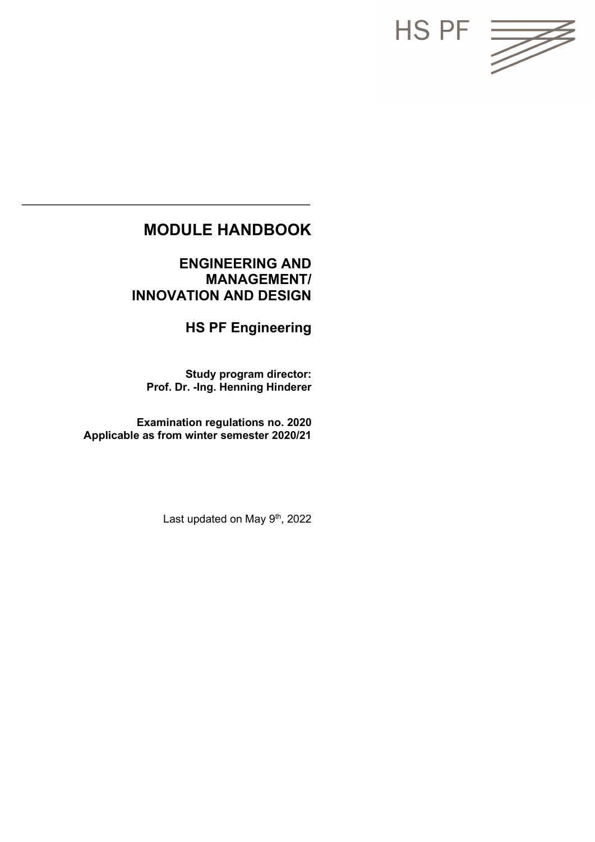

# **MODULE HANDBOOK**

**ENGINEERING AND MANAGEMENT/ INNOVATION AND DESIGN**

**HS PF Engineering**

**Study program director: Prof. Dr. -Ing. Henning Hinderer**

**Examination regulations no. 2020 Applicable as from winter semester 2020/21**

Last updated on May 9<sup>th</sup>, 2022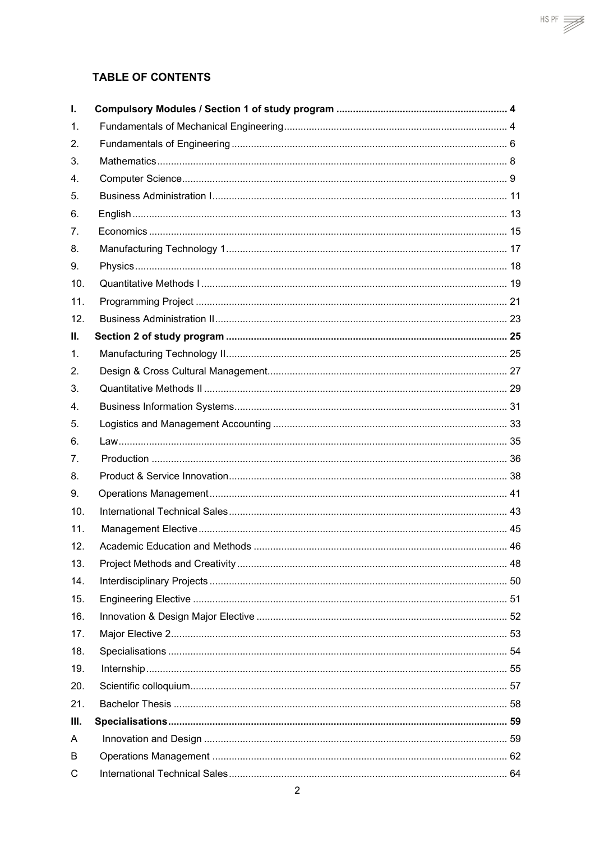# **TABLE OF CONTENTS**

| L.             |  |
|----------------|--|
| 1.             |  |
| 2.             |  |
| 3.             |  |
| 4.             |  |
| 5.             |  |
| 6.             |  |
| 7.             |  |
| 8.             |  |
| 9.             |  |
| 10.            |  |
| 11.            |  |
| 12.            |  |
| Ш.             |  |
| 1.             |  |
| 2.             |  |
| 3.             |  |
| 4.             |  |
| 5.             |  |
| 6.             |  |
| 7 <sub>1</sub> |  |
| 8.             |  |
| 9.             |  |
| 10.            |  |
| 11.            |  |
| 12.            |  |
| 13.            |  |
| 14.            |  |
| 15.            |  |
| 16.            |  |
| 17.            |  |
| 18.            |  |
| 19.            |  |
| 20.            |  |
| 21.            |  |
| III.           |  |
| A              |  |
| B              |  |
| С              |  |

 $HSPF \ncong$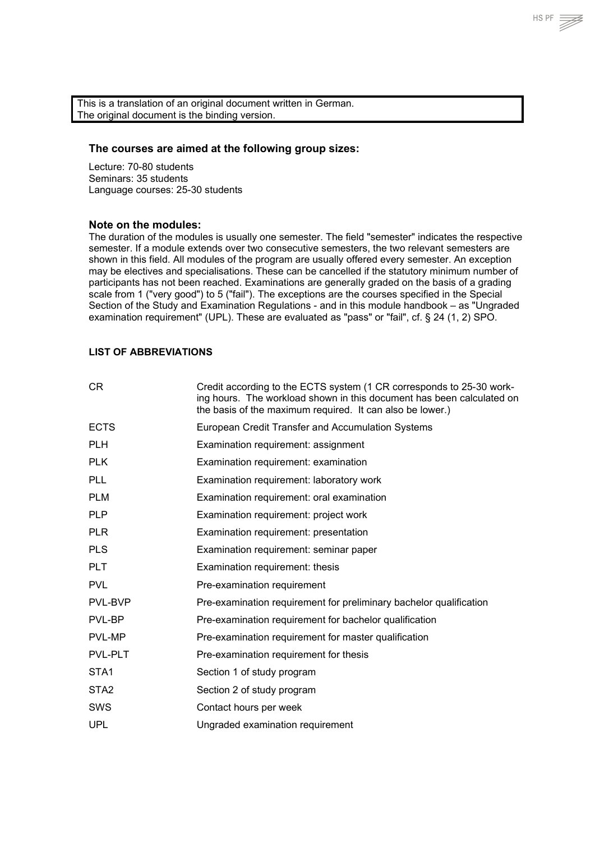This is a translation of an original document written in German. The original document is the binding version.

#### **The courses are aimed at the following group sizes:**

Lecture: 70-80 students Seminars: 35 students Language courses: 25-30 students

#### **Note on the modules:**

The duration of the modules is usually one semester. The field "semester" indicates the respective semester. If a module extends over two consecutive semesters, the two relevant semesters are shown in this field. All modules of the program are usually offered every semester. An exception may be electives and specialisations. These can be cancelled if the statutory minimum number of participants has not been reached. Examinations are generally graded on the basis of a grading scale from 1 ("very good") to 5 ("fail"). The exceptions are the courses specified in the Special Section of the Study and Examination Regulations - and in this module handbook – as "Ungraded examination requirement" (UPL). These are evaluated as "pass" or "fail", cf. § 24 (1, 2) SPO.

#### **LIST OF ABBREVIATIONS**

| CR.              | Credit according to the ECTS system (1 CR corresponds to 25-30 work-<br>ing hours. The workload shown in this document has been calculated on<br>the basis of the maximum required. It can also be lower.) |
|------------------|------------------------------------------------------------------------------------------------------------------------------------------------------------------------------------------------------------|
| <b>ECTS</b>      | European Credit Transfer and Accumulation Systems                                                                                                                                                          |
| <b>PLH</b>       | Examination requirement: assignment                                                                                                                                                                        |
| <b>PLK</b>       | Examination requirement: examination                                                                                                                                                                       |
| <b>PLL</b>       | Examination requirement: laboratory work                                                                                                                                                                   |
| <b>PLM</b>       | Examination requirement: oral examination                                                                                                                                                                  |
| <b>PLP</b>       | Examination requirement: project work                                                                                                                                                                      |
| <b>PLR</b>       | Examination requirement: presentation                                                                                                                                                                      |
| <b>PLS</b>       | Examination requirement: seminar paper                                                                                                                                                                     |
| <b>PLT</b>       | Examination requirement: thesis                                                                                                                                                                            |
| <b>PVL</b>       | Pre-examination requirement                                                                                                                                                                                |
| <b>PVL-BVP</b>   | Pre-examination requirement for preliminary bachelor qualification                                                                                                                                         |
| PVL-BP           | Pre-examination requirement for bachelor qualification                                                                                                                                                     |
| PVL-MP           | Pre-examination requirement for master qualification                                                                                                                                                       |
| <b>PVL-PLT</b>   | Pre-examination requirement for thesis                                                                                                                                                                     |
| STA <sub>1</sub> | Section 1 of study program                                                                                                                                                                                 |
| STA <sub>2</sub> | Section 2 of study program                                                                                                                                                                                 |
| SWS              | Contact hours per week                                                                                                                                                                                     |
| <b>UPL</b>       | Ungraded examination requirement                                                                                                                                                                           |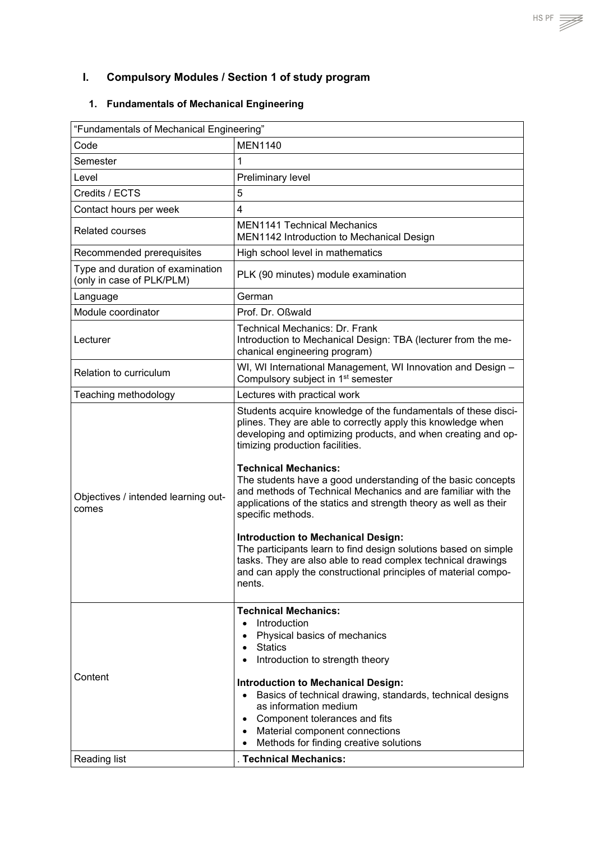# <span id="page-3-0"></span>**I. Compulsory Modules / Section 1 of study program**

# <span id="page-3-1"></span>**1. Fundamentals of Mechanical Engineering**

| Code                                                          | <b>MEN1140</b>                                                                                                                                                                                                                                                                                                                                                                                                                                                                                                                                                                                                                                                                                                                                         |
|---------------------------------------------------------------|--------------------------------------------------------------------------------------------------------------------------------------------------------------------------------------------------------------------------------------------------------------------------------------------------------------------------------------------------------------------------------------------------------------------------------------------------------------------------------------------------------------------------------------------------------------------------------------------------------------------------------------------------------------------------------------------------------------------------------------------------------|
| Semester                                                      | $\mathbf{1}$                                                                                                                                                                                                                                                                                                                                                                                                                                                                                                                                                                                                                                                                                                                                           |
| Level                                                         | Preliminary level                                                                                                                                                                                                                                                                                                                                                                                                                                                                                                                                                                                                                                                                                                                                      |
| Credits / ECTS                                                | 5                                                                                                                                                                                                                                                                                                                                                                                                                                                                                                                                                                                                                                                                                                                                                      |
| Contact hours per week                                        | $\overline{4}$                                                                                                                                                                                                                                                                                                                                                                                                                                                                                                                                                                                                                                                                                                                                         |
| <b>Related courses</b>                                        | <b>MEN1141 Technical Mechanics</b><br>MEN1142 Introduction to Mechanical Design                                                                                                                                                                                                                                                                                                                                                                                                                                                                                                                                                                                                                                                                        |
| Recommended prerequisites                                     | High school level in mathematics                                                                                                                                                                                                                                                                                                                                                                                                                                                                                                                                                                                                                                                                                                                       |
| Type and duration of examination<br>(only in case of PLK/PLM) | PLK (90 minutes) module examination                                                                                                                                                                                                                                                                                                                                                                                                                                                                                                                                                                                                                                                                                                                    |
| Language                                                      | German                                                                                                                                                                                                                                                                                                                                                                                                                                                                                                                                                                                                                                                                                                                                                 |
| Module coordinator                                            | Prof. Dr. Oßwald                                                                                                                                                                                                                                                                                                                                                                                                                                                                                                                                                                                                                                                                                                                                       |
| Lecturer                                                      | Technical Mechanics: Dr. Frank<br>Introduction to Mechanical Design: TBA (lecturer from the me-<br>chanical engineering program)                                                                                                                                                                                                                                                                                                                                                                                                                                                                                                                                                                                                                       |
| <b>Relation to curriculum</b>                                 | WI, WI International Management, WI Innovation and Design -<br>Compulsory subject in 1 <sup>st</sup> semester                                                                                                                                                                                                                                                                                                                                                                                                                                                                                                                                                                                                                                          |
| Teaching methodology                                          | Lectures with practical work                                                                                                                                                                                                                                                                                                                                                                                                                                                                                                                                                                                                                                                                                                                           |
| Objectives / intended learning out-<br>comes                  | Students acquire knowledge of the fundamentals of these disci-<br>plines. They are able to correctly apply this knowledge when<br>developing and optimizing products, and when creating and op-<br>timizing production facilities.<br><b>Technical Mechanics:</b><br>The students have a good understanding of the basic concepts<br>and methods of Technical Mechanics and are familiar with the<br>applications of the statics and strength theory as well as their<br>specific methods.<br><b>Introduction to Mechanical Design:</b><br>The participants learn to find design solutions based on simple<br>tasks. They are also able to read complex technical drawings<br>and can apply the constructional principles of material compo-<br>nents. |
| Content<br>Reading list                                       | <b>Technical Mechanics:</b><br>Introduction<br>$\bullet$<br>Physical basics of mechanics<br>$\bullet$<br>• Statics<br>Introduction to strength theory<br><b>Introduction to Mechanical Design:</b><br>Basics of technical drawing, standards, technical designs<br>$\bullet$<br>as information medium<br>Component tolerances and fits<br>$\bullet$<br>Material component connections<br>$\bullet$<br>Methods for finding creative solutions<br>$\bullet$<br>. Technical Mechanics:                                                                                                                                                                                                                                                                    |

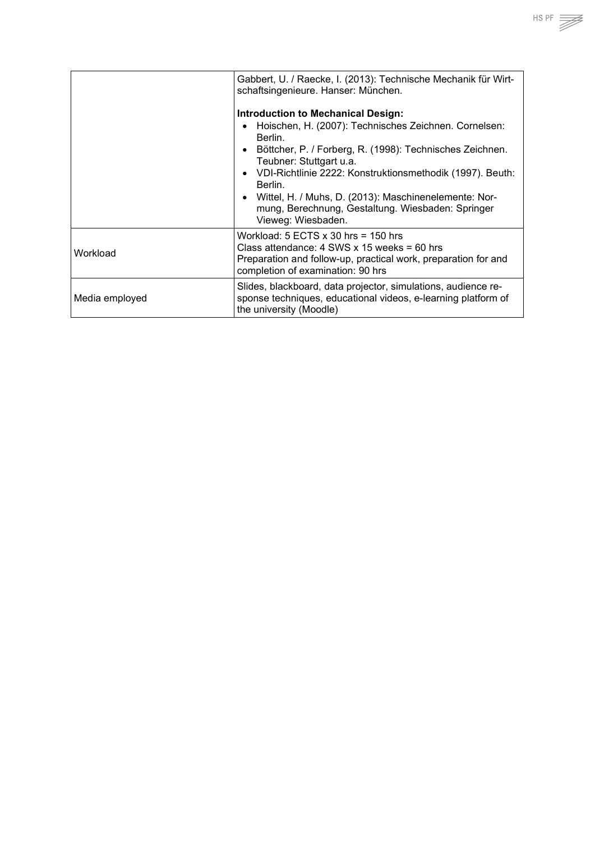|                | Gabbert, U. / Raecke, I. (2013): Technische Mechanik für Wirt-<br>schaftsingenieure. Hanser: München.<br>Introduction to Mechanical Design:<br>Hoischen, H. (2007): Technisches Zeichnen. Cornelsen:<br>Berlin.<br>Böttcher, P. / Forberg, R. (1998): Technisches Zeichnen.<br>$\bullet$<br>Teubner: Stuttgart u.a.<br>VDI-Richtlinie 2222: Konstruktionsmethodik (1997). Beuth:<br>$\bullet$<br>Berlin.<br>Wittel, H. / Muhs, D. (2013): Maschinenelemente: Nor-<br>$\bullet$<br>mung, Berechnung, Gestaltung. Wiesbaden: Springer<br>Vieweg: Wiesbaden. |
|----------------|-----------------------------------------------------------------------------------------------------------------------------------------------------------------------------------------------------------------------------------------------------------------------------------------------------------------------------------------------------------------------------------------------------------------------------------------------------------------------------------------------------------------------------------------------------------|
| Workload       | Workload: $5$ ECTS $x$ 30 hrs = 150 hrs<br>Class attendance: $4$ SWS x 15 weeks = 60 hrs<br>Preparation and follow-up, practical work, preparation for and<br>completion of examination: 90 hrs                                                                                                                                                                                                                                                                                                                                                           |
| Media employed | Slides, blackboard, data projector, simulations, audience re-<br>sponse techniques, educational videos, e-learning platform of<br>the university (Moodle)                                                                                                                                                                                                                                                                                                                                                                                                 |

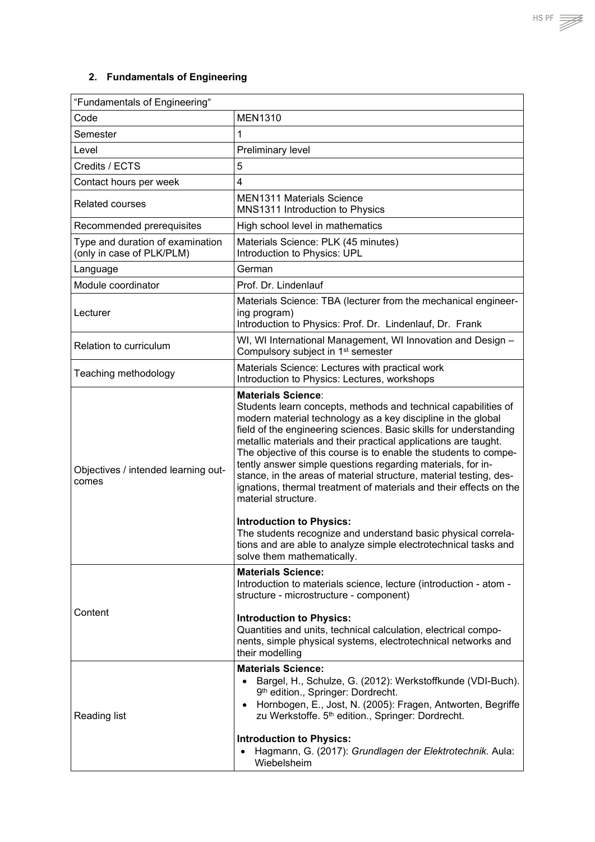# <span id="page-5-0"></span>**2. Fundamentals of Engineering**

| "Fundamentals of Engineering"                                 |                                                                                                                                                                                                                                                                                                                                                                                                                                                                                                                                                                                                                                                                                                                                                                                                                |  |  |
|---------------------------------------------------------------|----------------------------------------------------------------------------------------------------------------------------------------------------------------------------------------------------------------------------------------------------------------------------------------------------------------------------------------------------------------------------------------------------------------------------------------------------------------------------------------------------------------------------------------------------------------------------------------------------------------------------------------------------------------------------------------------------------------------------------------------------------------------------------------------------------------|--|--|
| Code                                                          | <b>MEN1310</b>                                                                                                                                                                                                                                                                                                                                                                                                                                                                                                                                                                                                                                                                                                                                                                                                 |  |  |
| Semester                                                      | 1                                                                                                                                                                                                                                                                                                                                                                                                                                                                                                                                                                                                                                                                                                                                                                                                              |  |  |
| Level                                                         | Preliminary level                                                                                                                                                                                                                                                                                                                                                                                                                                                                                                                                                                                                                                                                                                                                                                                              |  |  |
| Credits / ECTS                                                | 5                                                                                                                                                                                                                                                                                                                                                                                                                                                                                                                                                                                                                                                                                                                                                                                                              |  |  |
| Contact hours per week                                        | $\overline{\mathbf{4}}$                                                                                                                                                                                                                                                                                                                                                                                                                                                                                                                                                                                                                                                                                                                                                                                        |  |  |
| <b>Related courses</b>                                        | <b>MEN1311 Materials Science</b><br>MNS1311 Introduction to Physics                                                                                                                                                                                                                                                                                                                                                                                                                                                                                                                                                                                                                                                                                                                                            |  |  |
| Recommended prerequisites                                     | High school level in mathematics                                                                                                                                                                                                                                                                                                                                                                                                                                                                                                                                                                                                                                                                                                                                                                               |  |  |
| Type and duration of examination<br>(only in case of PLK/PLM) | Materials Science: PLK (45 minutes)<br>Introduction to Physics: UPL                                                                                                                                                                                                                                                                                                                                                                                                                                                                                                                                                                                                                                                                                                                                            |  |  |
| Language                                                      | German                                                                                                                                                                                                                                                                                                                                                                                                                                                                                                                                                                                                                                                                                                                                                                                                         |  |  |
| Module coordinator                                            | Prof. Dr. Lindenlauf                                                                                                                                                                                                                                                                                                                                                                                                                                                                                                                                                                                                                                                                                                                                                                                           |  |  |
| Lecturer                                                      | Materials Science: TBA (lecturer from the mechanical engineer-<br>ing program)<br>Introduction to Physics: Prof. Dr. Lindenlauf, Dr. Frank                                                                                                                                                                                                                                                                                                                                                                                                                                                                                                                                                                                                                                                                     |  |  |
| Relation to curriculum                                        | WI, WI International Management, WI Innovation and Design -<br>Compulsory subject in 1 <sup>st</sup> semester                                                                                                                                                                                                                                                                                                                                                                                                                                                                                                                                                                                                                                                                                                  |  |  |
| Teaching methodology                                          | Materials Science: Lectures with practical work<br>Introduction to Physics: Lectures, workshops                                                                                                                                                                                                                                                                                                                                                                                                                                                                                                                                                                                                                                                                                                                |  |  |
| Objectives / intended learning out-<br>comes                  | <b>Materials Science:</b><br>Students learn concepts, methods and technical capabilities of<br>modern material technology as a key discipline in the global<br>field of the engineering sciences. Basic skills for understanding<br>metallic materials and their practical applications are taught.<br>The objective of this course is to enable the students to compe-<br>tently answer simple questions regarding materials, for in-<br>stance, in the areas of material structure, material testing, des-<br>ignations, thermal treatment of materials and their effects on the<br>material structure.<br><b>Introduction to Physics:</b><br>The students recognize and understand basic physical correla-<br>tions and are able to analyze simple electrotechnical tasks and<br>solve them mathematically. |  |  |
| Content                                                       | <b>Materials Science:</b><br>Introduction to materials science, lecture (introduction - atom -<br>structure - microstructure - component)<br><b>Introduction to Physics:</b><br>Quantities and units, technical calculation, electrical compo-<br>nents, simple physical systems, electrotechnical networks and<br>their modelling                                                                                                                                                                                                                                                                                                                                                                                                                                                                             |  |  |
| <b>Reading list</b>                                           | <b>Materials Science:</b><br>Bargel, H., Schulze, G. (2012): Werkstoffkunde (VDI-Buch).<br>$\bullet$<br>9th edition., Springer: Dordrecht.<br>Hornbogen, E., Jost, N. (2005): Fragen, Antworten, Begriffe<br>$\bullet$<br>zu Werkstoffe. 5th edition., Springer: Dordrecht.<br><b>Introduction to Physics:</b><br>Hagmann, G. (2017): Grundlagen der Elektrotechnik. Aula:<br>Wiebelsheim                                                                                                                                                                                                                                                                                                                                                                                                                      |  |  |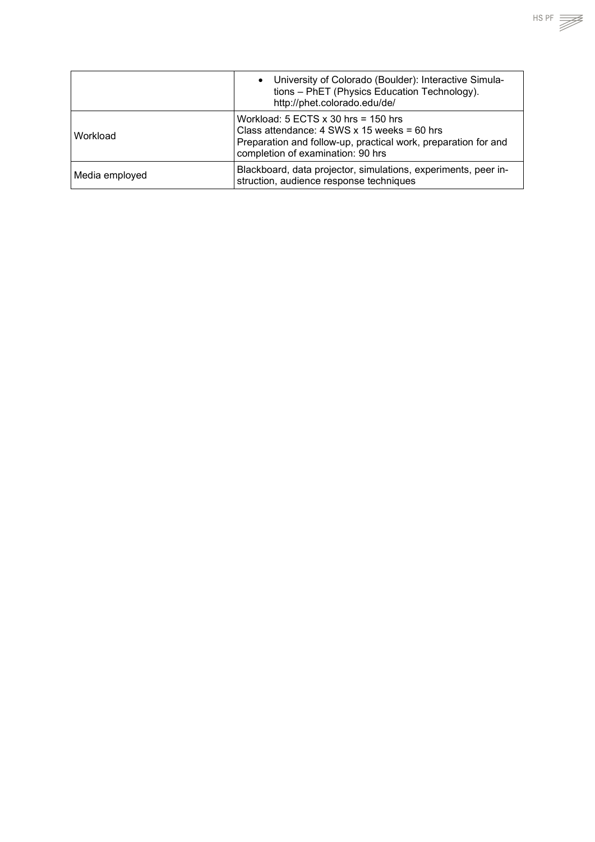|                | • University of Colorado (Boulder): Interactive Simula-<br>tions - PhET (Physics Education Technology).<br>http://phet.colorado.edu/de/                                                       |
|----------------|-----------------------------------------------------------------------------------------------------------------------------------------------------------------------------------------------|
| Workload       | Workload: $5$ ECTS x 30 hrs = 150 hrs<br>Class attendance: $4$ SWS x 15 weeks = 60 hrs<br>Preparation and follow-up, practical work, preparation for and<br>completion of examination: 90 hrs |
| Media employed | Blackboard, data projector, simulations, experiments, peer in-<br>struction, audience response techniques                                                                                     |

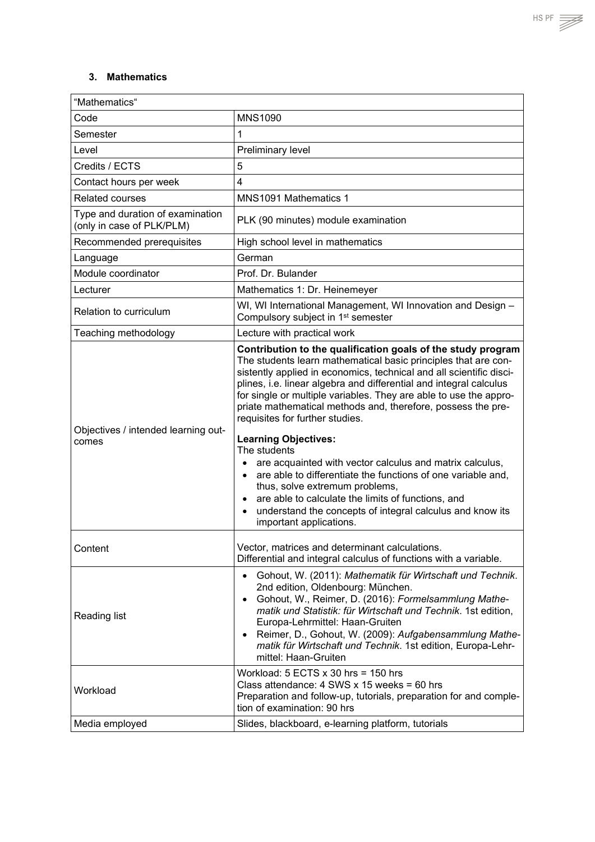#### <span id="page-7-0"></span>**3. Mathematics**

| "Mathematics"                                                 |                                                                                                                                                                                                                                                                                                                                                                                                                                                                                                                                                                                                                                                                                                                                                                                                                             |  |  |
|---------------------------------------------------------------|-----------------------------------------------------------------------------------------------------------------------------------------------------------------------------------------------------------------------------------------------------------------------------------------------------------------------------------------------------------------------------------------------------------------------------------------------------------------------------------------------------------------------------------------------------------------------------------------------------------------------------------------------------------------------------------------------------------------------------------------------------------------------------------------------------------------------------|--|--|
| Code                                                          | <b>MNS1090</b>                                                                                                                                                                                                                                                                                                                                                                                                                                                                                                                                                                                                                                                                                                                                                                                                              |  |  |
| Semester                                                      | 1                                                                                                                                                                                                                                                                                                                                                                                                                                                                                                                                                                                                                                                                                                                                                                                                                           |  |  |
| Level                                                         | Preliminary level                                                                                                                                                                                                                                                                                                                                                                                                                                                                                                                                                                                                                                                                                                                                                                                                           |  |  |
| Credits / ECTS                                                | 5                                                                                                                                                                                                                                                                                                                                                                                                                                                                                                                                                                                                                                                                                                                                                                                                                           |  |  |
| Contact hours per week                                        | 4                                                                                                                                                                                                                                                                                                                                                                                                                                                                                                                                                                                                                                                                                                                                                                                                                           |  |  |
| <b>Related courses</b>                                        | MNS1091 Mathematics 1                                                                                                                                                                                                                                                                                                                                                                                                                                                                                                                                                                                                                                                                                                                                                                                                       |  |  |
| Type and duration of examination<br>(only in case of PLK/PLM) | PLK (90 minutes) module examination                                                                                                                                                                                                                                                                                                                                                                                                                                                                                                                                                                                                                                                                                                                                                                                         |  |  |
| Recommended prerequisites                                     | High school level in mathematics                                                                                                                                                                                                                                                                                                                                                                                                                                                                                                                                                                                                                                                                                                                                                                                            |  |  |
| Language                                                      | German                                                                                                                                                                                                                                                                                                                                                                                                                                                                                                                                                                                                                                                                                                                                                                                                                      |  |  |
| Module coordinator                                            | Prof. Dr. Bulander                                                                                                                                                                                                                                                                                                                                                                                                                                                                                                                                                                                                                                                                                                                                                                                                          |  |  |
| Lecturer                                                      | Mathematics 1: Dr. Heinemeyer                                                                                                                                                                                                                                                                                                                                                                                                                                                                                                                                                                                                                                                                                                                                                                                               |  |  |
| Relation to curriculum                                        | WI, WI International Management, WI Innovation and Design -<br>Compulsory subject in 1 <sup>st</sup> semester                                                                                                                                                                                                                                                                                                                                                                                                                                                                                                                                                                                                                                                                                                               |  |  |
| Teaching methodology                                          | Lecture with practical work                                                                                                                                                                                                                                                                                                                                                                                                                                                                                                                                                                                                                                                                                                                                                                                                 |  |  |
| Objectives / intended learning out-<br>comes                  | Contribution to the qualification goals of the study program<br>The students learn mathematical basic principles that are con-<br>sistently applied in economics, technical and all scientific disci-<br>plines, i.e. linear algebra and differential and integral calculus<br>for single or multiple variables. They are able to use the appro-<br>priate mathematical methods and, therefore, possess the pre-<br>requisites for further studies.<br><b>Learning Objectives:</b><br>The students<br>are acquainted with vector calculus and matrix calculus,<br>are able to differentiate the functions of one variable and,<br>thus, solve extremum problems,<br>are able to calculate the limits of functions, and<br>$\bullet$<br>understand the concepts of integral calculus and know its<br>important applications. |  |  |
| Content                                                       | Vector, matrices and determinant calculations.<br>Differential and integral calculus of functions with a variable.                                                                                                                                                                                                                                                                                                                                                                                                                                                                                                                                                                                                                                                                                                          |  |  |
| Reading list                                                  | Gohout, W. (2011): Mathematik für Wirtschaft und Technik.<br>$\bullet$<br>2nd edition, Oldenbourg: München.<br>Gohout, W., Reimer, D. (2016): Formelsammlung Mathe-<br>$\bullet$<br>matik und Statistik: für Wirtschaft und Technik. 1st edition,<br>Europa-Lehrmittel: Haan-Gruiten<br>Reimer, D., Gohout, W. (2009): Aufgabensammlung Mathe-<br>$\bullet$<br>matik für Wirtschaft und Technik. 1st edition, Europa-Lehr-<br>mittel: Haan-Gruiten                                                                                                                                                                                                                                                                                                                                                                          |  |  |
| Workload                                                      | Workload: $5$ ECTS $x$ 30 hrs = 150 hrs<br>Class attendance: $4$ SWS x 15 weeks = 60 hrs<br>Preparation and follow-up, tutorials, preparation for and comple-<br>tion of examination: 90 hrs                                                                                                                                                                                                                                                                                                                                                                                                                                                                                                                                                                                                                                |  |  |
| Media employed                                                | Slides, blackboard, e-learning platform, tutorials                                                                                                                                                                                                                                                                                                                                                                                                                                                                                                                                                                                                                                                                                                                                                                          |  |  |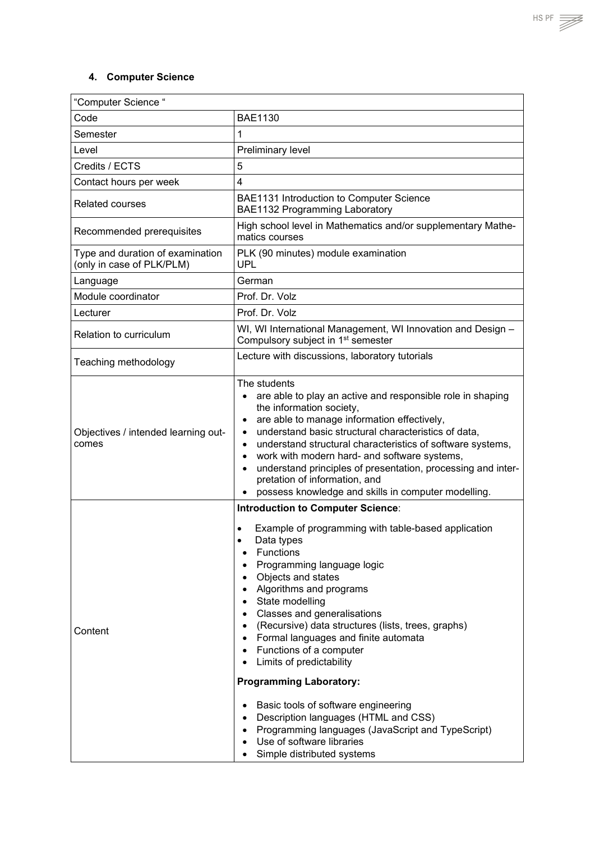## <span id="page-8-0"></span>**4. Computer Science**

| "Computer Science "                                           |                                                                                                                                                                                                                                                                                                                                                                                                                                                                                                                                                                                                                                                                                                        |  |  |
|---------------------------------------------------------------|--------------------------------------------------------------------------------------------------------------------------------------------------------------------------------------------------------------------------------------------------------------------------------------------------------------------------------------------------------------------------------------------------------------------------------------------------------------------------------------------------------------------------------------------------------------------------------------------------------------------------------------------------------------------------------------------------------|--|--|
| Code                                                          | <b>BAE1130</b>                                                                                                                                                                                                                                                                                                                                                                                                                                                                                                                                                                                                                                                                                         |  |  |
| Semester                                                      | 1                                                                                                                                                                                                                                                                                                                                                                                                                                                                                                                                                                                                                                                                                                      |  |  |
| Level                                                         | Preliminary level                                                                                                                                                                                                                                                                                                                                                                                                                                                                                                                                                                                                                                                                                      |  |  |
| Credits / ECTS                                                | 5                                                                                                                                                                                                                                                                                                                                                                                                                                                                                                                                                                                                                                                                                                      |  |  |
| Contact hours per week                                        | 4                                                                                                                                                                                                                                                                                                                                                                                                                                                                                                                                                                                                                                                                                                      |  |  |
| <b>Related courses</b>                                        | BAE1131 Introduction to Computer Science<br>BAE1132 Programming Laboratory                                                                                                                                                                                                                                                                                                                                                                                                                                                                                                                                                                                                                             |  |  |
| Recommended prerequisites                                     | High school level in Mathematics and/or supplementary Mathe-<br>matics courses                                                                                                                                                                                                                                                                                                                                                                                                                                                                                                                                                                                                                         |  |  |
| Type and duration of examination<br>(only in case of PLK/PLM) | PLK (90 minutes) module examination<br><b>UPL</b>                                                                                                                                                                                                                                                                                                                                                                                                                                                                                                                                                                                                                                                      |  |  |
| Language                                                      | German                                                                                                                                                                                                                                                                                                                                                                                                                                                                                                                                                                                                                                                                                                 |  |  |
| Module coordinator                                            | Prof. Dr. Volz                                                                                                                                                                                                                                                                                                                                                                                                                                                                                                                                                                                                                                                                                         |  |  |
| Lecturer                                                      | Prof. Dr. Volz                                                                                                                                                                                                                                                                                                                                                                                                                                                                                                                                                                                                                                                                                         |  |  |
| <b>Relation to curriculum</b>                                 | WI, WI International Management, WI Innovation and Design -<br>Compulsory subject in 1 <sup>st</sup> semester                                                                                                                                                                                                                                                                                                                                                                                                                                                                                                                                                                                          |  |  |
| Teaching methodology                                          | Lecture with discussions, laboratory tutorials                                                                                                                                                                                                                                                                                                                                                                                                                                                                                                                                                                                                                                                         |  |  |
| Objectives / intended learning out-<br>comes                  | The students<br>are able to play an active and responsible role in shaping<br>$\bullet$<br>the information society,<br>are able to manage information effectively,<br>$\bullet$<br>understand basic structural characteristics of data,<br>$\bullet$<br>understand structural characteristics of software systems,<br>$\bullet$<br>work with modern hard- and software systems,<br>$\bullet$<br>understand principles of presentation, processing and inter-<br>$\bullet$<br>pretation of information, and<br>possess knowledge and skills in computer modelling.                                                                                                                                      |  |  |
| Content                                                       | <b>Introduction to Computer Science:</b><br>Example of programming with table-based application<br>Data types<br>$\bullet$<br><b>Functions</b><br>Programming language logic<br>Objects and states<br>Algorithms and programs<br>State modelling<br><b>Classes and generalisations</b><br>(Recursive) data structures (lists, trees, graphs)<br>Formal languages and finite automata<br>Functions of a computer<br>Limits of predictability<br><b>Programming Laboratory:</b><br>Basic tools of software engineering<br>$\bullet$<br>Description languages (HTML and CSS)<br>$\bullet$<br>Programming languages (JavaScript and TypeScript)<br>Use of software libraries<br>Simple distributed systems |  |  |

 $HSPF \implies$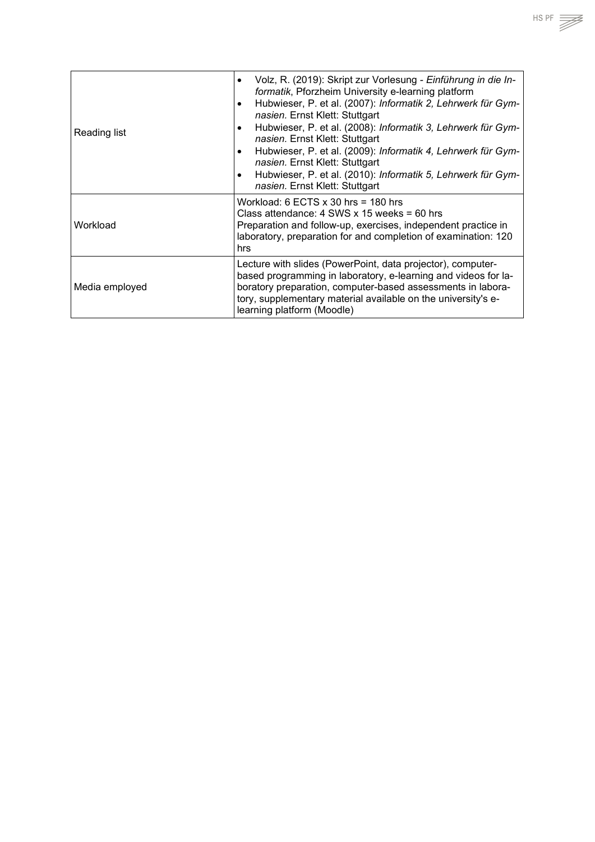| Reading list   | Volz, R. (2019): Skript zur Vorlesung - Einführung in die In-<br>formatik, Pforzheim University e-learning platform<br>Hubwieser, P. et al. (2007): Informatik 2, Lehrwerk für Gym-<br>$\bullet$<br>nasien. Ernst Klett: Stuttgart<br>Hubwieser, P. et al. (2008): Informatik 3, Lehrwerk für Gym-<br>nasien. Ernst Klett: Stuttgart<br>Hubwieser, P. et al. (2009): Informatik 4, Lehrwerk für Gym-<br>$\bullet$<br>nasien. Ernst Klett: Stuttgart<br>Hubwieser, P. et al. (2010): Informatik 5, Lehrwerk für Gym-<br>$\bullet$<br>nasien. Ernst Klett: Stuttgart |
|----------------|--------------------------------------------------------------------------------------------------------------------------------------------------------------------------------------------------------------------------------------------------------------------------------------------------------------------------------------------------------------------------------------------------------------------------------------------------------------------------------------------------------------------------------------------------------------------|
| Workload       | Workload: 6 ECTS $\times$ 30 hrs = 180 hrs<br>Class attendance: $4$ SWS x 15 weeks = 60 hrs<br>Preparation and follow-up, exercises, independent practice in<br>laboratory, preparation for and completion of examination: 120<br>hrs                                                                                                                                                                                                                                                                                                                              |
| Media employed | Lecture with slides (PowerPoint, data projector), computer-<br>based programming in laboratory, e-learning and videos for la-<br>boratory preparation, computer-based assessments in labora-<br>tory, supplementary material available on the university's e-<br>learning platform (Moodle)                                                                                                                                                                                                                                                                        |

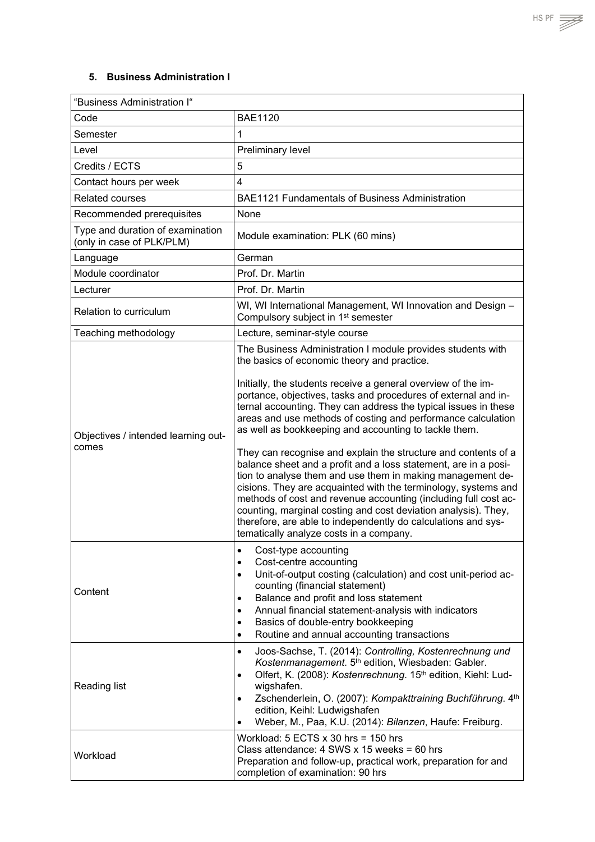### <span id="page-10-0"></span>**5. Business Administration I**

| "Business Administration I"                                   |                                                                                                                                                                                                                                                                                                                                                                                                                                                                                                                    |  |  |
|---------------------------------------------------------------|--------------------------------------------------------------------------------------------------------------------------------------------------------------------------------------------------------------------------------------------------------------------------------------------------------------------------------------------------------------------------------------------------------------------------------------------------------------------------------------------------------------------|--|--|
| Code                                                          | <b>BAE1120</b>                                                                                                                                                                                                                                                                                                                                                                                                                                                                                                     |  |  |
| Semester                                                      | $\mathbf{1}$                                                                                                                                                                                                                                                                                                                                                                                                                                                                                                       |  |  |
| Level                                                         | Preliminary level                                                                                                                                                                                                                                                                                                                                                                                                                                                                                                  |  |  |
| Credits / ECTS                                                | 5                                                                                                                                                                                                                                                                                                                                                                                                                                                                                                                  |  |  |
| Contact hours per week                                        | $\overline{4}$                                                                                                                                                                                                                                                                                                                                                                                                                                                                                                     |  |  |
| <b>Related courses</b>                                        | BAE1121 Fundamentals of Business Administration                                                                                                                                                                                                                                                                                                                                                                                                                                                                    |  |  |
| Recommended prerequisites                                     | None                                                                                                                                                                                                                                                                                                                                                                                                                                                                                                               |  |  |
| Type and duration of examination<br>(only in case of PLK/PLM) | Module examination: PLK (60 mins)                                                                                                                                                                                                                                                                                                                                                                                                                                                                                  |  |  |
| Language                                                      | German                                                                                                                                                                                                                                                                                                                                                                                                                                                                                                             |  |  |
| Module coordinator                                            | Prof. Dr. Martin                                                                                                                                                                                                                                                                                                                                                                                                                                                                                                   |  |  |
| Lecturer                                                      | Prof. Dr. Martin                                                                                                                                                                                                                                                                                                                                                                                                                                                                                                   |  |  |
| Relation to curriculum                                        | WI, WI International Management, WI Innovation and Design -<br>Compulsory subject in 1 <sup>st</sup> semester                                                                                                                                                                                                                                                                                                                                                                                                      |  |  |
| Teaching methodology                                          | Lecture, seminar-style course                                                                                                                                                                                                                                                                                                                                                                                                                                                                                      |  |  |
|                                                               | The Business Administration I module provides students with<br>the basics of economic theory and practice.<br>Initially, the students receive a general overview of the im-                                                                                                                                                                                                                                                                                                                                        |  |  |
| Objectives / intended learning out-                           | portance, objectives, tasks and procedures of external and in-<br>ternal accounting. They can address the typical issues in these<br>areas and use methods of costing and performance calculation<br>as well as bookkeeping and accounting to tackle them.                                                                                                                                                                                                                                                         |  |  |
| comes                                                         | They can recognise and explain the structure and contents of a<br>balance sheet and a profit and a loss statement, are in a posi-<br>tion to analyse them and use them in making management de-<br>cisions. They are acquainted with the terminology, systems and<br>methods of cost and revenue accounting (including full cost ac-<br>counting, marginal costing and cost deviation analysis). They,<br>therefore, are able to independently do calculations and sys-<br>tematically analyze costs in a company. |  |  |
| Content                                                       | Cost-type accounting<br>$\bullet$<br>Cost-centre accounting<br>$\bullet$<br>Unit-of-output costing (calculation) and cost unit-period ac-<br>$\bullet$<br>counting (financial statement)<br>Balance and profit and loss statement<br>$\bullet$<br>Annual financial statement-analysis with indicators<br>$\bullet$<br>Basics of double-entry bookkeeping<br>$\bullet$<br>Routine and annual accounting transactions<br>$\bullet$                                                                                   |  |  |
| <b>Reading list</b>                                           | Joos-Sachse, T. (2014): Controlling, Kostenrechnung und<br>$\bullet$<br>Kostenmanagement. 5th edition, Wiesbaden: Gabler.<br>Olfert, K. (2008): Kostenrechnung. 15th edition, Kiehl: Lud-<br>$\bullet$<br>wigshafen.<br>Zschenderlein, O. (2007): Kompakttraining Buchführung. 4th<br>$\bullet$<br>edition, Keihl: Ludwigshafen<br>Weber, M., Paa, K.U. (2014): Bilanzen, Haufe: Freiburg.<br>$\bullet$                                                                                                            |  |  |
| Workload                                                      | Workload: $5$ ECTS $x$ 30 hrs = 150 hrs<br>Class attendance: $4$ SWS x 15 weeks = 60 hrs<br>Preparation and follow-up, practical work, preparation for and<br>completion of examination: 90 hrs                                                                                                                                                                                                                                                                                                                    |  |  |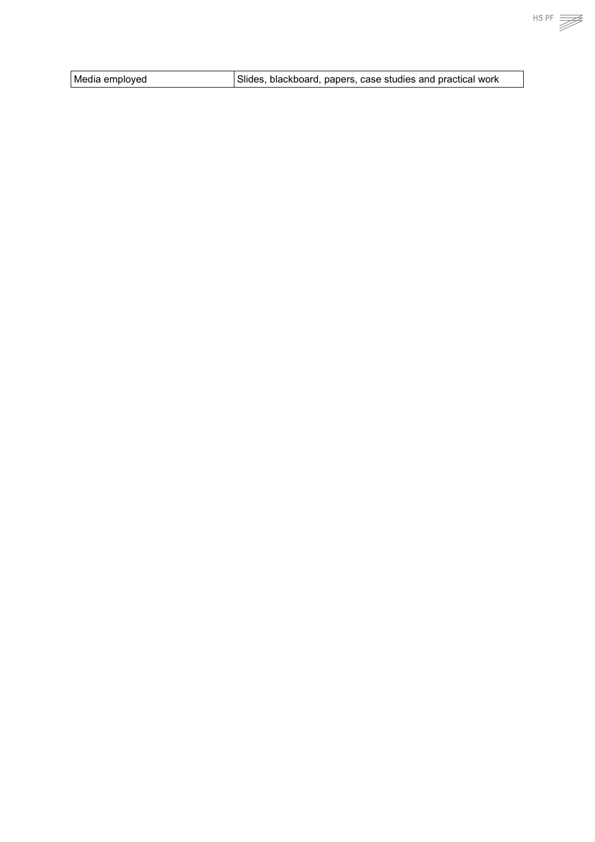| Media employed | Slides, blackboard, papers, case studies and practical work |
|----------------|-------------------------------------------------------------|
|                |                                                             |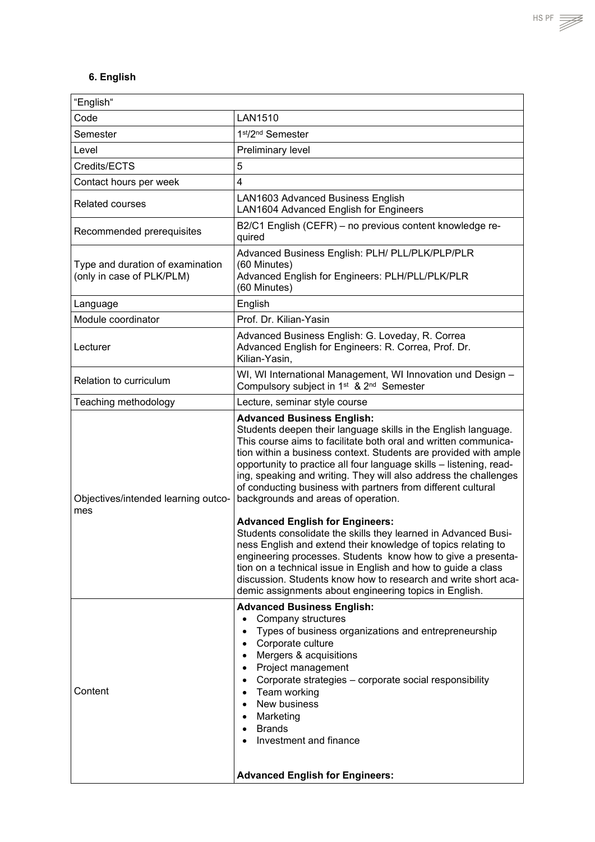<span id="page-12-0"></span>

| "English"                                                     |                                                                                                                                                                                                                                                                                                                                                                                                                                                                                                                                                                                                                                                                                                                                                                                                                                                                                                                                        |  |  |
|---------------------------------------------------------------|----------------------------------------------------------------------------------------------------------------------------------------------------------------------------------------------------------------------------------------------------------------------------------------------------------------------------------------------------------------------------------------------------------------------------------------------------------------------------------------------------------------------------------------------------------------------------------------------------------------------------------------------------------------------------------------------------------------------------------------------------------------------------------------------------------------------------------------------------------------------------------------------------------------------------------------|--|--|
| Code                                                          | LAN1510                                                                                                                                                                                                                                                                                                                                                                                                                                                                                                                                                                                                                                                                                                                                                                                                                                                                                                                                |  |  |
| Semester                                                      | 1st/2nd Semester                                                                                                                                                                                                                                                                                                                                                                                                                                                                                                                                                                                                                                                                                                                                                                                                                                                                                                                       |  |  |
| Level                                                         | Preliminary level                                                                                                                                                                                                                                                                                                                                                                                                                                                                                                                                                                                                                                                                                                                                                                                                                                                                                                                      |  |  |
| Credits/ECTS                                                  | 5                                                                                                                                                                                                                                                                                                                                                                                                                                                                                                                                                                                                                                                                                                                                                                                                                                                                                                                                      |  |  |
| Contact hours per week                                        | 4                                                                                                                                                                                                                                                                                                                                                                                                                                                                                                                                                                                                                                                                                                                                                                                                                                                                                                                                      |  |  |
| <b>Related courses</b>                                        | LAN1603 Advanced Business English<br>LAN1604 Advanced English for Engineers                                                                                                                                                                                                                                                                                                                                                                                                                                                                                                                                                                                                                                                                                                                                                                                                                                                            |  |  |
| Recommended prerequisites                                     | B2/C1 English (CEFR) - no previous content knowledge re-<br>quired                                                                                                                                                                                                                                                                                                                                                                                                                                                                                                                                                                                                                                                                                                                                                                                                                                                                     |  |  |
| Type and duration of examination<br>(only in case of PLK/PLM) | Advanced Business English: PLH/ PLL/PLK/PLP/PLR<br>(60 Minutes)<br>Advanced English for Engineers: PLH/PLL/PLK/PLR<br>(60 Minutes)                                                                                                                                                                                                                                                                                                                                                                                                                                                                                                                                                                                                                                                                                                                                                                                                     |  |  |
| Language                                                      | English                                                                                                                                                                                                                                                                                                                                                                                                                                                                                                                                                                                                                                                                                                                                                                                                                                                                                                                                |  |  |
| Module coordinator                                            | Prof. Dr. Kilian-Yasin                                                                                                                                                                                                                                                                                                                                                                                                                                                                                                                                                                                                                                                                                                                                                                                                                                                                                                                 |  |  |
| Lecturer                                                      | Advanced Business English: G. Loveday, R. Correa<br>Advanced English for Engineers: R. Correa, Prof. Dr.<br>Kilian-Yasin.                                                                                                                                                                                                                                                                                                                                                                                                                                                                                                                                                                                                                                                                                                                                                                                                              |  |  |
| Relation to curriculum                                        | WI, WI International Management, WI Innovation und Design -<br>Compulsory subject in 1 <sup>st</sup> & 2 <sup>nd</sup> Semester                                                                                                                                                                                                                                                                                                                                                                                                                                                                                                                                                                                                                                                                                                                                                                                                        |  |  |
| Teaching methodology                                          | Lecture, seminar style course                                                                                                                                                                                                                                                                                                                                                                                                                                                                                                                                                                                                                                                                                                                                                                                                                                                                                                          |  |  |
| Objectives/intended learning outco-<br>mes                    | <b>Advanced Business English:</b><br>Students deepen their language skills in the English language.<br>This course aims to facilitate both oral and written communica-<br>tion within a business context. Students are provided with ample<br>opportunity to practice all four language skills - listening, read-<br>ing, speaking and writing. They will also address the challenges<br>of conducting business with partners from different cultural<br>backgrounds and areas of operation.<br><b>Advanced English for Engineers:</b><br>Students consolidate the skills they learned in Advanced Busi-<br>ness English and extend their knowledge of topics relating to<br>engineering processes. Students know how to give a presenta-<br>tion on a technical issue in English and how to guide a class<br>discussion. Students know how to research and write short aca-<br>demic assignments about engineering topics in English. |  |  |
| Content                                                       | <b>Advanced Business English:</b><br>Company structures<br>$\bullet$<br>Types of business organizations and entrepreneurship<br>$\bullet$<br>Corporate culture<br>$\bullet$<br>Mergers & acquisitions<br>$\bullet$<br>Project management<br>$\bullet$<br>Corporate strategies - corporate social responsibility<br>$\bullet$<br>• Team working<br>New business<br>Marketing<br>$\bullet$<br>Brands<br>$\bullet$<br>Investment and finance<br><b>Advanced English for Engineers:</b>                                                                                                                                                                                                                                                                                                                                                                                                                                                    |  |  |

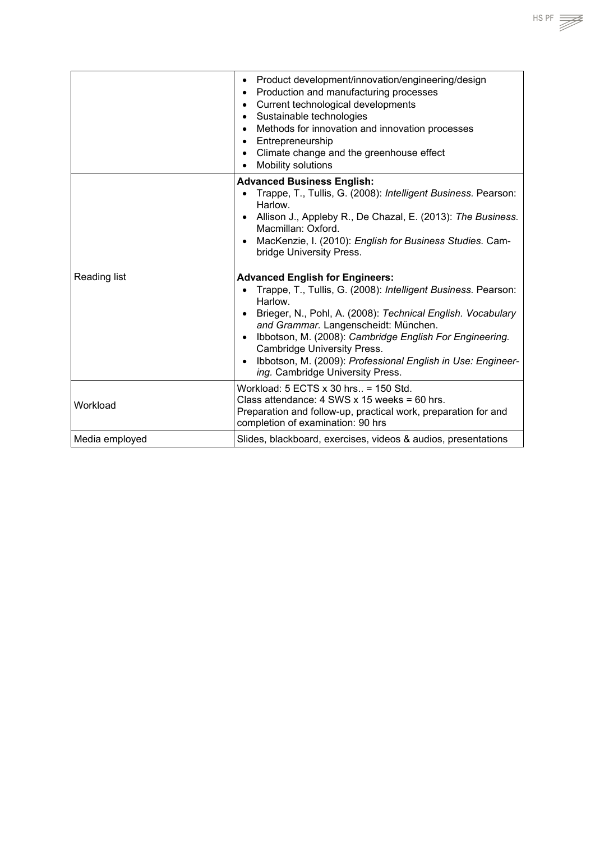|                | Product development/innovation/engineering/design<br>$\bullet$<br>Production and manufacturing processes<br>$\bullet$<br>Current technological developments<br>$\bullet$<br>Sustainable technologies<br>$\bullet$<br>Methods for innovation and innovation processes<br>$\bullet$<br>Entrepreneurship<br>$\bullet$<br>Climate change and the greenhouse effect<br>$\bullet$<br>Mobility solutions |
|----------------|---------------------------------------------------------------------------------------------------------------------------------------------------------------------------------------------------------------------------------------------------------------------------------------------------------------------------------------------------------------------------------------------------|
|                | <b>Advanced Business English:</b>                                                                                                                                                                                                                                                                                                                                                                 |
|                | Trappe, T., Tullis, G. (2008): Intelligent Business. Pearson:<br>Harlow.                                                                                                                                                                                                                                                                                                                          |
|                | Allison J., Appleby R., De Chazal, E. (2013): The Business.<br>$\bullet$<br>Macmillan: Oxford.                                                                                                                                                                                                                                                                                                    |
|                | MacKenzie, I. (2010): English for Business Studies. Cam-<br>$\bullet$<br>bridge University Press.                                                                                                                                                                                                                                                                                                 |
| Reading list   | <b>Advanced English for Engineers:</b>                                                                                                                                                                                                                                                                                                                                                            |
|                | Trappe, T., Tullis, G. (2008): Intelligent Business. Pearson:<br>Harlow.                                                                                                                                                                                                                                                                                                                          |
|                | Brieger, N., Pohl, A. (2008): Technical English. Vocabulary<br>$\bullet$<br>and Grammar. Langenscheidt: München.                                                                                                                                                                                                                                                                                  |
|                | Ibbotson, M. (2008): Cambridge English For Engineering.<br>$\bullet$<br><b>Cambridge University Press.</b>                                                                                                                                                                                                                                                                                        |
|                | Ibbotson, M. (2009): Professional English in Use: Engineer-<br>$\bullet$<br>ing. Cambridge University Press.                                                                                                                                                                                                                                                                                      |
| Workload       | Workload: 5 ECTS x 30 hrs = 150 Std.                                                                                                                                                                                                                                                                                                                                                              |
|                | Class attendance: $4$ SWS x 15 weeks = 60 hrs.<br>Preparation and follow-up, practical work, preparation for and<br>completion of examination: 90 hrs                                                                                                                                                                                                                                             |
| Media employed | Slides, blackboard, exercises, videos & audios, presentations                                                                                                                                                                                                                                                                                                                                     |

 $HSPF \implies$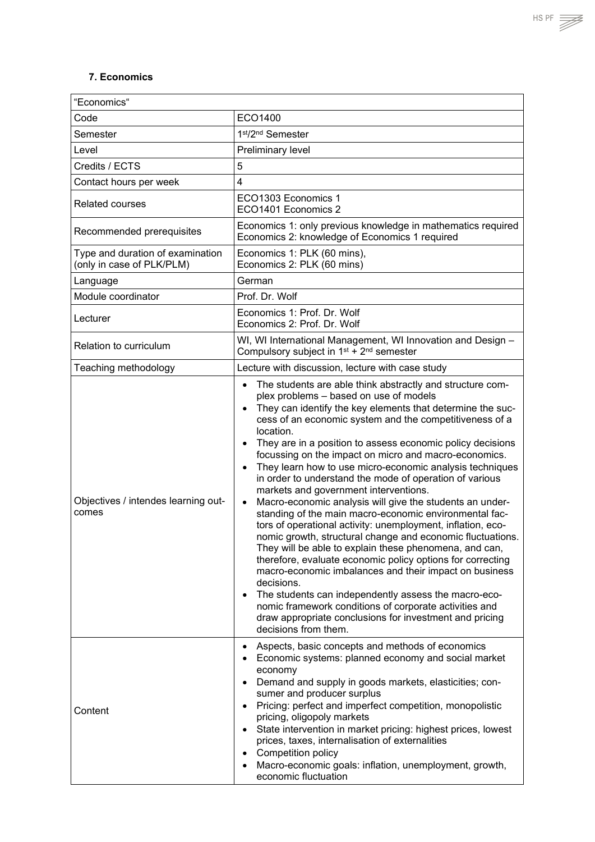#### <span id="page-14-0"></span>**7. Economics**

| "Economics"                                                   |                                                                                                                                                                                                                                                                                                                                                                                                                                                                                                                                                                                                                                                                                                                                                                                                                                                                                                                                                                                                                                                                                                                                                                                                                                                                        |
|---------------------------------------------------------------|------------------------------------------------------------------------------------------------------------------------------------------------------------------------------------------------------------------------------------------------------------------------------------------------------------------------------------------------------------------------------------------------------------------------------------------------------------------------------------------------------------------------------------------------------------------------------------------------------------------------------------------------------------------------------------------------------------------------------------------------------------------------------------------------------------------------------------------------------------------------------------------------------------------------------------------------------------------------------------------------------------------------------------------------------------------------------------------------------------------------------------------------------------------------------------------------------------------------------------------------------------------------|
| Code                                                          | ECO1400                                                                                                                                                                                                                                                                                                                                                                                                                                                                                                                                                                                                                                                                                                                                                                                                                                                                                                                                                                                                                                                                                                                                                                                                                                                                |
| Semester                                                      | 1st/2nd Semester                                                                                                                                                                                                                                                                                                                                                                                                                                                                                                                                                                                                                                                                                                                                                                                                                                                                                                                                                                                                                                                                                                                                                                                                                                                       |
| Level                                                         | Preliminary level                                                                                                                                                                                                                                                                                                                                                                                                                                                                                                                                                                                                                                                                                                                                                                                                                                                                                                                                                                                                                                                                                                                                                                                                                                                      |
| Credits / ECTS                                                | 5                                                                                                                                                                                                                                                                                                                                                                                                                                                                                                                                                                                                                                                                                                                                                                                                                                                                                                                                                                                                                                                                                                                                                                                                                                                                      |
| Contact hours per week                                        | $\overline{\mathbf{4}}$                                                                                                                                                                                                                                                                                                                                                                                                                                                                                                                                                                                                                                                                                                                                                                                                                                                                                                                                                                                                                                                                                                                                                                                                                                                |
| <b>Related courses</b>                                        | ECO1303 Economics 1<br>ECO1401 Economics 2                                                                                                                                                                                                                                                                                                                                                                                                                                                                                                                                                                                                                                                                                                                                                                                                                                                                                                                                                                                                                                                                                                                                                                                                                             |
| Recommended prerequisites                                     | Economics 1: only previous knowledge in mathematics required<br>Economics 2: knowledge of Economics 1 required                                                                                                                                                                                                                                                                                                                                                                                                                                                                                                                                                                                                                                                                                                                                                                                                                                                                                                                                                                                                                                                                                                                                                         |
| Type and duration of examination<br>(only in case of PLK/PLM) | Economics 1: PLK (60 mins),<br>Economics 2: PLK (60 mins)                                                                                                                                                                                                                                                                                                                                                                                                                                                                                                                                                                                                                                                                                                                                                                                                                                                                                                                                                                                                                                                                                                                                                                                                              |
| Language                                                      | German                                                                                                                                                                                                                                                                                                                                                                                                                                                                                                                                                                                                                                                                                                                                                                                                                                                                                                                                                                                                                                                                                                                                                                                                                                                                 |
| Module coordinator                                            | Prof. Dr. Wolf                                                                                                                                                                                                                                                                                                                                                                                                                                                                                                                                                                                                                                                                                                                                                                                                                                                                                                                                                                                                                                                                                                                                                                                                                                                         |
| Lecturer                                                      | Economics 1: Prof. Dr. Wolf<br>Economics 2: Prof. Dr. Wolf                                                                                                                                                                                                                                                                                                                                                                                                                                                                                                                                                                                                                                                                                                                                                                                                                                                                                                                                                                                                                                                                                                                                                                                                             |
| <b>Relation to curriculum</b>                                 | WI, WI International Management, WI Innovation and Design -<br>Compulsory subject in $1^{st}$ + $2^{nd}$ semester                                                                                                                                                                                                                                                                                                                                                                                                                                                                                                                                                                                                                                                                                                                                                                                                                                                                                                                                                                                                                                                                                                                                                      |
| Teaching methodology                                          | Lecture with discussion, lecture with case study                                                                                                                                                                                                                                                                                                                                                                                                                                                                                                                                                                                                                                                                                                                                                                                                                                                                                                                                                                                                                                                                                                                                                                                                                       |
| Objectives / intendes learning out-<br>comes                  | The students are able think abstractly and structure com-<br>$\bullet$<br>plex problems - based on use of models<br>They can identify the key elements that determine the suc-<br>$\bullet$<br>cess of an economic system and the competitiveness of a<br>location.<br>They are in a position to assess economic policy decisions<br>$\bullet$<br>focussing on the impact on micro and macro-economics.<br>They learn how to use micro-economic analysis techniques<br>$\bullet$<br>in order to understand the mode of operation of various<br>markets and government interventions.<br>Macro-economic analysis will give the students an under-<br>$\bullet$<br>standing of the main macro-economic environmental fac-<br>tors of operational activity: unemployment, inflation, eco-<br>nomic growth, structural change and economic fluctuations.<br>They will be able to explain these phenomena, and can,<br>therefore, evaluate economic policy options for correcting<br>macro-economic imbalances and their impact on business<br>decisions.<br>The students can independently assess the macro-eco-<br>$\bullet$<br>nomic framework conditions of corporate activities and<br>draw appropriate conclusions for investment and pricing<br>decisions from them. |
| Content                                                       | Aspects, basic concepts and methods of economics<br>$\bullet$<br>Economic systems: planned economy and social market<br>$\bullet$<br>economy<br>Demand and supply in goods markets, elasticities; con-<br>$\bullet$<br>sumer and producer surplus<br>Pricing: perfect and imperfect competition, monopolistic<br>$\bullet$<br>pricing, oligopoly markets<br>State intervention in market pricing: highest prices, lowest<br>$\bullet$<br>prices, taxes, internalisation of externalities<br>Competition policy<br>$\bullet$<br>Macro-economic goals: inflation, unemployment, growth,<br>٠<br>economic fluctuation                                                                                                                                                                                                                                                                                                                                                                                                                                                                                                                                                                                                                                                     |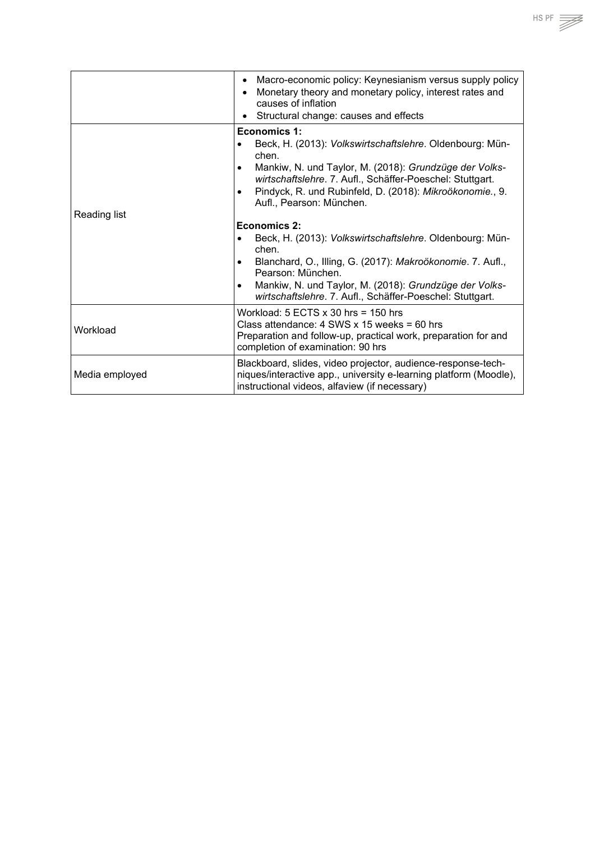|                | Macro-economic policy: Keynesianism versus supply policy<br>Monetary theory and monetary policy, interest rates and<br>$\bullet$<br>causes of inflation<br>Structural change: causes and effects                                                                                                                           |
|----------------|----------------------------------------------------------------------------------------------------------------------------------------------------------------------------------------------------------------------------------------------------------------------------------------------------------------------------|
|                | Economics 1:<br>Beck, H. (2013): Volkswirtschaftslehre. Oldenbourg: Mün-<br>chen.<br>Mankiw, N. und Taylor, M. (2018): Grundzüge der Volks-<br>$\bullet$<br>wirtschaftslehre. 7. Aufl., Schäffer-Poeschel: Stuttgart.<br>Pindyck, R. und Rubinfeld, D. (2018): Mikroökonomie., 9.<br>$\bullet$<br>Aufl., Pearson: München. |
| Reading list   |                                                                                                                                                                                                                                                                                                                            |
|                | Economics 2:<br>Beck, H. (2013): Volkswirtschaftslehre. Oldenbourg: Mün-<br>chen.<br>Blanchard, O., Illing, G. (2017): Makroökonomie. 7. Aufl.,<br>$\bullet$<br>Pearson: München.<br>Mankiw, N. und Taylor, M. (2018): Grundzüge der Volks-<br>$\bullet$<br>wirtschaftslehre. 7. Aufl., Schäffer-Poeschel: Stuttgart.      |
| Workload       | Workload: $5$ ECTS $\times$ 30 hrs = 150 hrs<br>Class attendance: $4$ SWS x 15 weeks = 60 hrs<br>Preparation and follow-up, practical work, preparation for and<br>completion of examination: 90 hrs                                                                                                                       |
| Media employed | Blackboard, slides, video projector, audience-response-tech-<br>niques/interactive app., university e-learning platform (Moodle),<br>instructional videos, alfaview (if necessary)                                                                                                                                         |

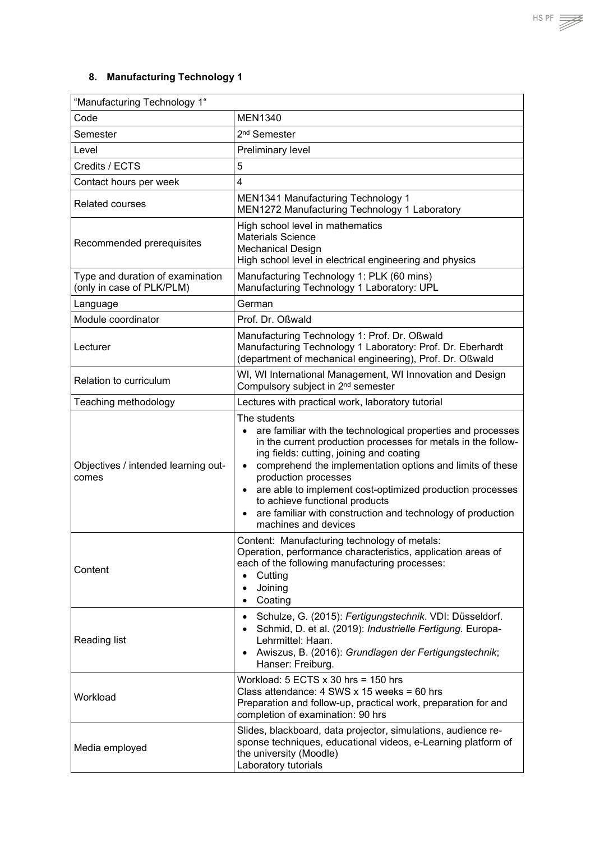<span id="page-16-0"></span>

| "Manufacturing Technology 1"                                  |                                                                                                                                                                                                                                                                                                                                                                                                                                                                                                             |
|---------------------------------------------------------------|-------------------------------------------------------------------------------------------------------------------------------------------------------------------------------------------------------------------------------------------------------------------------------------------------------------------------------------------------------------------------------------------------------------------------------------------------------------------------------------------------------------|
| Code                                                          | <b>MEN1340</b>                                                                                                                                                                                                                                                                                                                                                                                                                                                                                              |
| Semester                                                      | 2 <sup>nd</sup> Semester                                                                                                                                                                                                                                                                                                                                                                                                                                                                                    |
| Level                                                         | Preliminary level                                                                                                                                                                                                                                                                                                                                                                                                                                                                                           |
| Credits / ECTS                                                | 5                                                                                                                                                                                                                                                                                                                                                                                                                                                                                                           |
| Contact hours per week                                        | $\overline{4}$                                                                                                                                                                                                                                                                                                                                                                                                                                                                                              |
| <b>Related courses</b>                                        | MEN1341 Manufacturing Technology 1<br>MEN1272 Manufacturing Technology 1 Laboratory                                                                                                                                                                                                                                                                                                                                                                                                                         |
| Recommended prerequisites                                     | High school level in mathematics<br><b>Materials Science</b><br><b>Mechanical Design</b><br>High school level in electrical engineering and physics                                                                                                                                                                                                                                                                                                                                                         |
| Type and duration of examination<br>(only in case of PLK/PLM) | Manufacturing Technology 1: PLK (60 mins)<br>Manufacturing Technology 1 Laboratory: UPL                                                                                                                                                                                                                                                                                                                                                                                                                     |
| Language                                                      | German                                                                                                                                                                                                                                                                                                                                                                                                                                                                                                      |
| Module coordinator                                            | Prof. Dr. Oßwald                                                                                                                                                                                                                                                                                                                                                                                                                                                                                            |
| Lecturer                                                      | Manufacturing Technology 1: Prof. Dr. Oßwald<br>Manufacturing Technology 1 Laboratory: Prof. Dr. Eberhardt<br>(department of mechanical engineering), Prof. Dr. Oßwald                                                                                                                                                                                                                                                                                                                                      |
| Relation to curriculum                                        | WI, WI International Management, WI Innovation and Design<br>Compulsory subject in 2 <sup>nd</sup> semester                                                                                                                                                                                                                                                                                                                                                                                                 |
| Teaching methodology                                          | Lectures with practical work, laboratory tutorial                                                                                                                                                                                                                                                                                                                                                                                                                                                           |
| Objectives / intended learning out-<br>comes                  | The students<br>are familiar with the technological properties and processes<br>$\bullet$<br>in the current production processes for metals in the follow-<br>ing fields: cutting, joining and coating<br>comprehend the implementation options and limits of these<br>$\bullet$<br>production processes<br>are able to implement cost-optimized production processes<br>$\bullet$<br>to achieve functional products<br>are familiar with construction and technology of production<br>machines and devices |
| Content                                                       | Content: Manufacturing technology of metals:<br>Operation, performance characteristics, application areas of<br>each of the following manufacturing processes:<br>Cutting<br>$\bullet$<br>Joining<br>$\bullet$<br>Coating<br>$\bullet$                                                                                                                                                                                                                                                                      |
| Reading list                                                  | Schulze, G. (2015): Fertigungstechnik. VDI: Düsseldorf.<br>$\bullet$<br>Schmid, D. et al. (2019): Industrielle Fertigung. Europa-<br>$\bullet$<br>Lehrmittel: Haan.<br>Awiszus, B. (2016): Grundlagen der Fertigungstechnik;<br>$\bullet$<br>Hanser: Freiburg.                                                                                                                                                                                                                                              |
| Workload                                                      | Workload: $5$ ECTS $x$ 30 hrs = 150 hrs<br>Class attendance: $4$ SWS x 15 weeks = 60 hrs<br>Preparation and follow-up, practical work, preparation for and<br>completion of examination: 90 hrs                                                                                                                                                                                                                                                                                                             |
| Media employed                                                | Slides, blackboard, data projector, simulations, audience re-<br>sponse techniques, educational videos, e-Learning platform of<br>the university (Moodle)<br>Laboratory tutorials                                                                                                                                                                                                                                                                                                                           |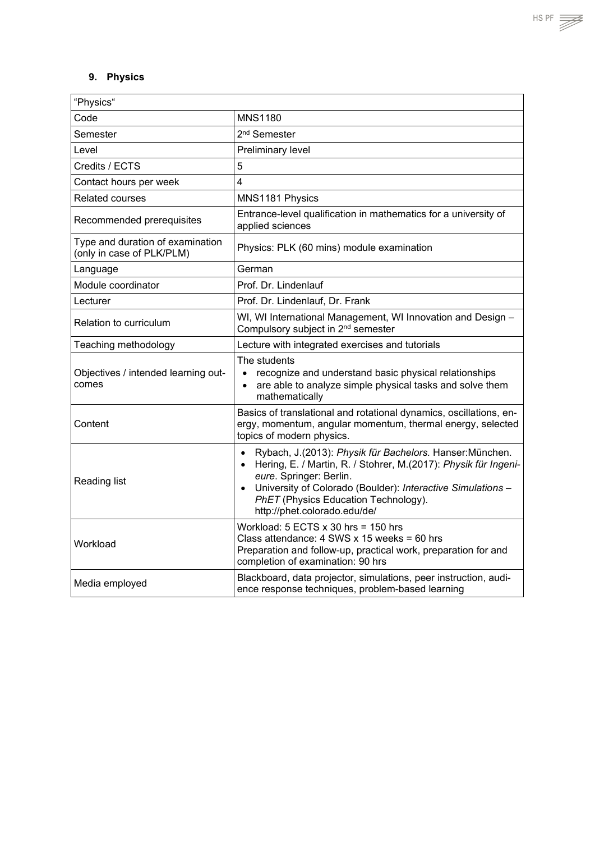# <span id="page-17-0"></span>**9. Physics**

| "Physics"                                                     |                                                                                                                                                                                                                                                                                                                         |
|---------------------------------------------------------------|-------------------------------------------------------------------------------------------------------------------------------------------------------------------------------------------------------------------------------------------------------------------------------------------------------------------------|
| Code                                                          | <b>MNS1180</b>                                                                                                                                                                                                                                                                                                          |
| Semester                                                      | 2 <sup>nd</sup> Semester                                                                                                                                                                                                                                                                                                |
| Level                                                         | Preliminary level                                                                                                                                                                                                                                                                                                       |
| Credits / ECTS                                                | 5                                                                                                                                                                                                                                                                                                                       |
| Contact hours per week                                        | $\overline{\mathbf{4}}$                                                                                                                                                                                                                                                                                                 |
| <b>Related courses</b>                                        | MNS1181 Physics                                                                                                                                                                                                                                                                                                         |
| Recommended prerequisites                                     | Entrance-level qualification in mathematics for a university of<br>applied sciences                                                                                                                                                                                                                                     |
| Type and duration of examination<br>(only in case of PLK/PLM) | Physics: PLK (60 mins) module examination                                                                                                                                                                                                                                                                               |
| Language                                                      | German                                                                                                                                                                                                                                                                                                                  |
| Module coordinator                                            | Prof. Dr. Lindenlauf                                                                                                                                                                                                                                                                                                    |
| Lecturer                                                      | Prof. Dr. Lindenlauf, Dr. Frank                                                                                                                                                                                                                                                                                         |
| Relation to curriculum                                        | WI, WI International Management, WI Innovation and Design -<br>Compulsory subject in 2 <sup>nd</sup> semester                                                                                                                                                                                                           |
| Teaching methodology                                          | Lecture with integrated exercises and tutorials                                                                                                                                                                                                                                                                         |
| Objectives / intended learning out-<br>comes                  | The students<br>recognize and understand basic physical relationships<br>$\bullet$<br>are able to analyze simple physical tasks and solve them<br>$\bullet$<br>mathematically                                                                                                                                           |
| Content                                                       | Basics of translational and rotational dynamics, oscillations, en-<br>ergy, momentum, angular momentum, thermal energy, selected<br>topics of modern physics.                                                                                                                                                           |
| Reading list                                                  | Rybach, J.(2013): Physik für Bachelors. Hanser: München.<br>$\bullet$<br>Hering, E. / Martin, R. / Stohrer, M.(2017): Physik für Ingeni-<br>$\bullet$<br>eure. Springer: Berlin.<br>University of Colorado (Boulder): Interactive Simulations -<br>PhET (Physics Education Technology).<br>http://phet.colorado.edu/de/ |
| Workload                                                      | Workload: $5$ ECTS $x$ 30 hrs = 150 hrs<br>Class attendance: $4$ SWS x 15 weeks = 60 hrs<br>Preparation and follow-up, practical work, preparation for and<br>completion of examination: 90 hrs                                                                                                                         |
| Media employed                                                | Blackboard, data projector, simulations, peer instruction, audi-<br>ence response techniques, problem-based learning                                                                                                                                                                                                    |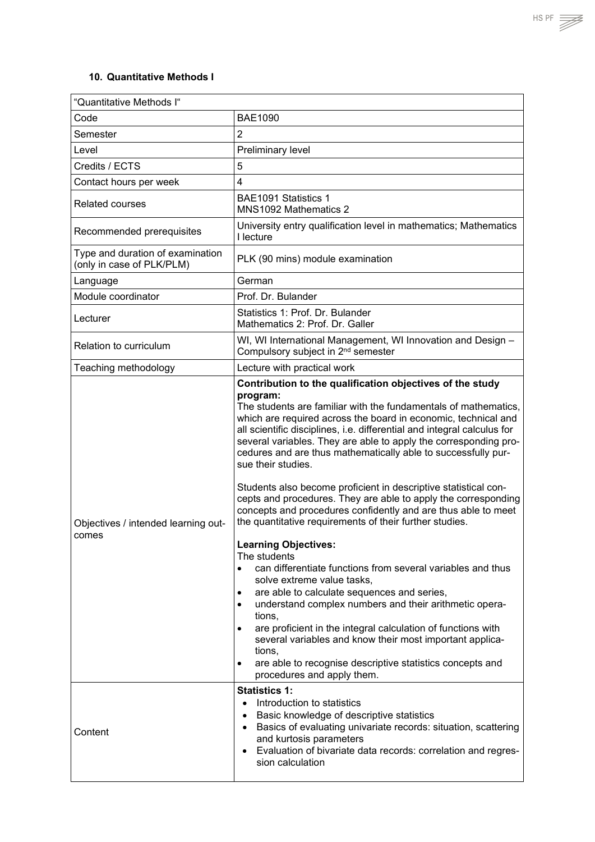### <span id="page-18-0"></span>**10. Quantitative Methods I**

| "Quantitative Methods I"                                      |                                                                                                                                                                                                                                                                                                                                                                                                                                                                                                                                                                                                                                                                                                                                                                                                                                                                                                                                                                                                                                                                                                                                                                                                                                                          |
|---------------------------------------------------------------|----------------------------------------------------------------------------------------------------------------------------------------------------------------------------------------------------------------------------------------------------------------------------------------------------------------------------------------------------------------------------------------------------------------------------------------------------------------------------------------------------------------------------------------------------------------------------------------------------------------------------------------------------------------------------------------------------------------------------------------------------------------------------------------------------------------------------------------------------------------------------------------------------------------------------------------------------------------------------------------------------------------------------------------------------------------------------------------------------------------------------------------------------------------------------------------------------------------------------------------------------------|
| Code                                                          | <b>BAE1090</b>                                                                                                                                                                                                                                                                                                                                                                                                                                                                                                                                                                                                                                                                                                                                                                                                                                                                                                                                                                                                                                                                                                                                                                                                                                           |
| Semester                                                      | $\overline{2}$                                                                                                                                                                                                                                                                                                                                                                                                                                                                                                                                                                                                                                                                                                                                                                                                                                                                                                                                                                                                                                                                                                                                                                                                                                           |
| Level                                                         | Preliminary level                                                                                                                                                                                                                                                                                                                                                                                                                                                                                                                                                                                                                                                                                                                                                                                                                                                                                                                                                                                                                                                                                                                                                                                                                                        |
| Credits / ECTS                                                | 5                                                                                                                                                                                                                                                                                                                                                                                                                                                                                                                                                                                                                                                                                                                                                                                                                                                                                                                                                                                                                                                                                                                                                                                                                                                        |
| Contact hours per week                                        | $\overline{4}$                                                                                                                                                                                                                                                                                                                                                                                                                                                                                                                                                                                                                                                                                                                                                                                                                                                                                                                                                                                                                                                                                                                                                                                                                                           |
| <b>Related courses</b>                                        | BAE1091 Statistics 1<br>MNS1092 Mathematics 2                                                                                                                                                                                                                                                                                                                                                                                                                                                                                                                                                                                                                                                                                                                                                                                                                                                                                                                                                                                                                                                                                                                                                                                                            |
| Recommended prerequisites                                     | University entry qualification level in mathematics; Mathematics<br>I lecture                                                                                                                                                                                                                                                                                                                                                                                                                                                                                                                                                                                                                                                                                                                                                                                                                                                                                                                                                                                                                                                                                                                                                                            |
| Type and duration of examination<br>(only in case of PLK/PLM) | PLK (90 mins) module examination                                                                                                                                                                                                                                                                                                                                                                                                                                                                                                                                                                                                                                                                                                                                                                                                                                                                                                                                                                                                                                                                                                                                                                                                                         |
| Language                                                      | German                                                                                                                                                                                                                                                                                                                                                                                                                                                                                                                                                                                                                                                                                                                                                                                                                                                                                                                                                                                                                                                                                                                                                                                                                                                   |
| Module coordinator                                            | Prof. Dr. Bulander                                                                                                                                                                                                                                                                                                                                                                                                                                                                                                                                                                                                                                                                                                                                                                                                                                                                                                                                                                                                                                                                                                                                                                                                                                       |
| Lecturer                                                      | Statistics 1: Prof. Dr. Bulander<br>Mathematics 2: Prof. Dr. Galler                                                                                                                                                                                                                                                                                                                                                                                                                                                                                                                                                                                                                                                                                                                                                                                                                                                                                                                                                                                                                                                                                                                                                                                      |
| Relation to curriculum                                        | WI, WI International Management, WI Innovation and Design -<br>Compulsory subject in 2 <sup>nd</sup> semester                                                                                                                                                                                                                                                                                                                                                                                                                                                                                                                                                                                                                                                                                                                                                                                                                                                                                                                                                                                                                                                                                                                                            |
| Teaching methodology                                          | Lecture with practical work                                                                                                                                                                                                                                                                                                                                                                                                                                                                                                                                                                                                                                                                                                                                                                                                                                                                                                                                                                                                                                                                                                                                                                                                                              |
| Objectives / intended learning out-<br>comes                  | Contribution to the qualification objectives of the study<br>program:<br>The students are familiar with the fundamentals of mathematics,<br>which are required across the board in economic, technical and<br>all scientific disciplines, i.e. differential and integral calculus for<br>several variables. They are able to apply the corresponding pro-<br>cedures and are thus mathematically able to successfully pur-<br>sue their studies.<br>Students also become proficient in descriptive statistical con-<br>cepts and procedures. They are able to apply the corresponding<br>concepts and procedures confidently and are thus able to meet<br>the quantitative requirements of their further studies.<br><b>Learning Objectives:</b><br>The students<br>can differentiate functions from several variables and thus<br>$\bullet$<br>solve extreme value tasks,<br>are able to calculate sequences and series,<br>$\bullet$<br>understand complex numbers and their arithmetic opera-<br>$\bullet$<br>tions,<br>are proficient in the integral calculation of functions with<br>several variables and know their most important applica-<br>tions,<br>are able to recognise descriptive statistics concepts and<br>procedures and apply them. |
| Content                                                       | <b>Statistics 1:</b><br>Introduction to statistics<br>$\bullet$<br>Basic knowledge of descriptive statistics<br>٠<br>Basics of evaluating univariate records: situation, scattering<br>$\bullet$<br>and kurtosis parameters<br>Evaluation of bivariate data records: correlation and regres-<br>sion calculation                                                                                                                                                                                                                                                                                                                                                                                                                                                                                                                                                                                                                                                                                                                                                                                                                                                                                                                                         |
|                                                               |                                                                                                                                                                                                                                                                                                                                                                                                                                                                                                                                                                                                                                                                                                                                                                                                                                                                                                                                                                                                                                                                                                                                                                                                                                                          |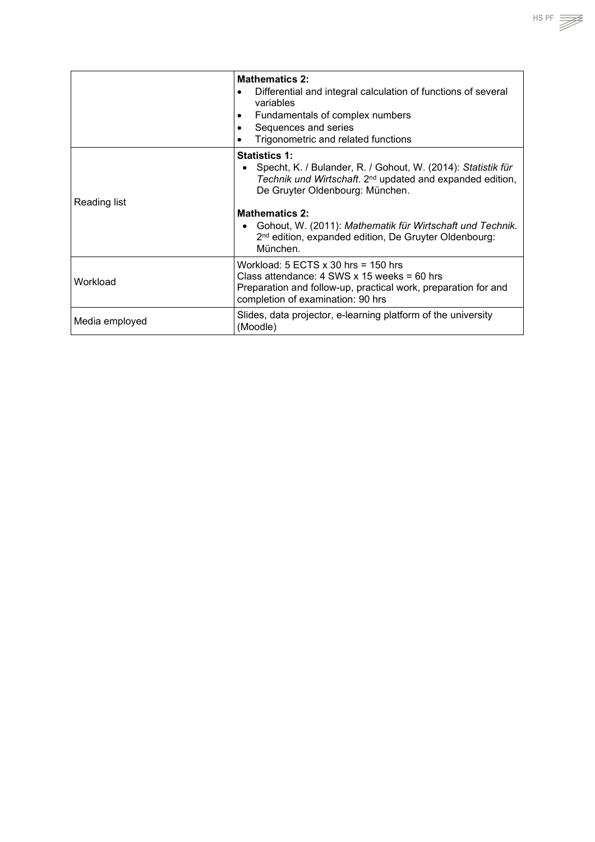|                | <b>Mathematics 2:</b><br>Differential and integral calculation of functions of several<br>٠<br>variables<br>Fundamentals of complex numbers<br>Sequences and series<br>Trigonometric and related functions                                                                                                                                                              |
|----------------|-------------------------------------------------------------------------------------------------------------------------------------------------------------------------------------------------------------------------------------------------------------------------------------------------------------------------------------------------------------------------|
| Reading list   | <b>Statistics 1:</b><br>Specht, K. / Bulander, R. / Gohout, W. (2014): Statistik für<br>Technik und Wirtschaft. 2 <sup>nd</sup> updated and expanded edition,<br>De Gruyter Oldenbourg: München.<br><b>Mathematics 2:</b><br>Gohout, W. (2011): Mathematik für Wirtschaft und Technik.<br>2 <sup>nd</sup> edition, expanded edition, De Gruyter Oldenbourg:<br>München. |
| Workload       | Workload: $5$ ECTS $x$ 30 hrs = 150 hrs<br>Class attendance: $4$ SWS x 15 weeks = 60 hrs<br>Preparation and follow-up, practical work, preparation for and<br>completion of examination: 90 hrs                                                                                                                                                                         |
| Media employed | Slides, data projector, e-learning platform of the university<br>(Moodle)                                                                                                                                                                                                                                                                                               |

 $HSPF \implies$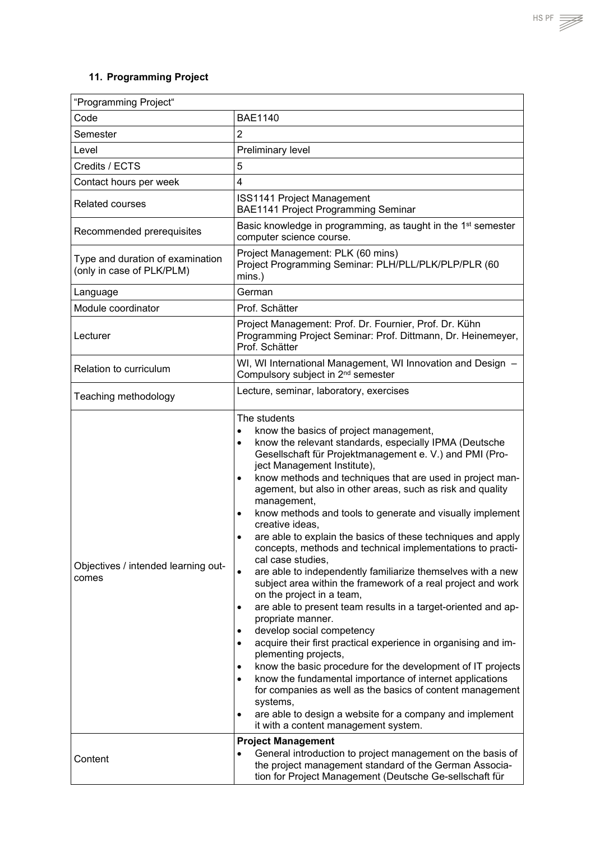# <span id="page-20-0"></span>**11. Programming Project**

| "Programming Project"                                         |                                                                                                                                                                                                                                                                                                                                                                                                                                                                                                                                                                                                                                                                                                                                                                                                                                                                                                                                                                                                                                                                                                                                                                                                                                                                                                                                |
|---------------------------------------------------------------|--------------------------------------------------------------------------------------------------------------------------------------------------------------------------------------------------------------------------------------------------------------------------------------------------------------------------------------------------------------------------------------------------------------------------------------------------------------------------------------------------------------------------------------------------------------------------------------------------------------------------------------------------------------------------------------------------------------------------------------------------------------------------------------------------------------------------------------------------------------------------------------------------------------------------------------------------------------------------------------------------------------------------------------------------------------------------------------------------------------------------------------------------------------------------------------------------------------------------------------------------------------------------------------------------------------------------------|
| Code                                                          | <b>BAE1140</b>                                                                                                                                                                                                                                                                                                                                                                                                                                                                                                                                                                                                                                                                                                                                                                                                                                                                                                                                                                                                                                                                                                                                                                                                                                                                                                                 |
| Semester                                                      | 2                                                                                                                                                                                                                                                                                                                                                                                                                                                                                                                                                                                                                                                                                                                                                                                                                                                                                                                                                                                                                                                                                                                                                                                                                                                                                                                              |
| Level                                                         | Preliminary level                                                                                                                                                                                                                                                                                                                                                                                                                                                                                                                                                                                                                                                                                                                                                                                                                                                                                                                                                                                                                                                                                                                                                                                                                                                                                                              |
| Credits / ECTS                                                | 5                                                                                                                                                                                                                                                                                                                                                                                                                                                                                                                                                                                                                                                                                                                                                                                                                                                                                                                                                                                                                                                                                                                                                                                                                                                                                                                              |
| Contact hours per week                                        | 4                                                                                                                                                                                                                                                                                                                                                                                                                                                                                                                                                                                                                                                                                                                                                                                                                                                                                                                                                                                                                                                                                                                                                                                                                                                                                                                              |
| <b>Related courses</b>                                        | <b>ISS1141 Project Management</b><br>BAE1141 Project Programming Seminar                                                                                                                                                                                                                                                                                                                                                                                                                                                                                                                                                                                                                                                                                                                                                                                                                                                                                                                                                                                                                                                                                                                                                                                                                                                       |
| Recommended prerequisites                                     | Basic knowledge in programming, as taught in the 1 <sup>st</sup> semester<br>computer science course.                                                                                                                                                                                                                                                                                                                                                                                                                                                                                                                                                                                                                                                                                                                                                                                                                                                                                                                                                                                                                                                                                                                                                                                                                          |
| Type and duration of examination<br>(only in case of PLK/PLM) | Project Management: PLK (60 mins)<br>Project Programming Seminar: PLH/PLL/PLK/PLP/PLR (60<br>mins.)                                                                                                                                                                                                                                                                                                                                                                                                                                                                                                                                                                                                                                                                                                                                                                                                                                                                                                                                                                                                                                                                                                                                                                                                                            |
| Language                                                      | German                                                                                                                                                                                                                                                                                                                                                                                                                                                                                                                                                                                                                                                                                                                                                                                                                                                                                                                                                                                                                                                                                                                                                                                                                                                                                                                         |
| Module coordinator                                            | Prof. Schätter                                                                                                                                                                                                                                                                                                                                                                                                                                                                                                                                                                                                                                                                                                                                                                                                                                                                                                                                                                                                                                                                                                                                                                                                                                                                                                                 |
| Lecturer                                                      | Project Management: Prof. Dr. Fournier, Prof. Dr. Kühn<br>Programming Project Seminar: Prof. Dittmann, Dr. Heinemeyer,<br>Prof. Schätter                                                                                                                                                                                                                                                                                                                                                                                                                                                                                                                                                                                                                                                                                                                                                                                                                                                                                                                                                                                                                                                                                                                                                                                       |
| Relation to curriculum                                        | WI, WI International Management, WI Innovation and Design -<br>Compulsory subject in 2 <sup>nd</sup> semester                                                                                                                                                                                                                                                                                                                                                                                                                                                                                                                                                                                                                                                                                                                                                                                                                                                                                                                                                                                                                                                                                                                                                                                                                  |
| Teaching methodology                                          | Lecture, seminar, laboratory, exercises                                                                                                                                                                                                                                                                                                                                                                                                                                                                                                                                                                                                                                                                                                                                                                                                                                                                                                                                                                                                                                                                                                                                                                                                                                                                                        |
| Objectives / intended learning out-<br>comes                  | The students<br>know the basics of project management,<br>$\bullet$<br>know the relevant standards, especially IPMA (Deutsche<br>$\bullet$<br>Gesellschaft für Projektmanagement e. V.) and PMI (Pro-<br>ject Management Institute),<br>know methods and techniques that are used in project man-<br>$\bullet$<br>agement, but also in other areas, such as risk and quality<br>management,<br>know methods and tools to generate and visually implement<br>٠<br>creative ideas,<br>are able to explain the basics of these techniques and apply<br>concepts, methods and technical implementations to practi-<br>cal case studies,<br>are able to independently familiarize themselves with a new<br>subject area within the framework of a real project and work<br>on the project in a team,<br>are able to present team results in a target-oriented and ap-<br>propriate manner.<br>develop social competency<br>٠<br>acquire their first practical experience in organising and im-<br>plementing projects,<br>know the basic procedure for the development of IT projects<br>٠<br>know the fundamental importance of internet applications<br>for companies as well as the basics of content management<br>systems,<br>are able to design a website for a company and implement<br>it with a content management system. |
| Content                                                       | <b>Project Management</b><br>General introduction to project management on the basis of<br>the project management standard of the German Associa-<br>tion for Project Management (Deutsche Ge-sellschaft für                                                                                                                                                                                                                                                                                                                                                                                                                                                                                                                                                                                                                                                                                                                                                                                                                                                                                                                                                                                                                                                                                                                   |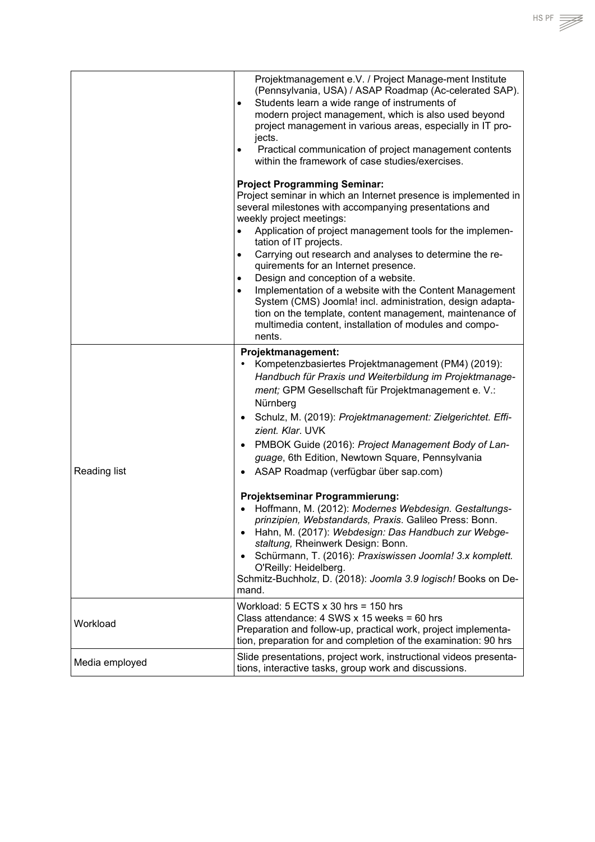|                | Projektmanagement e.V. / Project Manage-ment Institute<br>(Pennsylvania, USA) / ASAP Roadmap (Ac-celerated SAP).<br>Students learn a wide range of instruments of<br>$\bullet$<br>modern project management, which is also used beyond<br>project management in various areas, especially in IT pro-<br>jects.<br>Practical communication of project management contents<br>$\bullet$<br>within the framework of case studies/exercises. |
|----------------|------------------------------------------------------------------------------------------------------------------------------------------------------------------------------------------------------------------------------------------------------------------------------------------------------------------------------------------------------------------------------------------------------------------------------------------|
|                | <b>Project Programming Seminar:</b>                                                                                                                                                                                                                                                                                                                                                                                                      |
|                | Project seminar in which an Internet presence is implemented in<br>several milestones with accompanying presentations and<br>weekly project meetings:                                                                                                                                                                                                                                                                                    |
|                | Application of project management tools for the implemen-<br>$\bullet$<br>tation of IT projects.                                                                                                                                                                                                                                                                                                                                         |
|                | Carrying out research and analyses to determine the re-<br>$\bullet$<br>quirements for an Internet presence.                                                                                                                                                                                                                                                                                                                             |
|                | Design and conception of a website.<br>$\bullet$                                                                                                                                                                                                                                                                                                                                                                                         |
|                | Implementation of a website with the Content Management<br>$\bullet$<br>System (CMS) Joomla! incl. administration, design adapta-<br>tion on the template, content management, maintenance of<br>multimedia content, installation of modules and compo-<br>nents.                                                                                                                                                                        |
|                | Projektmanagement:                                                                                                                                                                                                                                                                                                                                                                                                                       |
|                | Kompetenzbasiertes Projektmanagement (PM4) (2019):<br>Handbuch für Praxis und Weiterbildung im Projektmanage-<br>ment; GPM Gesellschaft für Projektmanagement e. V.:<br>Nürnberg                                                                                                                                                                                                                                                         |
|                | Schulz, M. (2019): Projektmanagement: Zielgerichtet. Effi-<br>$\bullet$<br>zient. Klar. UVK                                                                                                                                                                                                                                                                                                                                              |
|                | PMBOK Guide (2016): Project Management Body of Lan-<br>$\bullet$<br>guage, 6th Edition, Newtown Square, Pennsylvania                                                                                                                                                                                                                                                                                                                     |
| Reading list   | ASAP Roadmap (verfügbar über sap.com)<br>$\bullet$                                                                                                                                                                                                                                                                                                                                                                                       |
|                | Projektseminar Programmierung:<br>Hoffmann, M. (2012): Modernes Webdesign. Gestaltungs-<br>prinzipien, Webstandards, Praxis. Galileo Press: Bonn.<br>Hahn, M. (2017): Webdesign: Das Handbuch zur Webge-<br>$\bullet$<br>staltung, Rheinwerk Design: Bonn.<br>Schürmann, T. (2016): Praxiswissen Joomla! 3.x komplett.<br>$\bullet$<br>O'Reilly: Heidelberg.<br>Schmitz-Buchholz, D. (2018): Joomla 3.9 logisch! Books on De-<br>mand.   |
|                |                                                                                                                                                                                                                                                                                                                                                                                                                                          |
| Workload       | Workload: $5$ ECTS $x$ 30 hrs = 150 hrs<br>Class attendance: $4$ SWS x 15 weeks = 60 hrs<br>Preparation and follow-up, practical work, project implementa-<br>tion, preparation for and completion of the examination: 90 hrs                                                                                                                                                                                                            |
| Media employed | Slide presentations, project work, instructional videos presenta-<br>tions, interactive tasks, group work and discussions.                                                                                                                                                                                                                                                                                                               |

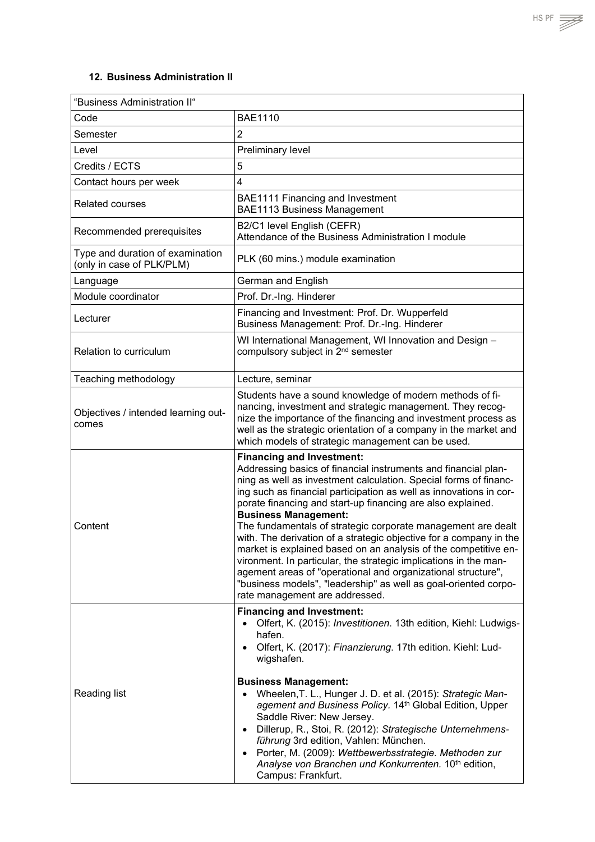<span id="page-22-0"></span>

| "Business Administration II"                                  |                                                                                                                                                                                                                                                                                                                                                                                                                                                                                                                                                                                                                                                                                                                                                                                              |
|---------------------------------------------------------------|----------------------------------------------------------------------------------------------------------------------------------------------------------------------------------------------------------------------------------------------------------------------------------------------------------------------------------------------------------------------------------------------------------------------------------------------------------------------------------------------------------------------------------------------------------------------------------------------------------------------------------------------------------------------------------------------------------------------------------------------------------------------------------------------|
| Code                                                          | <b>BAE1110</b>                                                                                                                                                                                                                                                                                                                                                                                                                                                                                                                                                                                                                                                                                                                                                                               |
| Semester                                                      | $\overline{2}$                                                                                                                                                                                                                                                                                                                                                                                                                                                                                                                                                                                                                                                                                                                                                                               |
| Level                                                         | Preliminary level                                                                                                                                                                                                                                                                                                                                                                                                                                                                                                                                                                                                                                                                                                                                                                            |
| Credits / ECTS                                                | 5                                                                                                                                                                                                                                                                                                                                                                                                                                                                                                                                                                                                                                                                                                                                                                                            |
| Contact hours per week                                        | $\overline{4}$                                                                                                                                                                                                                                                                                                                                                                                                                                                                                                                                                                                                                                                                                                                                                                               |
| <b>Related courses</b>                                        | BAE1111 Financing and Investment<br><b>BAE1113 Business Management</b>                                                                                                                                                                                                                                                                                                                                                                                                                                                                                                                                                                                                                                                                                                                       |
| Recommended prerequisites                                     | B2/C1 level English (CEFR)<br>Attendance of the Business Administration I module                                                                                                                                                                                                                                                                                                                                                                                                                                                                                                                                                                                                                                                                                                             |
| Type and duration of examination<br>(only in case of PLK/PLM) | PLK (60 mins.) module examination                                                                                                                                                                                                                                                                                                                                                                                                                                                                                                                                                                                                                                                                                                                                                            |
| Language                                                      | German and English                                                                                                                                                                                                                                                                                                                                                                                                                                                                                                                                                                                                                                                                                                                                                                           |
| Module coordinator                                            | Prof. Dr.-Ing. Hinderer                                                                                                                                                                                                                                                                                                                                                                                                                                                                                                                                                                                                                                                                                                                                                                      |
| Lecturer                                                      | Financing and Investment: Prof. Dr. Wupperfeld<br>Business Management: Prof. Dr.-Ing. Hinderer                                                                                                                                                                                                                                                                                                                                                                                                                                                                                                                                                                                                                                                                                               |
| Relation to curriculum                                        | WI International Management, WI Innovation and Design -<br>compulsory subject in 2 <sup>nd</sup> semester                                                                                                                                                                                                                                                                                                                                                                                                                                                                                                                                                                                                                                                                                    |
| Teaching methodology                                          | Lecture, seminar                                                                                                                                                                                                                                                                                                                                                                                                                                                                                                                                                                                                                                                                                                                                                                             |
| Objectives / intended learning out-<br>comes                  | Students have a sound knowledge of modern methods of fi-<br>nancing, investment and strategic management. They recog-<br>nize the importance of the financing and investment process as<br>well as the strategic orientation of a company in the market and<br>which models of strategic management can be used.                                                                                                                                                                                                                                                                                                                                                                                                                                                                             |
| Content                                                       | <b>Financing and Investment:</b><br>Addressing basics of financial instruments and financial plan-<br>ning as well as investment calculation. Special forms of financ-<br>ing such as financial participation as well as innovations in cor-<br>porate financing and start-up financing are also explained.<br><b>Business Management:</b><br>The fundamentals of strategic corporate management are dealt<br>with. The derivation of a strategic objective for a company in the<br>market is explained based on an analysis of the competitive en-<br>vironment. In particular, the strategic implications in the man-<br>agement areas of "operational and organizational structure",<br>"business models", "leadership" as well as goal-oriented corpo-<br>rate management are addressed. |
| Reading list                                                  | <b>Financing and Investment:</b><br>Olfert, K. (2015): Investitionen. 13th edition, Kiehl: Ludwigs-<br>$\bullet$<br>hafen.<br>• Olfert, K. (2017): Finanzierung. 17th edition. Kiehl: Lud-<br>wigshafen.<br><b>Business Management:</b><br>Wheelen, T. L., Hunger J. D. et al. (2015): Strategic Man-<br>$\bullet$<br>agement and Business Policy. 14th Global Edition, Upper<br>Saddle River: New Jersey.<br>Dillerup, R., Stoi, R. (2012): Strategische Unternehmens-<br>$\bullet$<br>führung 3rd edition, Vahlen: München.<br>Porter, M. (2009): Wettbewerbsstrategie. Methoden zur<br>$\bullet$<br>Analyse von Branchen und Konkurrenten. 10th edition,<br>Campus: Frankfurt.                                                                                                            |

 $\overline{\phantom{a}}$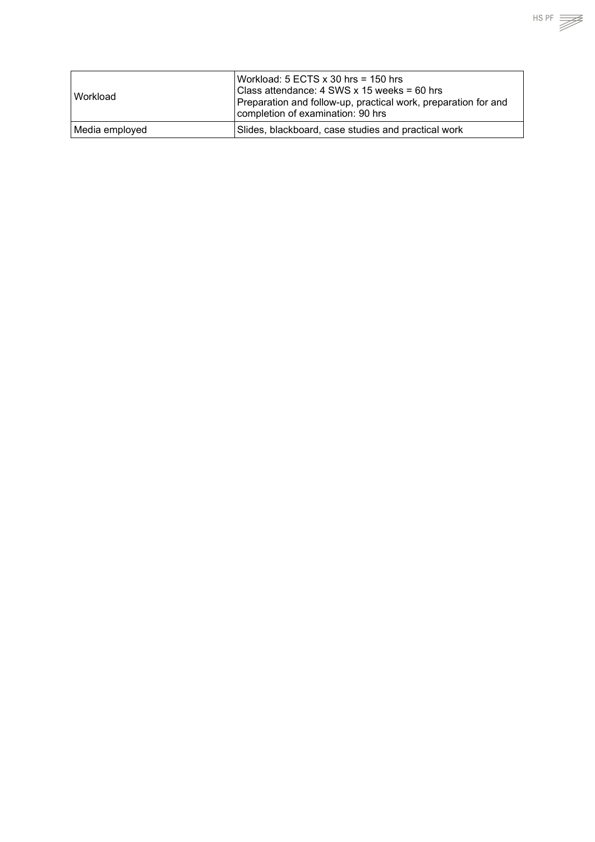| l Workload     | Workload: $5$ ECTS $x$ 30 hrs = 150 hrs<br>Class attendance: 4 SWS x 15 weeks = 60 hrs<br>Preparation and follow-up, practical work, preparation for and<br>completion of examination: 90 hrs |
|----------------|-----------------------------------------------------------------------------------------------------------------------------------------------------------------------------------------------|
| Media employed | Slides, blackboard, case studies and practical work                                                                                                                                           |

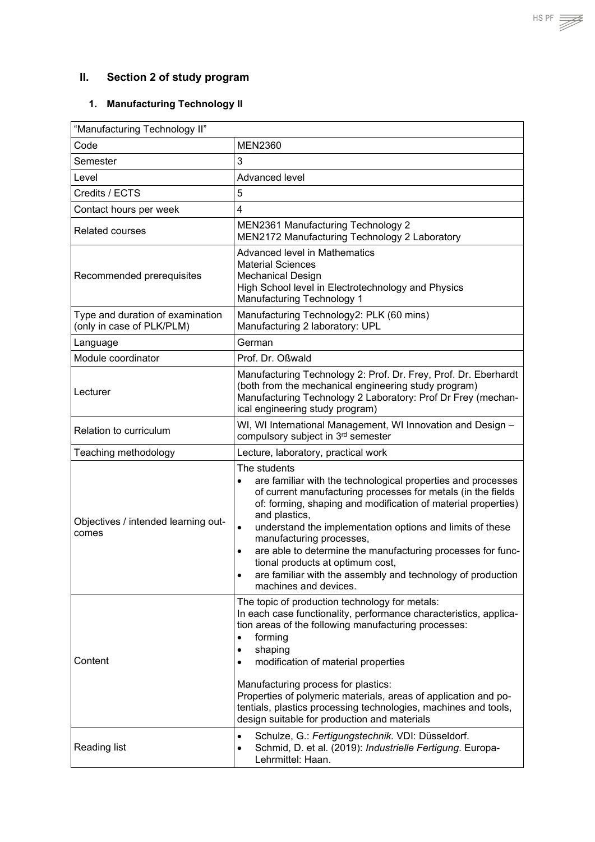# <span id="page-24-0"></span>**II. Section 2 of study program**

# <span id="page-24-1"></span>**1. Manufacturing Technology II**

| "Manufacturing Technology II"                                 |                                                                                                                                                                                                                                                                                                                                                                                                                                                                                                                                              |
|---------------------------------------------------------------|----------------------------------------------------------------------------------------------------------------------------------------------------------------------------------------------------------------------------------------------------------------------------------------------------------------------------------------------------------------------------------------------------------------------------------------------------------------------------------------------------------------------------------------------|
| Code                                                          | <b>MEN2360</b>                                                                                                                                                                                                                                                                                                                                                                                                                                                                                                                               |
| Semester                                                      | 3                                                                                                                                                                                                                                                                                                                                                                                                                                                                                                                                            |
| Level                                                         | Advanced level                                                                                                                                                                                                                                                                                                                                                                                                                                                                                                                               |
| Credits / ECTS                                                | 5                                                                                                                                                                                                                                                                                                                                                                                                                                                                                                                                            |
| Contact hours per week                                        | $\overline{\mathbf{4}}$                                                                                                                                                                                                                                                                                                                                                                                                                                                                                                                      |
| <b>Related courses</b>                                        | MEN2361 Manufacturing Technology 2<br>MEN2172 Manufacturing Technology 2 Laboratory                                                                                                                                                                                                                                                                                                                                                                                                                                                          |
| Recommended prerequisites                                     | <b>Advanced level in Mathematics</b><br><b>Material Sciences</b><br><b>Mechanical Design</b><br>High School level in Electrotechnology and Physics<br>Manufacturing Technology 1                                                                                                                                                                                                                                                                                                                                                             |
| Type and duration of examination<br>(only in case of PLK/PLM) | Manufacturing Technology2: PLK (60 mins)<br>Manufacturing 2 laboratory: UPL                                                                                                                                                                                                                                                                                                                                                                                                                                                                  |
| Language                                                      | German                                                                                                                                                                                                                                                                                                                                                                                                                                                                                                                                       |
| Module coordinator                                            | Prof. Dr. Oßwald                                                                                                                                                                                                                                                                                                                                                                                                                                                                                                                             |
| Lecturer                                                      | Manufacturing Technology 2: Prof. Dr. Frey, Prof. Dr. Eberhardt<br>(both from the mechanical engineering study program)<br>Manufacturing Technology 2 Laboratory: Prof Dr Frey (mechan-<br>ical engineering study program)                                                                                                                                                                                                                                                                                                                   |
| Relation to curriculum                                        | WI, WI International Management, WI Innovation and Design -<br>compulsory subject in 3rd semester                                                                                                                                                                                                                                                                                                                                                                                                                                            |
| Teaching methodology                                          | Lecture, laboratory, practical work                                                                                                                                                                                                                                                                                                                                                                                                                                                                                                          |
| Objectives / intended learning out-<br>comes                  | The students<br>are familiar with the technological properties and processes<br>$\bullet$<br>of current manufacturing processes for metals (in the fields<br>of: forming, shaping and modification of material properties)<br>and plastics,<br>understand the implementation options and limits of these<br>$\bullet$<br>manufacturing processes,<br>are able to determine the manufacturing processes for func-<br>tional products at optimum cost,<br>are familiar with the assembly and technology of production<br>machines and devices. |
| Content                                                       | The topic of production technology for metals:<br>In each case functionality, performance characteristics, applica-<br>tion areas of the following manufacturing processes:<br>forming<br>$\bullet$<br>shaping<br>$\bullet$<br>modification of material properties<br>$\bullet$<br>Manufacturing process for plastics:<br>Properties of polymeric materials, areas of application and po-<br>tentials, plastics processing technologies, machines and tools,<br>design suitable for production and materials                                 |
| Reading list                                                  | Schulze, G.: Fertigungstechnik. VDI: Düsseldorf.<br>Schmid, D. et al. (2019): Industrielle Fertigung. Europa-<br>Lehrmittel: Haan.                                                                                                                                                                                                                                                                                                                                                                                                           |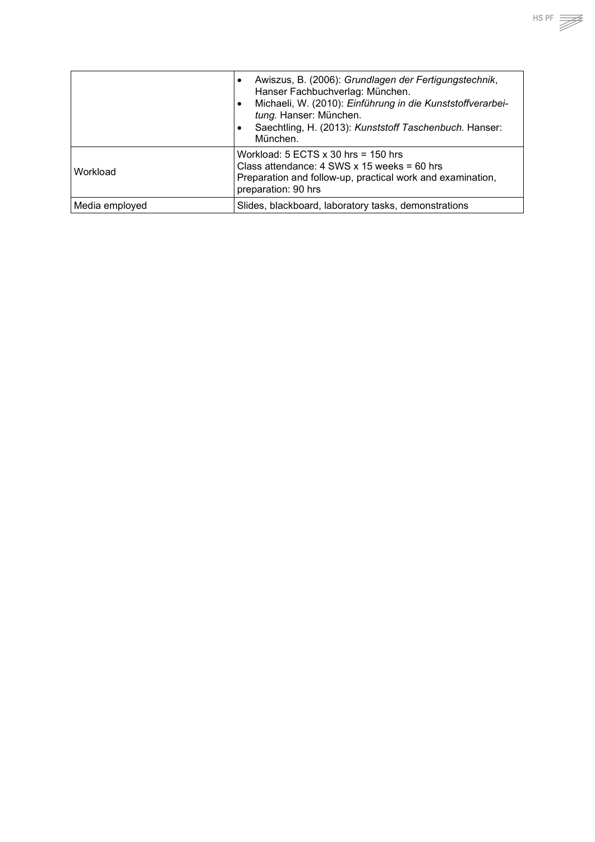|                | Awiszus, B. (2006): Grundlagen der Fertigungstechnik,<br>$\bullet$<br>Hanser Fachbuchverlag: München.<br>Michaeli, W. (2010): Einführung in die Kunststoffverarbei-<br>tung. Hanser: München.<br>Saechtling, H. (2013): Kunststoff Taschenbuch. Hanser:<br>München. |
|----------------|---------------------------------------------------------------------------------------------------------------------------------------------------------------------------------------------------------------------------------------------------------------------|
| Workload       | Workload: $5$ ECTS x 30 hrs = 150 hrs<br>Class attendance: $4$ SWS x 15 weeks = 60 hrs<br>Preparation and follow-up, practical work and examination,<br>preparation: 90 hrs                                                                                         |
| Media employed | Slides, blackboard, laboratory tasks, demonstrations                                                                                                                                                                                                                |

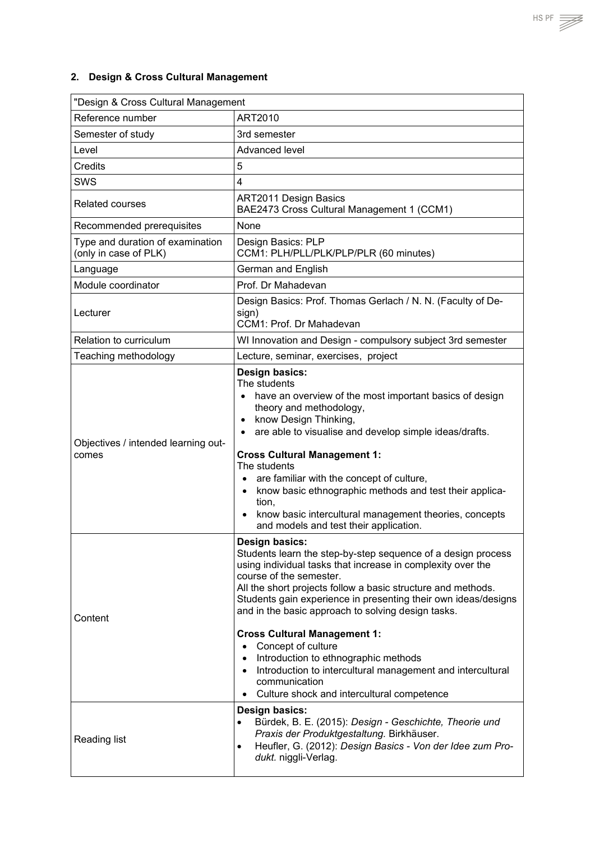## <span id="page-26-0"></span>**2. Design & Cross Cultural Management**

| "Design & Cross Cultural Management                       |                                                                                                                                                                                                                                                                                                                                                                                                                                                                                                                                                                                                                                                             |
|-----------------------------------------------------------|-------------------------------------------------------------------------------------------------------------------------------------------------------------------------------------------------------------------------------------------------------------------------------------------------------------------------------------------------------------------------------------------------------------------------------------------------------------------------------------------------------------------------------------------------------------------------------------------------------------------------------------------------------------|
| Reference number                                          | ART2010                                                                                                                                                                                                                                                                                                                                                                                                                                                                                                                                                                                                                                                     |
| Semester of study                                         | 3rd semester                                                                                                                                                                                                                                                                                                                                                                                                                                                                                                                                                                                                                                                |
| Level                                                     | Advanced level                                                                                                                                                                                                                                                                                                                                                                                                                                                                                                                                                                                                                                              |
| <b>Credits</b>                                            | 5                                                                                                                                                                                                                                                                                                                                                                                                                                                                                                                                                                                                                                                           |
| SWS                                                       | $\overline{\mathbf{4}}$                                                                                                                                                                                                                                                                                                                                                                                                                                                                                                                                                                                                                                     |
| <b>Related courses</b>                                    | <b>ART2011 Design Basics</b><br>BAE2473 Cross Cultural Management 1 (CCM1)                                                                                                                                                                                                                                                                                                                                                                                                                                                                                                                                                                                  |
| Recommended prerequisites                                 | None                                                                                                                                                                                                                                                                                                                                                                                                                                                                                                                                                                                                                                                        |
| Type and duration of examination<br>(only in case of PLK) | Design Basics: PLP<br>CCM1: PLH/PLL/PLK/PLP/PLR (60 minutes)                                                                                                                                                                                                                                                                                                                                                                                                                                                                                                                                                                                                |
| Language                                                  | German and English                                                                                                                                                                                                                                                                                                                                                                                                                                                                                                                                                                                                                                          |
| Module coordinator                                        | Prof. Dr Mahadevan                                                                                                                                                                                                                                                                                                                                                                                                                                                                                                                                                                                                                                          |
| Lecturer                                                  | Design Basics: Prof. Thomas Gerlach / N. N. (Faculty of De-<br>sign)<br>CCM1: Prof. Dr Mahadevan                                                                                                                                                                                                                                                                                                                                                                                                                                                                                                                                                            |
| Relation to curriculum                                    | WI Innovation and Design - compulsory subject 3rd semester                                                                                                                                                                                                                                                                                                                                                                                                                                                                                                                                                                                                  |
| Teaching methodology                                      | Lecture, seminar, exercises, project                                                                                                                                                                                                                                                                                                                                                                                                                                                                                                                                                                                                                        |
| Objectives / intended learning out-<br>comes              | Design basics:<br>The students<br>have an overview of the most important basics of design<br>$\bullet$<br>theory and methodology,<br>know Design Thinking,<br>$\bullet$<br>are able to visualise and develop simple ideas/drafts.<br>$\bullet$<br><b>Cross Cultural Management 1:</b><br>The students<br>are familiar with the concept of culture,<br>$\bullet$<br>know basic ethnographic methods and test their applica-<br>$\bullet$<br>tion,<br>know basic intercultural management theories, concepts<br>and models and test their application.                                                                                                        |
| Content                                                   | Design basics:<br>Students learn the step-by-step sequence of a design process<br>using individual tasks that increase in complexity over the<br>course of the semester.<br>All the short projects follow a basic structure and methods.<br>Students gain experience in presenting their own ideas/designs<br>and in the basic approach to solving design tasks.<br><b>Cross Cultural Management 1:</b><br>Concept of culture<br>$\bullet$<br>Introduction to ethnographic methods<br>$\bullet$<br>Introduction to intercultural management and intercultural<br>$\bullet$<br>communication<br>Culture shock and intercultural competence<br>Design basics: |
| Reading list                                              | Bürdek, B. E. (2015): Design - Geschichte, Theorie und<br>$\bullet$<br>Praxis der Produktgestaltung. Birkhäuser.<br>Heufler, G. (2012): Design Basics - Von der Idee zum Pro-<br>$\bullet$<br>dukt. niggli-Verlag.                                                                                                                                                                                                                                                                                                                                                                                                                                          |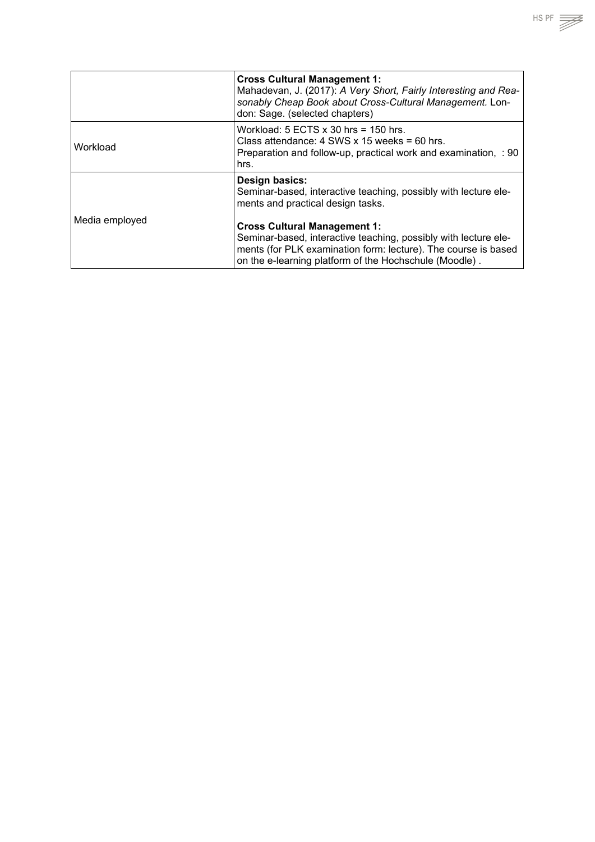|                | <b>Cross Cultural Management 1:</b><br>Mahadevan, J. (2017): A Very Short, Fairly Interesting and Rea-<br>sonably Cheap Book about Cross-Cultural Management. Lon-<br>don: Sage. (selected chapters)                               |
|----------------|------------------------------------------------------------------------------------------------------------------------------------------------------------------------------------------------------------------------------------|
| Workload       | Workload: $5$ ECTS $x$ 30 hrs = 150 hrs.<br>Class attendance: $4$ SWS x 15 weeks = 60 hrs.<br>Preparation and follow-up, practical work and examination, : 90<br>hrs.                                                              |
| Media employed | <b>Design basics:</b><br>Seminar-based, interactive teaching, possibly with lecture ele-<br>ments and practical design tasks.                                                                                                      |
|                | <b>Cross Cultural Management 1:</b><br>Seminar-based, interactive teaching, possibly with lecture ele-<br>ments (for PLK examination form: lecture). The course is based<br>on the e-learning platform of the Hochschule (Moodle). |

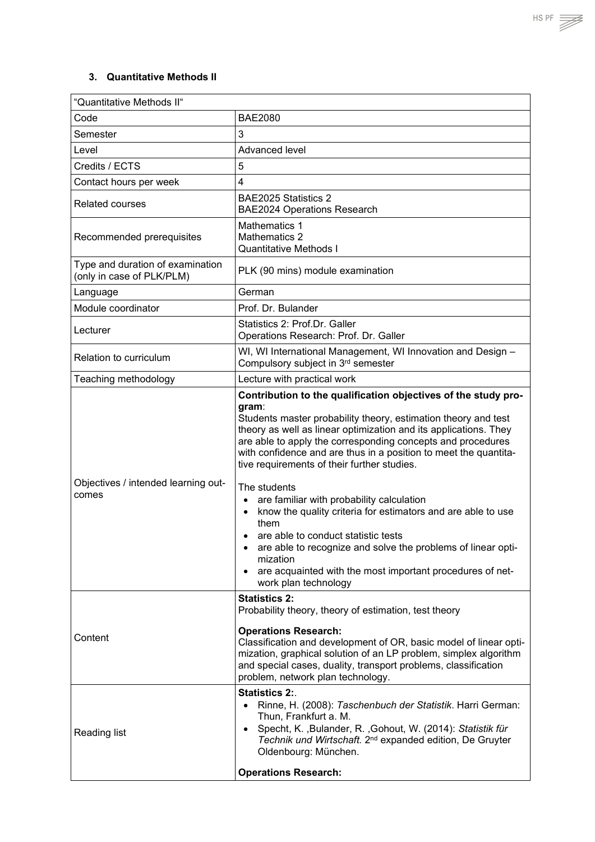### <span id="page-28-0"></span>**3. Quantitative Methods II**

| "Quantitative Methods II"                                     |                                                                                                                                                                                                                                                                                                                                                                                                                                                                                                                                                                                                                                                                                                                                              |
|---------------------------------------------------------------|----------------------------------------------------------------------------------------------------------------------------------------------------------------------------------------------------------------------------------------------------------------------------------------------------------------------------------------------------------------------------------------------------------------------------------------------------------------------------------------------------------------------------------------------------------------------------------------------------------------------------------------------------------------------------------------------------------------------------------------------|
| Code                                                          | <b>BAE2080</b>                                                                                                                                                                                                                                                                                                                                                                                                                                                                                                                                                                                                                                                                                                                               |
| Semester                                                      | 3                                                                                                                                                                                                                                                                                                                                                                                                                                                                                                                                                                                                                                                                                                                                            |
| Level                                                         | Advanced level                                                                                                                                                                                                                                                                                                                                                                                                                                                                                                                                                                                                                                                                                                                               |
| Credits / ECTS                                                | 5                                                                                                                                                                                                                                                                                                                                                                                                                                                                                                                                                                                                                                                                                                                                            |
| Contact hours per week                                        | 4                                                                                                                                                                                                                                                                                                                                                                                                                                                                                                                                                                                                                                                                                                                                            |
| <b>Related courses</b>                                        | BAE2025 Statistics 2<br><b>BAE2024 Operations Research</b>                                                                                                                                                                                                                                                                                                                                                                                                                                                                                                                                                                                                                                                                                   |
| Recommended prerequisites                                     | <b>Mathematics 1</b><br>Mathematics 2<br><b>Quantitative Methods I</b>                                                                                                                                                                                                                                                                                                                                                                                                                                                                                                                                                                                                                                                                       |
| Type and duration of examination<br>(only in case of PLK/PLM) | PLK (90 mins) module examination                                                                                                                                                                                                                                                                                                                                                                                                                                                                                                                                                                                                                                                                                                             |
| Language                                                      | German                                                                                                                                                                                                                                                                                                                                                                                                                                                                                                                                                                                                                                                                                                                                       |
| Module coordinator                                            | Prof. Dr. Bulander                                                                                                                                                                                                                                                                                                                                                                                                                                                                                                                                                                                                                                                                                                                           |
| Lecturer                                                      | Statistics 2: Prof.Dr. Galler<br>Operations Research: Prof. Dr. Galler                                                                                                                                                                                                                                                                                                                                                                                                                                                                                                                                                                                                                                                                       |
| Relation to curriculum                                        | WI, WI International Management, WI Innovation and Design -<br>Compulsory subject in 3rd semester                                                                                                                                                                                                                                                                                                                                                                                                                                                                                                                                                                                                                                            |
| Teaching methodology                                          | Lecture with practical work                                                                                                                                                                                                                                                                                                                                                                                                                                                                                                                                                                                                                                                                                                                  |
| Objectives / intended learning out-<br>comes                  | Contribution to the qualification objectives of the study pro-<br>gram:<br>Students master probability theory, estimation theory and test<br>theory as well as linear optimization and its applications. They<br>are able to apply the corresponding concepts and procedures<br>with confidence and are thus in a position to meet the quantita-<br>tive requirements of their further studies.<br>The students<br>are familiar with probability calculation<br>know the quality criteria for estimators and are able to use<br>them<br>are able to conduct statistic tests<br>are able to recognize and solve the problems of linear opti-<br>mization<br>are acquainted with the most important procedures of net-<br>work plan technology |
| Content                                                       | <b>Statistics 2:</b><br>Probability theory, theory of estimation, test theory<br><b>Operations Research:</b><br>Classification and development of OR, basic model of linear opti-<br>mization, graphical solution of an LP problem, simplex algorithm<br>and special cases, duality, transport problems, classification<br>problem, network plan technology.<br><b>Statistics 2:.</b>                                                                                                                                                                                                                                                                                                                                                        |
| Reading list                                                  | Rinne, H. (2008): Taschenbuch der Statistik. Harri German:<br>Thun, Frankfurt a. M.<br>Specht, K., Bulander, R., Gohout, W. (2014): Statistik für<br>$\bullet$<br>Technik und Wirtschaft. 2 <sup>nd</sup> expanded edition, De Gruyter<br>Oldenbourg: München.<br><b>Operations Research:</b>                                                                                                                                                                                                                                                                                                                                                                                                                                                |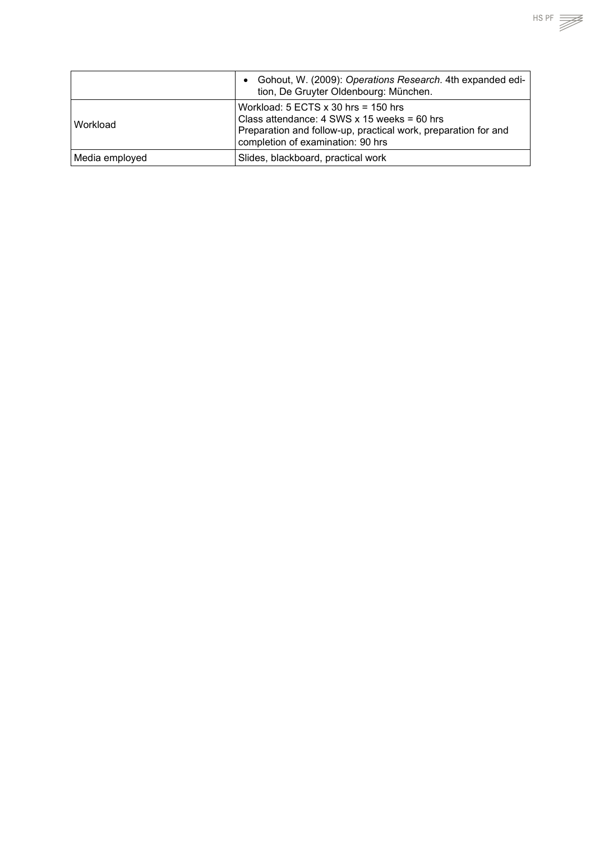|                | Gohout, W. (2009): Operations Research. 4th expanded edi-<br>$\bullet$<br>tion, De Gruyter Oldenbourg: München.                                                                             |
|----------------|---------------------------------------------------------------------------------------------------------------------------------------------------------------------------------------------|
| Workload       | Workload: $5$ ECTS x 30 hrs = 150 hrs<br>Class attendance: 4 SWS x 15 weeks = 60 hrs<br>Preparation and follow-up, practical work, preparation for and<br>completion of examination: 90 hrs |
| Media employed | Slides, blackboard, practical work                                                                                                                                                          |

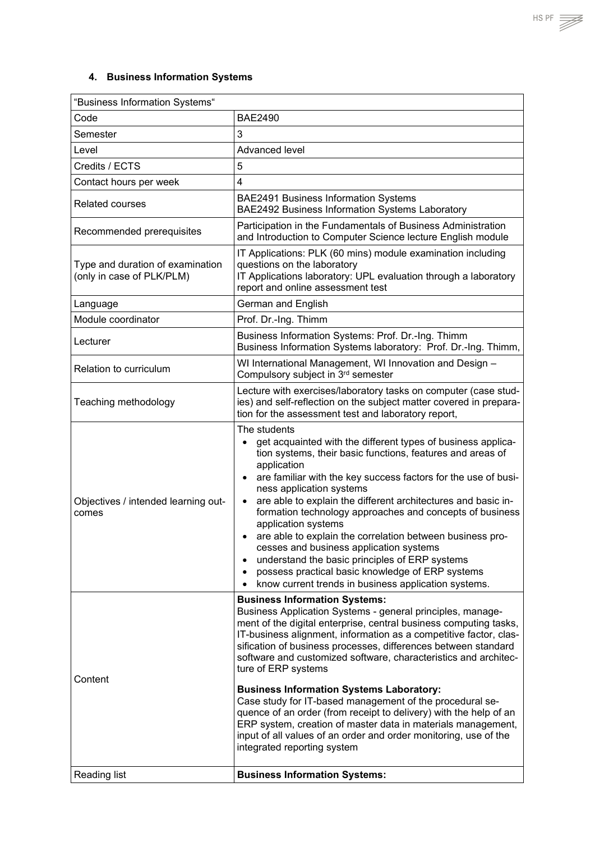# <span id="page-30-0"></span>**4. Business Information Systems**

| "Business Information Systems"                                |                                                                                                                                                                                                                                                                                                                                                                                                                                                                                                                                                                                                                                                                                                                                                                 |
|---------------------------------------------------------------|-----------------------------------------------------------------------------------------------------------------------------------------------------------------------------------------------------------------------------------------------------------------------------------------------------------------------------------------------------------------------------------------------------------------------------------------------------------------------------------------------------------------------------------------------------------------------------------------------------------------------------------------------------------------------------------------------------------------------------------------------------------------|
| Code                                                          | <b>BAE2490</b>                                                                                                                                                                                                                                                                                                                                                                                                                                                                                                                                                                                                                                                                                                                                                  |
| Semester                                                      | 3                                                                                                                                                                                                                                                                                                                                                                                                                                                                                                                                                                                                                                                                                                                                                               |
| Level                                                         | Advanced level                                                                                                                                                                                                                                                                                                                                                                                                                                                                                                                                                                                                                                                                                                                                                  |
| Credits / ECTS                                                | 5                                                                                                                                                                                                                                                                                                                                                                                                                                                                                                                                                                                                                                                                                                                                                               |
| Contact hours per week                                        | 4                                                                                                                                                                                                                                                                                                                                                                                                                                                                                                                                                                                                                                                                                                                                                               |
| <b>Related courses</b>                                        | <b>BAE2491 Business Information Systems</b><br>BAE2492 Business Information Systems Laboratory                                                                                                                                                                                                                                                                                                                                                                                                                                                                                                                                                                                                                                                                  |
| Recommended prerequisites                                     | Participation in the Fundamentals of Business Administration<br>and Introduction to Computer Science lecture English module                                                                                                                                                                                                                                                                                                                                                                                                                                                                                                                                                                                                                                     |
| Type and duration of examination<br>(only in case of PLK/PLM) | IT Applications: PLK (60 mins) module examination including<br>questions on the laboratory<br>IT Applications laboratory: UPL evaluation through a laboratory<br>report and online assessment test                                                                                                                                                                                                                                                                                                                                                                                                                                                                                                                                                              |
| Language                                                      | German and English                                                                                                                                                                                                                                                                                                                                                                                                                                                                                                                                                                                                                                                                                                                                              |
| Module coordinator                                            | Prof. Dr.-Ing. Thimm                                                                                                                                                                                                                                                                                                                                                                                                                                                                                                                                                                                                                                                                                                                                            |
| Lecturer                                                      | Business Information Systems: Prof. Dr.-Ing. Thimm<br>Business Information Systems laboratory: Prof. Dr.-Ing. Thimm,                                                                                                                                                                                                                                                                                                                                                                                                                                                                                                                                                                                                                                            |
| Relation to curriculum                                        | WI International Management, WI Innovation and Design -<br>Compulsory subject in 3rd semester                                                                                                                                                                                                                                                                                                                                                                                                                                                                                                                                                                                                                                                                   |
| Teaching methodology                                          | Lecture with exercises/laboratory tasks on computer (case stud-<br>ies) and self-reflection on the subject matter covered in prepara-<br>tion for the assessment test and laboratory report,                                                                                                                                                                                                                                                                                                                                                                                                                                                                                                                                                                    |
| Objectives / intended learning out-<br>comes                  | The students<br>get acquainted with the different types of business applica-<br>$\bullet$<br>tion systems, their basic functions, features and areas of<br>application<br>are familiar with the key success factors for the use of busi-<br>$\bullet$<br>ness application systems<br>are able to explain the different architectures and basic in-<br>$\bullet$<br>formation technology approaches and concepts of business<br>application systems<br>are able to explain the correlation between business pro-<br>cesses and business application systems<br>understand the basic principles of ERP systems<br>$\bullet$<br>possess practical basic knowledge of ERP systems<br>know current trends in business application systems.                           |
| Content                                                       | <b>Business Information Systems:</b><br>Business Application Systems - general principles, manage-<br>ment of the digital enterprise, central business computing tasks,<br>IT-business alignment, information as a competitive factor, clas-<br>sification of business processes, differences between standard<br>software and customized software, characteristics and architec-<br>ture of ERP systems<br><b>Business Information Systems Laboratory:</b><br>Case study for IT-based management of the procedural se-<br>quence of an order (from receipt to delivery) with the help of an<br>ERP system, creation of master data in materials management,<br>input of all values of an order and order monitoring, use of the<br>integrated reporting system |
| <b>Reading list</b>                                           | <b>Business Information Systems:</b>                                                                                                                                                                                                                                                                                                                                                                                                                                                                                                                                                                                                                                                                                                                            |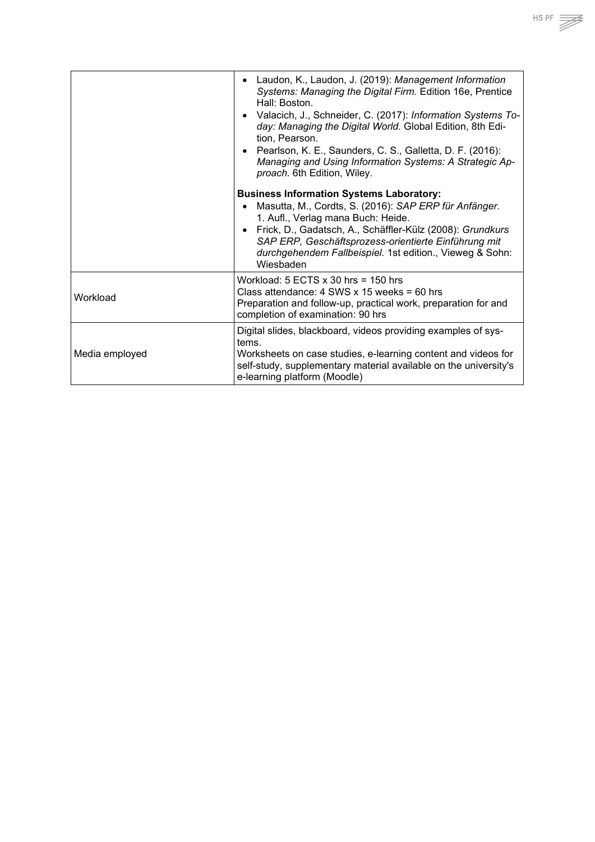• Laudon, K., Laudon, J. (2019): *Management Information Systems: Managing the Digital Firm.* Edition 16e, Prentice Hall: Boston. • Valacich, J., Schneider, C. (2017): *Information Systems Today: Managing the Digital World.* Global Edition, 8th Edition, Pearson. • Pearlson, K. E., Saunders, C. S., Galletta, D. F. (2016): *Managing and Using Information Systems: A Strategic Approach.* 6th Edition, Wiley. **Business Information Systems Laboratory:** • Masutta, M., Cordts, S. (2016): *SAP ERP für Anfänger.* 1. Aufl., Verlag mana Buch: Heide. • Frick, D., Gadatsch, A., Schäffler-Külz (2008): *Grundkurs SAP ERP, Geschäftsprozess-orientierte Einführung mit durchgehendem Fallbeispiel.* 1st edition., Vieweg & Sohn: Wiesbaden Workload Workload: 5 ECTS x 30 hrs = 150 hrs Class attendance: 4 SWS x 15 weeks = 60 hrs Preparation and follow-up, practical work, preparation for and completion of examination: 90 hrs Media employed Digital slides, blackboard, videos providing examples of systems. Worksheets on case studies, e-learning content and videos for self-study, supplementary material available on the university's e-learning platform (Moodle)

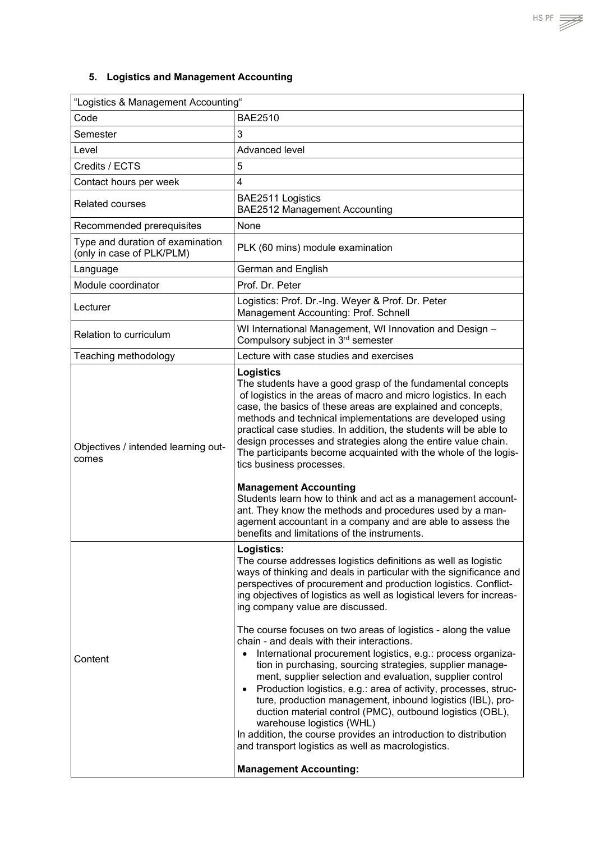<span id="page-32-0"></span>

| "Logistics & Management Accounting"                           |                                                                                                                                                                                                                                                                                                                                                                                                                                                                                                                                                                                                                                                                                                                                                                                                                                                                                                                                                                                                                                                              |
|---------------------------------------------------------------|--------------------------------------------------------------------------------------------------------------------------------------------------------------------------------------------------------------------------------------------------------------------------------------------------------------------------------------------------------------------------------------------------------------------------------------------------------------------------------------------------------------------------------------------------------------------------------------------------------------------------------------------------------------------------------------------------------------------------------------------------------------------------------------------------------------------------------------------------------------------------------------------------------------------------------------------------------------------------------------------------------------------------------------------------------------|
| Code                                                          | <b>BAE2510</b>                                                                                                                                                                                                                                                                                                                                                                                                                                                                                                                                                                                                                                                                                                                                                                                                                                                                                                                                                                                                                                               |
| Semester                                                      | 3                                                                                                                                                                                                                                                                                                                                                                                                                                                                                                                                                                                                                                                                                                                                                                                                                                                                                                                                                                                                                                                            |
| Level                                                         | Advanced level                                                                                                                                                                                                                                                                                                                                                                                                                                                                                                                                                                                                                                                                                                                                                                                                                                                                                                                                                                                                                                               |
| Credits / ECTS                                                | 5                                                                                                                                                                                                                                                                                                                                                                                                                                                                                                                                                                                                                                                                                                                                                                                                                                                                                                                                                                                                                                                            |
| Contact hours per week                                        | $\overline{\mathbf{4}}$                                                                                                                                                                                                                                                                                                                                                                                                                                                                                                                                                                                                                                                                                                                                                                                                                                                                                                                                                                                                                                      |
| <b>Related courses</b>                                        | BAE2511 Logistics<br>BAE2512 Management Accounting                                                                                                                                                                                                                                                                                                                                                                                                                                                                                                                                                                                                                                                                                                                                                                                                                                                                                                                                                                                                           |
| Recommended prerequisites                                     | None                                                                                                                                                                                                                                                                                                                                                                                                                                                                                                                                                                                                                                                                                                                                                                                                                                                                                                                                                                                                                                                         |
| Type and duration of examination<br>(only in case of PLK/PLM) | PLK (60 mins) module examination                                                                                                                                                                                                                                                                                                                                                                                                                                                                                                                                                                                                                                                                                                                                                                                                                                                                                                                                                                                                                             |
| Language                                                      | German and English                                                                                                                                                                                                                                                                                                                                                                                                                                                                                                                                                                                                                                                                                                                                                                                                                                                                                                                                                                                                                                           |
| Module coordinator                                            | Prof. Dr. Peter                                                                                                                                                                                                                                                                                                                                                                                                                                                                                                                                                                                                                                                                                                                                                                                                                                                                                                                                                                                                                                              |
| Lecturer                                                      | Logistics: Prof. Dr.-Ing. Weyer & Prof. Dr. Peter<br>Management Accounting: Prof. Schnell                                                                                                                                                                                                                                                                                                                                                                                                                                                                                                                                                                                                                                                                                                                                                                                                                                                                                                                                                                    |
| Relation to curriculum                                        | WI International Management, WI Innovation and Design -<br>Compulsory subject in 3rd semester                                                                                                                                                                                                                                                                                                                                                                                                                                                                                                                                                                                                                                                                                                                                                                                                                                                                                                                                                                |
| Teaching methodology                                          | Lecture with case studies and exercises                                                                                                                                                                                                                                                                                                                                                                                                                                                                                                                                                                                                                                                                                                                                                                                                                                                                                                                                                                                                                      |
| Objectives / intended learning out-<br>comes                  | <b>Logistics</b><br>The students have a good grasp of the fundamental concepts<br>of logistics in the areas of macro and micro logistics. In each<br>case, the basics of these areas are explained and concepts,<br>methods and technical implementations are developed using<br>practical case studies. In addition, the students will be able to<br>design processes and strategies along the entire value chain.<br>The participants become acquainted with the whole of the logis-<br>tics business processes.<br><b>Management Accounting</b><br>Students learn how to think and act as a management account-<br>ant. They know the methods and procedures used by a man-<br>agement accountant in a company and are able to assess the<br>benefits and limitations of the instruments.                                                                                                                                                                                                                                                                 |
| Content                                                       | Logistics:<br>The course addresses logistics definitions as well as logistic<br>ways of thinking and deals in particular with the significance and<br>perspectives of procurement and production logistics. Conflict-<br>ing objectives of logistics as well as logistical levers for increas-<br>ing company value are discussed.<br>The course focuses on two areas of logistics - along the value<br>chain - and deals with their interactions.<br>International procurement logistics, e.g.: process organiza-<br>$\bullet$<br>tion in purchasing, sourcing strategies, supplier manage-<br>ment, supplier selection and evaluation, supplier control<br>Production logistics, e.g.: area of activity, processes, struc-<br>$\bullet$<br>ture, production management, inbound logistics (IBL), pro-<br>duction material control (PMC), outbound logistics (OBL),<br>warehouse logistics (WHL)<br>In addition, the course provides an introduction to distribution<br>and transport logistics as well as macrologistics.<br><b>Management Accounting:</b> |

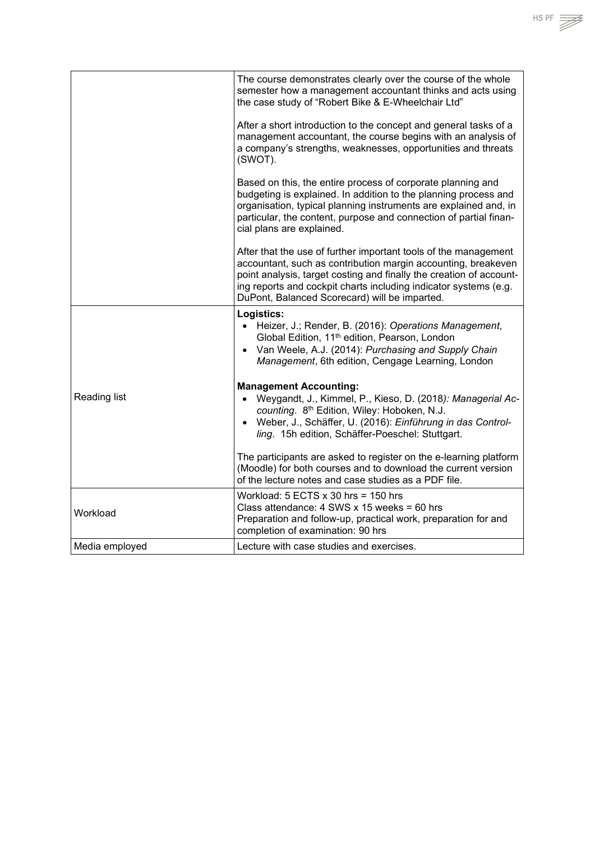

HS PF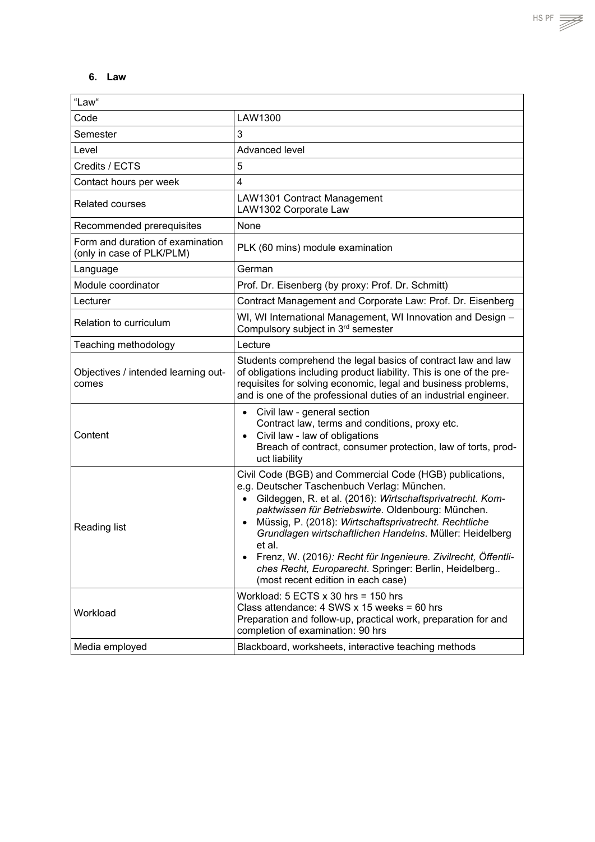#### <span id="page-34-0"></span>**6. Law**

| "Law"                                                         |                                                                                                                                                                                                                                                                                                                                                                                                                                                                                                                                                     |
|---------------------------------------------------------------|-----------------------------------------------------------------------------------------------------------------------------------------------------------------------------------------------------------------------------------------------------------------------------------------------------------------------------------------------------------------------------------------------------------------------------------------------------------------------------------------------------------------------------------------------------|
| Code                                                          | LAW1300                                                                                                                                                                                                                                                                                                                                                                                                                                                                                                                                             |
| Semester                                                      | 3                                                                                                                                                                                                                                                                                                                                                                                                                                                                                                                                                   |
| Level                                                         | Advanced level                                                                                                                                                                                                                                                                                                                                                                                                                                                                                                                                      |
| Credits / ECTS                                                | 5                                                                                                                                                                                                                                                                                                                                                                                                                                                                                                                                                   |
| Contact hours per week                                        | $\overline{4}$                                                                                                                                                                                                                                                                                                                                                                                                                                                                                                                                      |
| <b>Related courses</b>                                        | LAW1301 Contract Management<br>LAW1302 Corporate Law                                                                                                                                                                                                                                                                                                                                                                                                                                                                                                |
| Recommended prerequisites                                     | None                                                                                                                                                                                                                                                                                                                                                                                                                                                                                                                                                |
| Form and duration of examination<br>(only in case of PLK/PLM) | PLK (60 mins) module examination                                                                                                                                                                                                                                                                                                                                                                                                                                                                                                                    |
| Language                                                      | German                                                                                                                                                                                                                                                                                                                                                                                                                                                                                                                                              |
| Module coordinator                                            | Prof. Dr. Eisenberg (by proxy: Prof. Dr. Schmitt)                                                                                                                                                                                                                                                                                                                                                                                                                                                                                                   |
| Lecturer                                                      | Contract Management and Corporate Law: Prof. Dr. Eisenberg                                                                                                                                                                                                                                                                                                                                                                                                                                                                                          |
| Relation to curriculum                                        | WI, WI International Management, WI Innovation and Design -<br>Compulsory subject in 3rd semester                                                                                                                                                                                                                                                                                                                                                                                                                                                   |
| Teaching methodology                                          | Lecture                                                                                                                                                                                                                                                                                                                                                                                                                                                                                                                                             |
| Objectives / intended learning out-<br>comes                  | Students comprehend the legal basics of contract law and law<br>of obligations including product liability. This is one of the pre-<br>requisites for solving economic, legal and business problems,<br>and is one of the professional duties of an industrial engineer.                                                                                                                                                                                                                                                                            |
| Content                                                       | Civil law - general section<br>$\bullet$<br>Contract law, terms and conditions, proxy etc.<br>Civil law - law of obligations<br>$\bullet$<br>Breach of contract, consumer protection, law of torts, prod-<br>uct liability                                                                                                                                                                                                                                                                                                                          |
| Reading list                                                  | Civil Code (BGB) and Commercial Code (HGB) publications,<br>e.g. Deutscher Taschenbuch Verlag: München.<br>Gildeggen, R. et al. (2016): Wirtschaftsprivatrecht. Kom-<br>paktwissen für Betriebswirte. Oldenbourg: München.<br>Müssig, P. (2018): Wirtschaftsprivatrecht. Rechtliche<br>$\bullet$<br>Grundlagen wirtschaftlichen Handelns. Müller: Heidelberg<br>et al.<br>Frenz, W. (2016): Recht für Ingenieure. Zivilrecht, Öffentli-<br>$\bullet$<br>ches Recht, Europarecht. Springer: Berlin, Heidelberg<br>(most recent edition in each case) |
| Workload                                                      | Workload: $5$ ECTS $x$ 30 hrs = 150 hrs<br>Class attendance: $4$ SWS x 15 weeks = 60 hrs<br>Preparation and follow-up, practical work, preparation for and<br>completion of examination: 90 hrs                                                                                                                                                                                                                                                                                                                                                     |
| Media employed                                                | Blackboard, worksheets, interactive teaching methods                                                                                                                                                                                                                                                                                                                                                                                                                                                                                                |

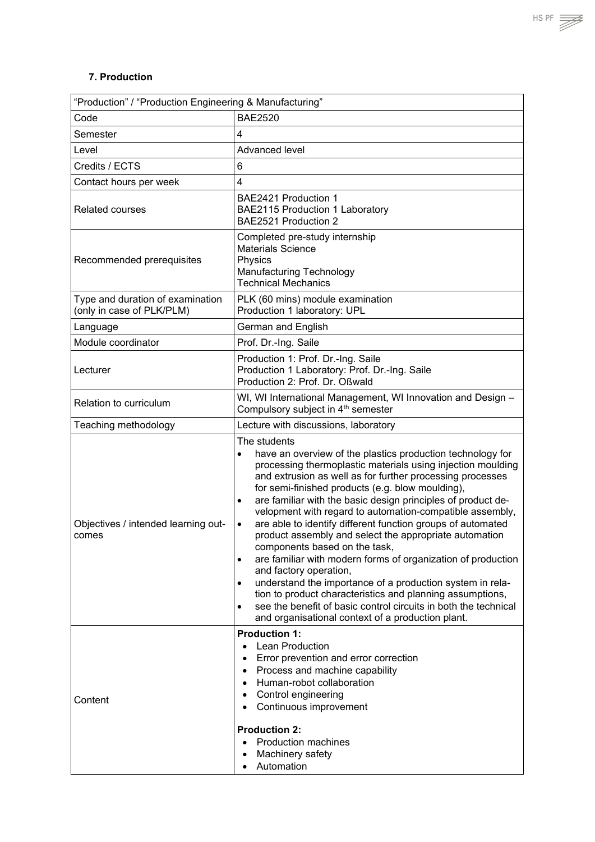<span id="page-35-0"></span>

| "Production" / "Production Engineering & Manufacturing"       |                                                                                                                                                                                                                                                                                                                                                                                                                                                                                                                                                                                                                                                                                                                                                                                                                                                                                                                                                  |
|---------------------------------------------------------------|--------------------------------------------------------------------------------------------------------------------------------------------------------------------------------------------------------------------------------------------------------------------------------------------------------------------------------------------------------------------------------------------------------------------------------------------------------------------------------------------------------------------------------------------------------------------------------------------------------------------------------------------------------------------------------------------------------------------------------------------------------------------------------------------------------------------------------------------------------------------------------------------------------------------------------------------------|
| Code                                                          | <b>BAE2520</b>                                                                                                                                                                                                                                                                                                                                                                                                                                                                                                                                                                                                                                                                                                                                                                                                                                                                                                                                   |
| Semester                                                      | 4                                                                                                                                                                                                                                                                                                                                                                                                                                                                                                                                                                                                                                                                                                                                                                                                                                                                                                                                                |
| Level                                                         | Advanced level                                                                                                                                                                                                                                                                                                                                                                                                                                                                                                                                                                                                                                                                                                                                                                                                                                                                                                                                   |
| Credits / ECTS                                                | 6                                                                                                                                                                                                                                                                                                                                                                                                                                                                                                                                                                                                                                                                                                                                                                                                                                                                                                                                                |
| Contact hours per week                                        | 4                                                                                                                                                                                                                                                                                                                                                                                                                                                                                                                                                                                                                                                                                                                                                                                                                                                                                                                                                |
| <b>Related courses</b>                                        | BAE2421 Production 1<br>BAE2115 Production 1 Laboratory<br>BAE2521 Production 2                                                                                                                                                                                                                                                                                                                                                                                                                                                                                                                                                                                                                                                                                                                                                                                                                                                                  |
| Recommended prerequisites                                     | Completed pre-study internship<br><b>Materials Science</b><br>Physics<br>Manufacturing Technology<br><b>Technical Mechanics</b>                                                                                                                                                                                                                                                                                                                                                                                                                                                                                                                                                                                                                                                                                                                                                                                                                  |
| Type and duration of examination<br>(only in case of PLK/PLM) | PLK (60 mins) module examination<br>Production 1 laboratory: UPL                                                                                                                                                                                                                                                                                                                                                                                                                                                                                                                                                                                                                                                                                                                                                                                                                                                                                 |
| Language                                                      | German and English                                                                                                                                                                                                                                                                                                                                                                                                                                                                                                                                                                                                                                                                                                                                                                                                                                                                                                                               |
| Module coordinator                                            | Prof. Dr.-Ing. Saile                                                                                                                                                                                                                                                                                                                                                                                                                                                                                                                                                                                                                                                                                                                                                                                                                                                                                                                             |
| Lecturer                                                      | Production 1: Prof. Dr.-Ing. Saile<br>Production 1 Laboratory: Prof. Dr.-Ing. Saile<br>Production 2: Prof. Dr. Oßwald                                                                                                                                                                                                                                                                                                                                                                                                                                                                                                                                                                                                                                                                                                                                                                                                                            |
| Relation to curriculum                                        | WI, WI International Management, WI Innovation and Design -<br>Compulsory subject in 4 <sup>th</sup> semester                                                                                                                                                                                                                                                                                                                                                                                                                                                                                                                                                                                                                                                                                                                                                                                                                                    |
| Teaching methodology                                          | Lecture with discussions, laboratory                                                                                                                                                                                                                                                                                                                                                                                                                                                                                                                                                                                                                                                                                                                                                                                                                                                                                                             |
| Objectives / intended learning out-<br>comes                  | The students<br>have an overview of the plastics production technology for<br>$\bullet$<br>processing thermoplastic materials using injection moulding<br>and extrusion as well as for further processing processes<br>for semi-finished products (e.g. blow moulding),<br>are familiar with the basic design principles of product de-<br>$\bullet$<br>velopment with regard to automation-compatible assembly,<br>are able to identify different function groups of automated<br>$\bullet$<br>product assembly and select the appropriate automation<br>components based on the task,<br>are familiar with modern forms of organization of production<br>and factory operation,<br>understand the importance of a production system in rela-<br>$\bullet$<br>tion to product characteristics and planning assumptions,<br>see the benefit of basic control circuits in both the technical<br>and organisational context of a production plant. |
| Content                                                       | <b>Production 1:</b><br><b>Lean Production</b><br>$\bullet$<br>Error prevention and error correction<br>$\bullet$<br>Process and machine capability<br>$\bullet$<br>Human-robot collaboration<br>$\bullet$<br>Control engineering<br>$\bullet$<br>Continuous improvement<br><b>Production 2:</b><br><b>Production machines</b><br>$\bullet$<br>Machinery safety<br>$\bullet$<br>Automation                                                                                                                                                                                                                                                                                                                                                                                                                                                                                                                                                       |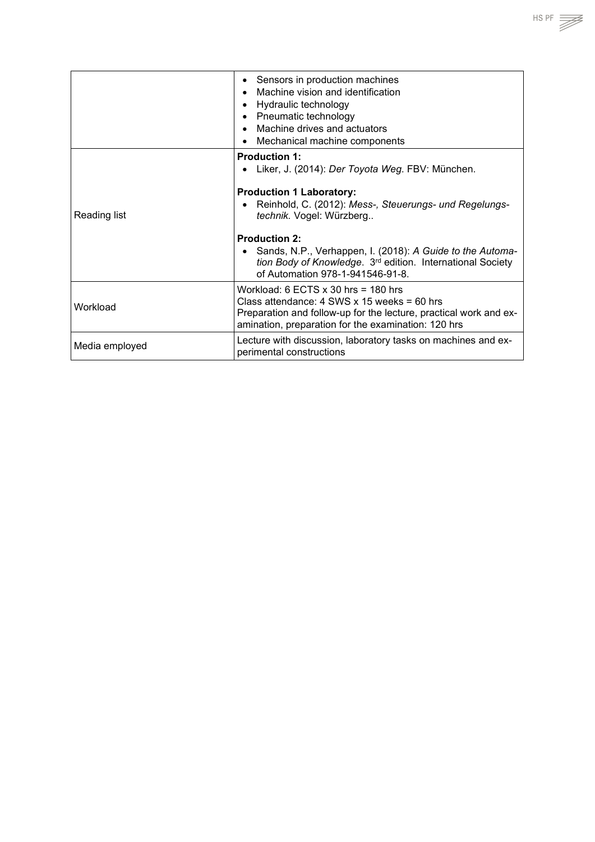|                | Sensors in production machines<br>$\bullet$<br>Machine vision and identification<br>Hydraulic technology<br>$\bullet$<br>Pneumatic technology<br>Machine drives and actuators<br>Mechanical machine components<br>$\bullet$                                                                                                                                     |
|----------------|-----------------------------------------------------------------------------------------------------------------------------------------------------------------------------------------------------------------------------------------------------------------------------------------------------------------------------------------------------------------|
| Reading list   | <b>Production 1:</b><br>Liker, J. (2014): Der Toyota Weg. FBV: München.<br><b>Production 1 Laboratory:</b><br>Reinhold, C. (2012): Mess-, Steuerungs- und Regelungs-<br>technik. Vogel: Würzberg<br><b>Production 2:</b><br>Sands, N.P., Verhappen, I. (2018): A Guide to the Automa-<br>tion Body of Knowledge. 3 <sup>rd</sup> edition. International Society |
|                | of Automation 978-1-941546-91-8.                                                                                                                                                                                                                                                                                                                                |
| Workload       | Workload: 6 ECTS $\times$ 30 hrs = 180 hrs<br>Class attendance: $4$ SWS x 15 weeks = 60 hrs<br>Preparation and follow-up for the lecture, practical work and ex-<br>amination, preparation for the examination: 120 hrs                                                                                                                                         |
| Media employed | Lecture with discussion, laboratory tasks on machines and ex-<br>perimental constructions                                                                                                                                                                                                                                                                       |

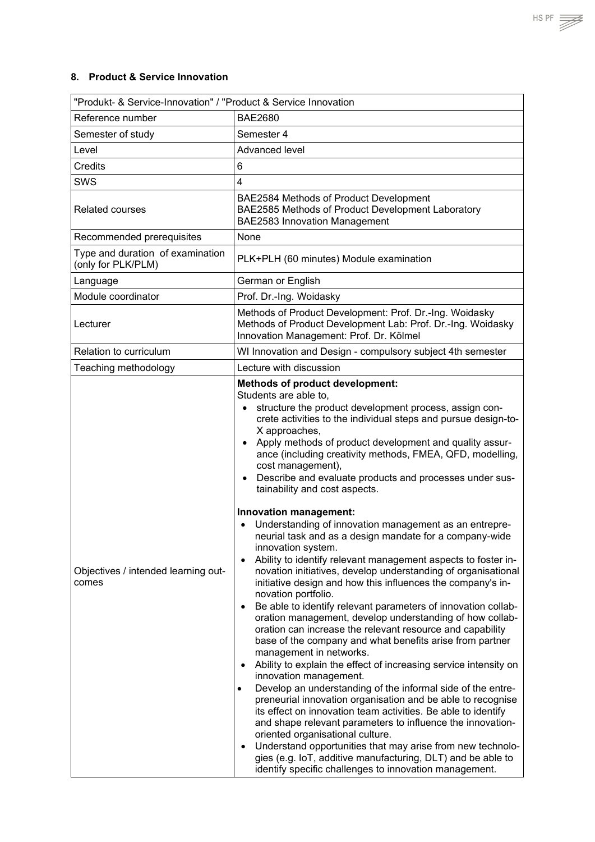### <span id="page-37-0"></span>**8. Product & Service Innovation**

| "Produkt- & Service-Innovation" / "Product & Service Innovation                                                                                                                                                                                                                                                                                                                                                                                                                                                                                                                                                                                                                                                                                                                                                                                                                                                                                                                                                                                                                                                                                                                                                                                                                                                                                                                                                                                                                                                                                                                                                                                                                                          |  |
|----------------------------------------------------------------------------------------------------------------------------------------------------------------------------------------------------------------------------------------------------------------------------------------------------------------------------------------------------------------------------------------------------------------------------------------------------------------------------------------------------------------------------------------------------------------------------------------------------------------------------------------------------------------------------------------------------------------------------------------------------------------------------------------------------------------------------------------------------------------------------------------------------------------------------------------------------------------------------------------------------------------------------------------------------------------------------------------------------------------------------------------------------------------------------------------------------------------------------------------------------------------------------------------------------------------------------------------------------------------------------------------------------------------------------------------------------------------------------------------------------------------------------------------------------------------------------------------------------------------------------------------------------------------------------------------------------------|--|
| <b>BAE2680</b>                                                                                                                                                                                                                                                                                                                                                                                                                                                                                                                                                                                                                                                                                                                                                                                                                                                                                                                                                                                                                                                                                                                                                                                                                                                                                                                                                                                                                                                                                                                                                                                                                                                                                           |  |
| Semester 4                                                                                                                                                                                                                                                                                                                                                                                                                                                                                                                                                                                                                                                                                                                                                                                                                                                                                                                                                                                                                                                                                                                                                                                                                                                                                                                                                                                                                                                                                                                                                                                                                                                                                               |  |
| Advanced level                                                                                                                                                                                                                                                                                                                                                                                                                                                                                                                                                                                                                                                                                                                                                                                                                                                                                                                                                                                                                                                                                                                                                                                                                                                                                                                                                                                                                                                                                                                                                                                                                                                                                           |  |
| $6\phantom{1}$                                                                                                                                                                                                                                                                                                                                                                                                                                                                                                                                                                                                                                                                                                                                                                                                                                                                                                                                                                                                                                                                                                                                                                                                                                                                                                                                                                                                                                                                                                                                                                                                                                                                                           |  |
| $\overline{4}$                                                                                                                                                                                                                                                                                                                                                                                                                                                                                                                                                                                                                                                                                                                                                                                                                                                                                                                                                                                                                                                                                                                                                                                                                                                                                                                                                                                                                                                                                                                                                                                                                                                                                           |  |
| BAE2584 Methods of Product Development<br>BAE2585 Methods of Product Development Laboratory<br><b>BAE2583 Innovation Management</b>                                                                                                                                                                                                                                                                                                                                                                                                                                                                                                                                                                                                                                                                                                                                                                                                                                                                                                                                                                                                                                                                                                                                                                                                                                                                                                                                                                                                                                                                                                                                                                      |  |
| None                                                                                                                                                                                                                                                                                                                                                                                                                                                                                                                                                                                                                                                                                                                                                                                                                                                                                                                                                                                                                                                                                                                                                                                                                                                                                                                                                                                                                                                                                                                                                                                                                                                                                                     |  |
| PLK+PLH (60 minutes) Module examination                                                                                                                                                                                                                                                                                                                                                                                                                                                                                                                                                                                                                                                                                                                                                                                                                                                                                                                                                                                                                                                                                                                                                                                                                                                                                                                                                                                                                                                                                                                                                                                                                                                                  |  |
| German or English                                                                                                                                                                                                                                                                                                                                                                                                                                                                                                                                                                                                                                                                                                                                                                                                                                                                                                                                                                                                                                                                                                                                                                                                                                                                                                                                                                                                                                                                                                                                                                                                                                                                                        |  |
| Prof. Dr.-Ing. Woidasky                                                                                                                                                                                                                                                                                                                                                                                                                                                                                                                                                                                                                                                                                                                                                                                                                                                                                                                                                                                                                                                                                                                                                                                                                                                                                                                                                                                                                                                                                                                                                                                                                                                                                  |  |
| Methods of Product Development: Prof. Dr.-Ing. Woidasky<br>Methods of Product Development Lab: Prof. Dr.-Ing. Woidasky<br>Innovation Management: Prof. Dr. Kölmel                                                                                                                                                                                                                                                                                                                                                                                                                                                                                                                                                                                                                                                                                                                                                                                                                                                                                                                                                                                                                                                                                                                                                                                                                                                                                                                                                                                                                                                                                                                                        |  |
| WI Innovation and Design - compulsory subject 4th semester                                                                                                                                                                                                                                                                                                                                                                                                                                                                                                                                                                                                                                                                                                                                                                                                                                                                                                                                                                                                                                                                                                                                                                                                                                                                                                                                                                                                                                                                                                                                                                                                                                               |  |
| Lecture with discussion                                                                                                                                                                                                                                                                                                                                                                                                                                                                                                                                                                                                                                                                                                                                                                                                                                                                                                                                                                                                                                                                                                                                                                                                                                                                                                                                                                                                                                                                                                                                                                                                                                                                                  |  |
| <b>Methods of product development:</b><br>Students are able to,<br>structure the product development process, assign con-<br>crete activities to the individual steps and pursue design-to-<br>X approaches,<br>Apply methods of product development and quality assur-<br>$\bullet$<br>ance (including creativity methods, FMEA, QFD, modelling,<br>cost management),<br>Describe and evaluate products and processes under sus-<br>$\bullet$<br>tainability and cost aspects.<br>Innovation management:<br>Understanding of innovation management as an entrepre-<br>$\bullet$<br>neurial task and as a design mandate for a company-wide<br>innovation system.<br>Ability to identify relevant management aspects to foster in-<br>$\bullet$<br>novation initiatives, develop understanding of organisational<br>initiative design and how this influences the company's in-<br>novation portfolio.<br>Be able to identify relevant parameters of innovation collab-<br>$\bullet$<br>oration management, develop understanding of how collab-<br>oration can increase the relevant resource and capability<br>base of the company and what benefits arise from partner<br>management in networks.<br>Ability to explain the effect of increasing service intensity on<br>$\bullet$<br>innovation management.<br>Develop an understanding of the informal side of the entre-<br>$\bullet$<br>preneurial innovation organisation and be able to recognise<br>its effect on innovation team activities. Be able to identify<br>and shape relevant parameters to influence the innovation-<br>oriented organisational culture.<br>Understand opportunities that may arise from new technolo-<br>$\bullet$ |  |
|                                                                                                                                                                                                                                                                                                                                                                                                                                                                                                                                                                                                                                                                                                                                                                                                                                                                                                                                                                                                                                                                                                                                                                                                                                                                                                                                                                                                                                                                                                                                                                                                                                                                                                          |  |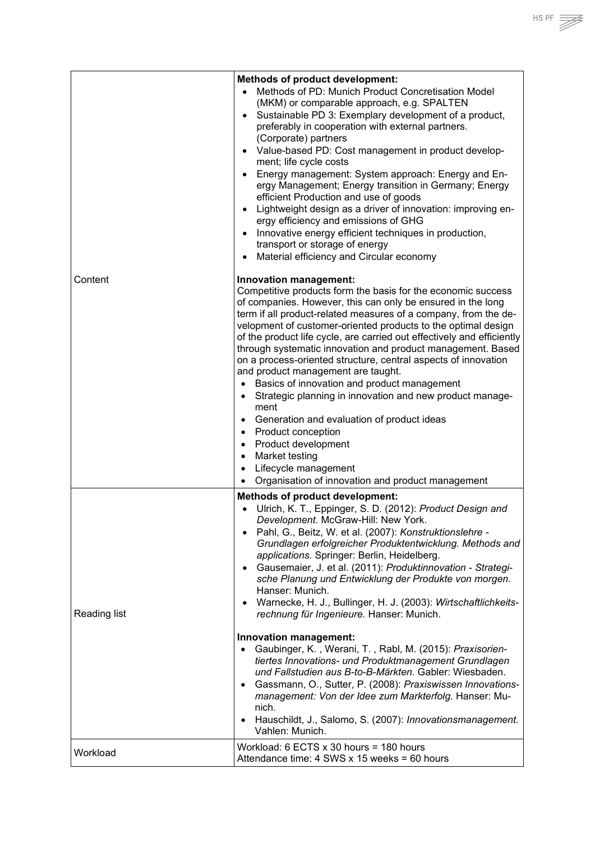| Content      | <b>Methods of product development:</b><br>Methods of PD: Munich Product Concretisation Model<br>$\bullet$<br>(MKM) or comparable approach, e.g. SPALTEN<br>Sustainable PD 3: Exemplary development of a product,<br>$\bullet$<br>preferably in cooperation with external partners.<br>(Corporate) partners<br>Value-based PD: Cost management in product develop-<br>$\bullet$<br>ment; life cycle costs<br>Energy management: System approach: Energy and En-<br>$\bullet$<br>ergy Management; Energy transition in Germany; Energy<br>efficient Production and use of goods<br>Lightweight design as a driver of innovation: improving en-<br>$\bullet$<br>ergy efficiency and emissions of GHG<br>Innovative energy efficient techniques in production,<br>$\bullet$<br>transport or storage of energy<br>Material efficiency and Circular economy<br>$\bullet$<br>Innovation management:<br>Competitive products form the basis for the economic success<br>of companies. However, this can only be ensured in the long                                                      |
|--------------|----------------------------------------------------------------------------------------------------------------------------------------------------------------------------------------------------------------------------------------------------------------------------------------------------------------------------------------------------------------------------------------------------------------------------------------------------------------------------------------------------------------------------------------------------------------------------------------------------------------------------------------------------------------------------------------------------------------------------------------------------------------------------------------------------------------------------------------------------------------------------------------------------------------------------------------------------------------------------------------------------------------------------------------------------------------------------------|
|              | term if all product-related measures of a company, from the de-<br>velopment of customer-oriented products to the optimal design<br>of the product life cycle, are carried out effectively and efficiently<br>through systematic innovation and product management. Based<br>on a process-oriented structure, central aspects of innovation<br>and product management are taught.<br>Basics of innovation and product management<br>$\bullet$<br>Strategic planning in innovation and new product manage-<br>$\bullet$<br>ment<br>Generation and evaluation of product ideas<br>$\bullet$<br><b>Product conception</b><br>$\bullet$<br>Product development<br>$\bullet$<br>Market testing<br>$\bullet$<br>Lifecycle management<br>$\bullet$<br>Organisation of innovation and product management<br>$\bullet$                                                                                                                                                                                                                                                                    |
| Reading list | <b>Methods of product development:</b><br>Ulrich, K. T., Eppinger, S. D. (2012): Product Design and<br>Development. McGraw-Hill: New York.<br>Pahl, G., Beitz, W. et al. (2007): Konstruktionslehre -<br>$\bullet$<br>Grundlagen erfolgreicher Produktentwicklung. Methods and<br>applications. Springer: Berlin, Heidelberg.<br>Gausemaier, J. et al. (2011): Produktinnovation - Strategi-<br>$\bullet$<br>sche Planung und Entwicklung der Produkte von morgen.<br>Hanser: Munich.<br>Warnecke, H. J., Bullinger, H. J. (2003): Wirtschaftlichkeits-<br>$\bullet$<br>rechnung für Ingenieure. Hanser: Munich.<br>Innovation management:<br>Gaubinger, K., Werani, T., Rabl, M. (2015): Praxisorien-<br>$\bullet$<br>tiertes Innovations- und Produktmanagement Grundlagen<br>und Fallstudien aus B-to-B-Märkten. Gabler: Wiesbaden.<br>Gassmann, O., Sutter, P. (2008): Praxiswissen Innovations-<br>$\bullet$<br>management: Von der Idee zum Markterfolg. Hanser: Mu-<br>nich.<br>Hauschildt, J., Salomo, S. (2007): Innovationsmanagement.<br>$\bullet$<br>Vahlen: Munich. |
| Workload     | Workload: $6$ ECTS $x$ 30 hours = 180 hours<br>Attendance time: $4$ SWS x 15 weeks = 60 hours                                                                                                                                                                                                                                                                                                                                                                                                                                                                                                                                                                                                                                                                                                                                                                                                                                                                                                                                                                                    |

HS PF  $\mathbb{R}$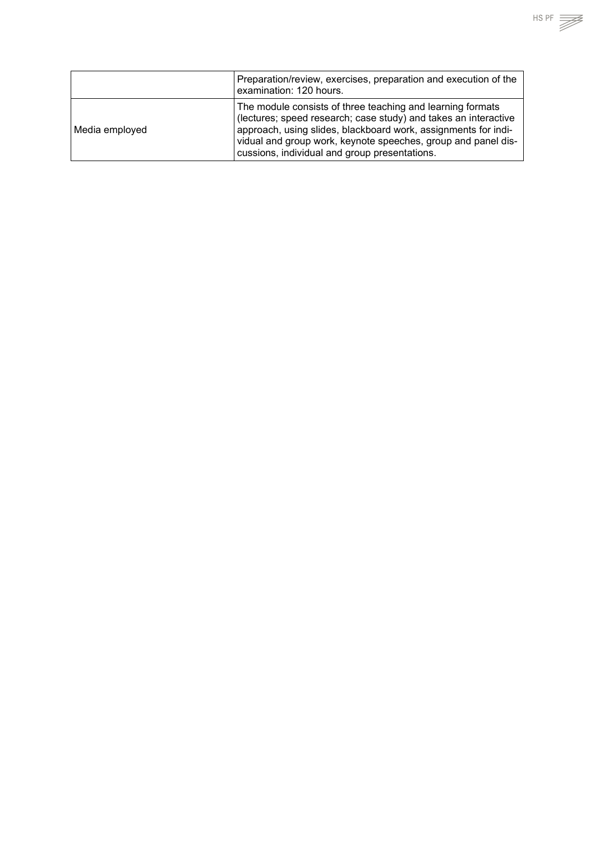|                | Preparation/review, exercises, preparation and execution of the<br>examination: 120 hours.                                                                                                                                                                                                                        |
|----------------|-------------------------------------------------------------------------------------------------------------------------------------------------------------------------------------------------------------------------------------------------------------------------------------------------------------------|
| Media employed | The module consists of three teaching and learning formats<br>(lectures; speed research; case study) and takes an interactive<br>approach, using slides, blackboard work, assignments for indi-<br>vidual and group work, keynote speeches, group and panel dis-<br>cussions, individual and group presentations. |

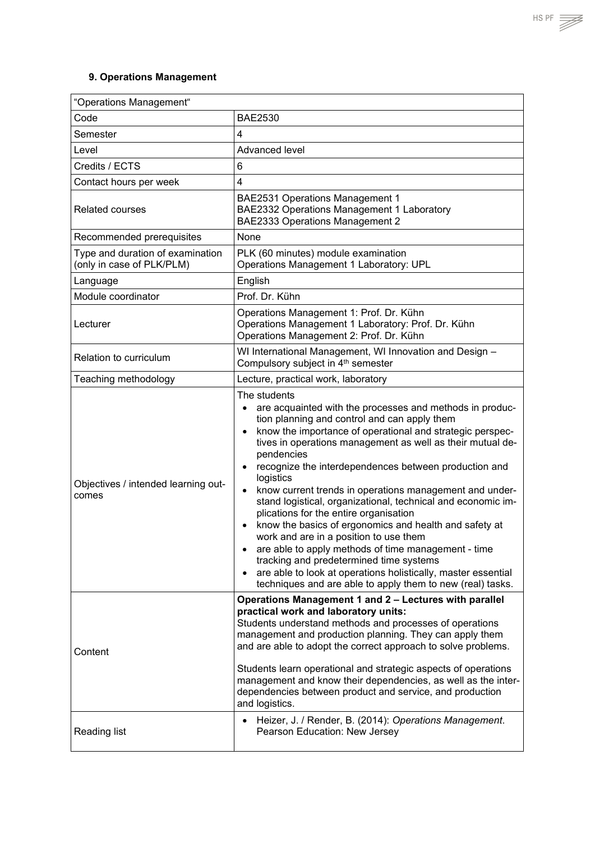## <span id="page-40-0"></span>**9. Operations Management**

| "Operations Management"                                       |                                                                                                                                                                                                                                                                                                                                                                                                                                                                                                                                                                                                                                                                                                                                                                                                                                                                                                                                              |  |
|---------------------------------------------------------------|----------------------------------------------------------------------------------------------------------------------------------------------------------------------------------------------------------------------------------------------------------------------------------------------------------------------------------------------------------------------------------------------------------------------------------------------------------------------------------------------------------------------------------------------------------------------------------------------------------------------------------------------------------------------------------------------------------------------------------------------------------------------------------------------------------------------------------------------------------------------------------------------------------------------------------------------|--|
| Code                                                          | <b>BAE2530</b>                                                                                                                                                                                                                                                                                                                                                                                                                                                                                                                                                                                                                                                                                                                                                                                                                                                                                                                               |  |
| Semester                                                      | $\overline{4}$                                                                                                                                                                                                                                                                                                                                                                                                                                                                                                                                                                                                                                                                                                                                                                                                                                                                                                                               |  |
| Level                                                         | Advanced level                                                                                                                                                                                                                                                                                                                                                                                                                                                                                                                                                                                                                                                                                                                                                                                                                                                                                                                               |  |
| Credits / ECTS                                                | 6                                                                                                                                                                                                                                                                                                                                                                                                                                                                                                                                                                                                                                                                                                                                                                                                                                                                                                                                            |  |
| Contact hours per week                                        | $\overline{4}$                                                                                                                                                                                                                                                                                                                                                                                                                                                                                                                                                                                                                                                                                                                                                                                                                                                                                                                               |  |
| <b>Related courses</b>                                        | <b>BAE2531 Operations Management 1</b><br>BAE2332 Operations Management 1 Laboratory<br>BAE2333 Operations Management 2                                                                                                                                                                                                                                                                                                                                                                                                                                                                                                                                                                                                                                                                                                                                                                                                                      |  |
| Recommended prerequisites                                     | None                                                                                                                                                                                                                                                                                                                                                                                                                                                                                                                                                                                                                                                                                                                                                                                                                                                                                                                                         |  |
| Type and duration of examination<br>(only in case of PLK/PLM) | PLK (60 minutes) module examination<br>Operations Management 1 Laboratory: UPL                                                                                                                                                                                                                                                                                                                                                                                                                                                                                                                                                                                                                                                                                                                                                                                                                                                               |  |
| Language                                                      | English                                                                                                                                                                                                                                                                                                                                                                                                                                                                                                                                                                                                                                                                                                                                                                                                                                                                                                                                      |  |
| Module coordinator                                            | Prof. Dr. Kühn                                                                                                                                                                                                                                                                                                                                                                                                                                                                                                                                                                                                                                                                                                                                                                                                                                                                                                                               |  |
| Lecturer                                                      | Operations Management 1: Prof. Dr. Kühn<br>Operations Management 1 Laboratory: Prof. Dr. Kühn<br>Operations Management 2: Prof. Dr. Kühn                                                                                                                                                                                                                                                                                                                                                                                                                                                                                                                                                                                                                                                                                                                                                                                                     |  |
| Relation to curriculum                                        | WI International Management, WI Innovation and Design -<br>Compulsory subject in 4 <sup>th</sup> semester                                                                                                                                                                                                                                                                                                                                                                                                                                                                                                                                                                                                                                                                                                                                                                                                                                    |  |
| Teaching methodology                                          | Lecture, practical work, laboratory                                                                                                                                                                                                                                                                                                                                                                                                                                                                                                                                                                                                                                                                                                                                                                                                                                                                                                          |  |
| Objectives / intended learning out-<br>comes                  | The students<br>are acquainted with the processes and methods in produc-<br>$\bullet$<br>tion planning and control and can apply them<br>know the importance of operational and strategic perspec-<br>$\bullet$<br>tives in operations management as well as their mutual de-<br>pendencies<br>recognize the interdependences between production and<br>$\bullet$<br>logistics<br>know current trends in operations management and under-<br>$\bullet$<br>stand logistical, organizational, technical and economic im-<br>plications for the entire organisation<br>know the basics of ergonomics and health and safety at<br>$\bullet$<br>work and are in a position to use them<br>are able to apply methods of time management - time<br>$\bullet$<br>tracking and predetermined time systems<br>are able to look at operations holistically, master essential<br>$\bullet$<br>techniques and are able to apply them to new (real) tasks. |  |
| Content                                                       | Operations Management 1 and 2 - Lectures with parallel<br>practical work and laboratory units:<br>Students understand methods and processes of operations<br>management and production planning. They can apply them<br>and are able to adopt the correct approach to solve problems.<br>Students learn operational and strategic aspects of operations<br>management and know their dependencies, as well as the inter-<br>dependencies between product and service, and production<br>and logistics.                                                                                                                                                                                                                                                                                                                                                                                                                                       |  |
| Reading list                                                  | Heizer, J. / Render, B. (2014): Operations Management.<br>Pearson Education: New Jersey                                                                                                                                                                                                                                                                                                                                                                                                                                                                                                                                                                                                                                                                                                                                                                                                                                                      |  |

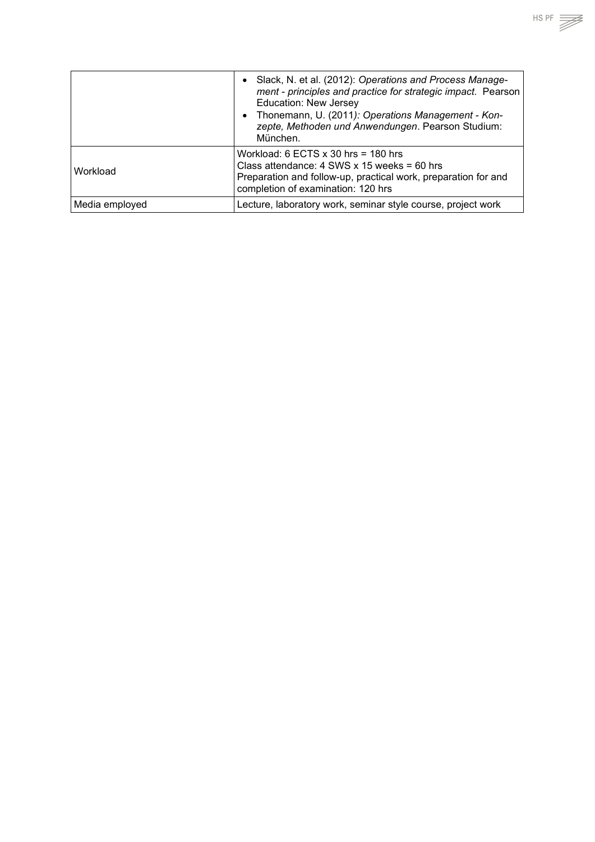|                | Slack, N. et al. (2012): Operations and Process Manage-<br>$\bullet$<br>ment - principles and practice for strategic impact. Pearson<br><b>Education: New Jersey</b><br>Thonemann, U. (2011): Operations Management - Kon-<br>$\bullet$<br>zepte, Methoden und Anwendungen. Pearson Studium:<br>München. |
|----------------|----------------------------------------------------------------------------------------------------------------------------------------------------------------------------------------------------------------------------------------------------------------------------------------------------------|
| Workload       | Workload: 6 ECTS $\times$ 30 hrs = 180 hrs<br>Class attendance: 4 SWS x 15 weeks = 60 hrs<br>Preparation and follow-up, practical work, preparation for and<br>completion of examination: 120 hrs                                                                                                        |
| Media employed | Lecture, laboratory work, seminar style course, project work                                                                                                                                                                                                                                             |

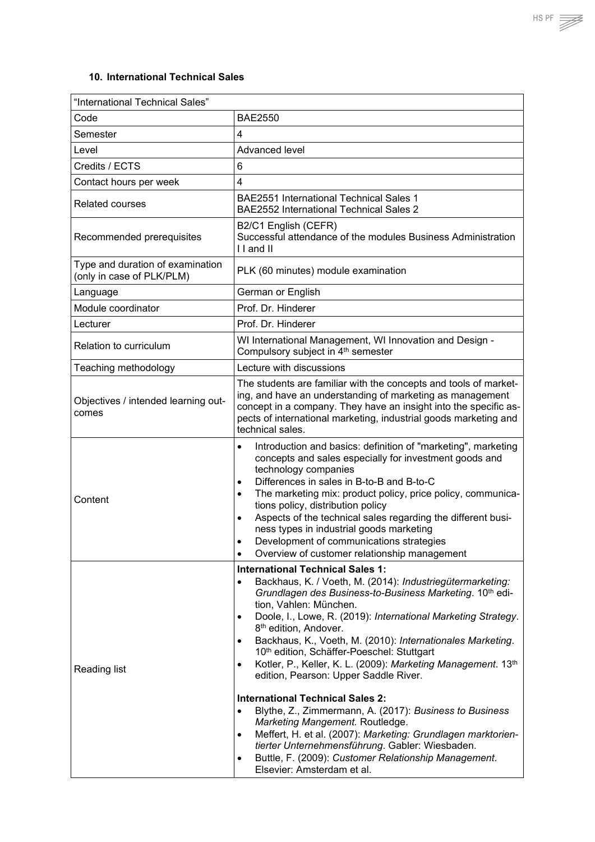### <span id="page-42-0"></span>**10. International Technical Sales**

| "International Technical Sales"                               |                                                                                                                                                                                                                                                                                                                                                                                                                                                                                                                                                                                                                                                                                                                                                                                                                                                                                           |  |
|---------------------------------------------------------------|-------------------------------------------------------------------------------------------------------------------------------------------------------------------------------------------------------------------------------------------------------------------------------------------------------------------------------------------------------------------------------------------------------------------------------------------------------------------------------------------------------------------------------------------------------------------------------------------------------------------------------------------------------------------------------------------------------------------------------------------------------------------------------------------------------------------------------------------------------------------------------------------|--|
| Code                                                          | <b>BAE2550</b>                                                                                                                                                                                                                                                                                                                                                                                                                                                                                                                                                                                                                                                                                                                                                                                                                                                                            |  |
| Semester                                                      | 4                                                                                                                                                                                                                                                                                                                                                                                                                                                                                                                                                                                                                                                                                                                                                                                                                                                                                         |  |
| Level                                                         | Advanced level                                                                                                                                                                                                                                                                                                                                                                                                                                                                                                                                                                                                                                                                                                                                                                                                                                                                            |  |
| Credits / ECTS                                                | 6                                                                                                                                                                                                                                                                                                                                                                                                                                                                                                                                                                                                                                                                                                                                                                                                                                                                                         |  |
| Contact hours per week                                        | 4                                                                                                                                                                                                                                                                                                                                                                                                                                                                                                                                                                                                                                                                                                                                                                                                                                                                                         |  |
| <b>Related courses</b>                                        | <b>BAE2551 International Technical Sales 1</b><br><b>BAE2552 International Technical Sales 2</b>                                                                                                                                                                                                                                                                                                                                                                                                                                                                                                                                                                                                                                                                                                                                                                                          |  |
| Recommended prerequisites                                     | B2/C1 English (CEFR)<br>Successful attendance of the modules Business Administration<br>I I and II                                                                                                                                                                                                                                                                                                                                                                                                                                                                                                                                                                                                                                                                                                                                                                                        |  |
| Type and duration of examination<br>(only in case of PLK/PLM) | PLK (60 minutes) module examination                                                                                                                                                                                                                                                                                                                                                                                                                                                                                                                                                                                                                                                                                                                                                                                                                                                       |  |
| Language                                                      | German or English                                                                                                                                                                                                                                                                                                                                                                                                                                                                                                                                                                                                                                                                                                                                                                                                                                                                         |  |
| Module coordinator                                            | Prof. Dr. Hinderer                                                                                                                                                                                                                                                                                                                                                                                                                                                                                                                                                                                                                                                                                                                                                                                                                                                                        |  |
| Lecturer                                                      | Prof. Dr. Hinderer                                                                                                                                                                                                                                                                                                                                                                                                                                                                                                                                                                                                                                                                                                                                                                                                                                                                        |  |
| Relation to curriculum                                        | WI International Management, WI Innovation and Design -<br>Compulsory subject in 4th semester                                                                                                                                                                                                                                                                                                                                                                                                                                                                                                                                                                                                                                                                                                                                                                                             |  |
| Teaching methodology                                          | Lecture with discussions                                                                                                                                                                                                                                                                                                                                                                                                                                                                                                                                                                                                                                                                                                                                                                                                                                                                  |  |
| Objectives / intended learning out-<br>comes                  | The students are familiar with the concepts and tools of market-<br>ing, and have an understanding of marketing as management<br>concept in a company. They have an insight into the specific as-<br>pects of international marketing, industrial goods marketing and<br>technical sales.                                                                                                                                                                                                                                                                                                                                                                                                                                                                                                                                                                                                 |  |
| Content                                                       | Introduction and basics: definition of "marketing", marketing<br>$\bullet$<br>concepts and sales especially for investment goods and<br>technology companies<br>Differences in sales in B-to-B and B-to-C<br>$\bullet$<br>The marketing mix: product policy, price policy, communica-<br>tions policy, distribution policy<br>Aspects of the technical sales regarding the different busi-<br>$\bullet$<br>ness types in industrial goods marketing<br>Development of communications strategies<br>Overview of customer relationship management                                                                                                                                                                                                                                                                                                                                           |  |
| Reading list                                                  | <b>International Technical Sales 1:</b><br>Backhaus, K. / Voeth, M. (2014): Industriegütermarketing:<br>Grundlagen des Business-to-Business Marketing. 10th edi-<br>tion, Vahlen: München.<br>Doole, I., Lowe, R. (2019): International Marketing Strategy.<br>8 <sup>th</sup> edition, Andover.<br>Backhaus, K., Voeth, M. (2010): Internationales Marketing.<br>10th edition, Schäffer-Poeschel: Stuttgart<br>Kotler, P., Keller, K. L. (2009): Marketing Management. 13th<br>$\bullet$<br>edition, Pearson: Upper Saddle River.<br><b>International Technical Sales 2:</b><br>Blythe, Z., Zimmermann, A. (2017): Business to Business<br>Marketing Mangement. Routledge.<br>Meffert, H. et al. (2007): Marketing: Grundlagen marktorien-<br>٠<br>tierter Unternehmensführung. Gabler: Wiesbaden.<br>Buttle, F. (2009): Customer Relationship Management.<br>Elsevier: Amsterdam et al. |  |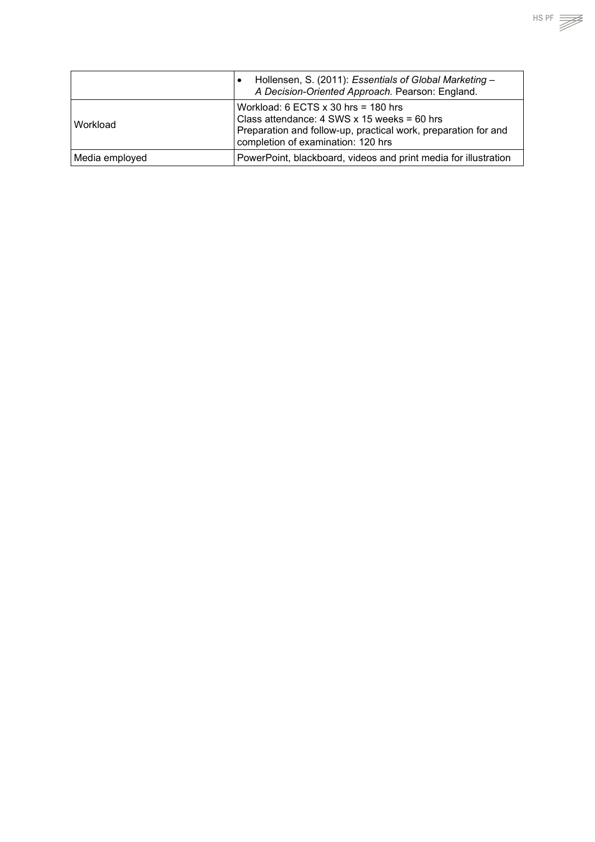|                | Hollensen, S. (2011): Essentials of Global Marketing -<br>$\bullet$<br>A Decision-Oriented Approach. Pearson: England.                                                                            |
|----------------|---------------------------------------------------------------------------------------------------------------------------------------------------------------------------------------------------|
| Workload       | Workload: 6 ECTS $\times$ 30 hrs = 180 hrs<br>Class attendance: 4 SWS x 15 weeks = 60 hrs<br>Preparation and follow-up, practical work, preparation for and<br>completion of examination: 120 hrs |
| Media employed | PowerPoint, blackboard, videos and print media for illustration                                                                                                                                   |

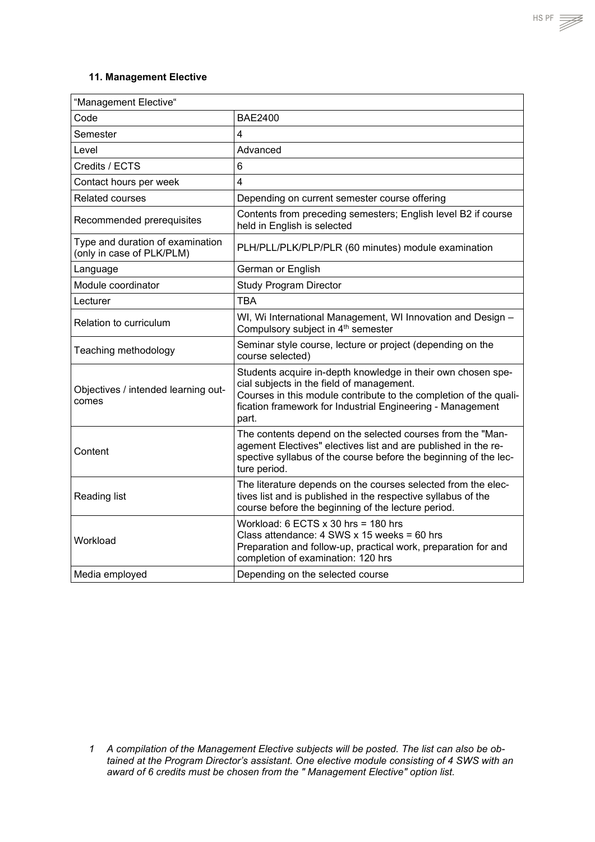#### <span id="page-44-0"></span>**11. Management Elective**

| "Management Elective"                                         |                                                                                                                                                                                                                                                       |
|---------------------------------------------------------------|-------------------------------------------------------------------------------------------------------------------------------------------------------------------------------------------------------------------------------------------------------|
| Code                                                          | <b>BAE2400</b>                                                                                                                                                                                                                                        |
| Semester                                                      | 4                                                                                                                                                                                                                                                     |
| Level                                                         | Advanced                                                                                                                                                                                                                                              |
| Credits / ECTS                                                | 6                                                                                                                                                                                                                                                     |
| Contact hours per week                                        | $\overline{4}$                                                                                                                                                                                                                                        |
| <b>Related courses</b>                                        | Depending on current semester course offering                                                                                                                                                                                                         |
| Recommended prerequisites                                     | Contents from preceding semesters; English level B2 if course<br>held in English is selected                                                                                                                                                          |
| Type and duration of examination<br>(only in case of PLK/PLM) | PLH/PLL/PLK/PLP/PLR (60 minutes) module examination                                                                                                                                                                                                   |
| Language                                                      | German or English                                                                                                                                                                                                                                     |
| Module coordinator                                            | <b>Study Program Director</b>                                                                                                                                                                                                                         |
| Lecturer                                                      | <b>TBA</b>                                                                                                                                                                                                                                            |
| Relation to curriculum                                        | WI, Wi International Management, WI Innovation and Design -<br>Compulsory subject in 4 <sup>th</sup> semester                                                                                                                                         |
| Teaching methodology                                          | Seminar style course, lecture or project (depending on the<br>course selected)                                                                                                                                                                        |
| Objectives / intended learning out-<br>comes                  | Students acquire in-depth knowledge in their own chosen spe-<br>cial subjects in the field of management.<br>Courses in this module contribute to the completion of the quali-<br>fication framework for Industrial Engineering - Management<br>part. |
| Content                                                       | The contents depend on the selected courses from the "Man-<br>agement Electives" electives list and are published in the re-<br>spective syllabus of the course before the beginning of the lec-<br>ture period.                                      |
| Reading list                                                  | The literature depends on the courses selected from the elec-<br>tives list and is published in the respective syllabus of the<br>course before the beginning of the lecture period.                                                                  |
| Workload                                                      | Workload: $6$ ECTS $x$ 30 hrs = 180 hrs<br>Class attendance: 4 SWS x 15 weeks = 60 hrs<br>Preparation and follow-up, practical work, preparation for and<br>completion of examination: 120 hrs                                                        |
| Media employed                                                | Depending on the selected course                                                                                                                                                                                                                      |



*<sup>1</sup> A compilation of the Management Elective subjects will be posted. The list can also be obtained at the Program Director's assistant. One elective module consisting of 4 SWS with an award of 6 credits must be chosen from the " Management Elective" option list.*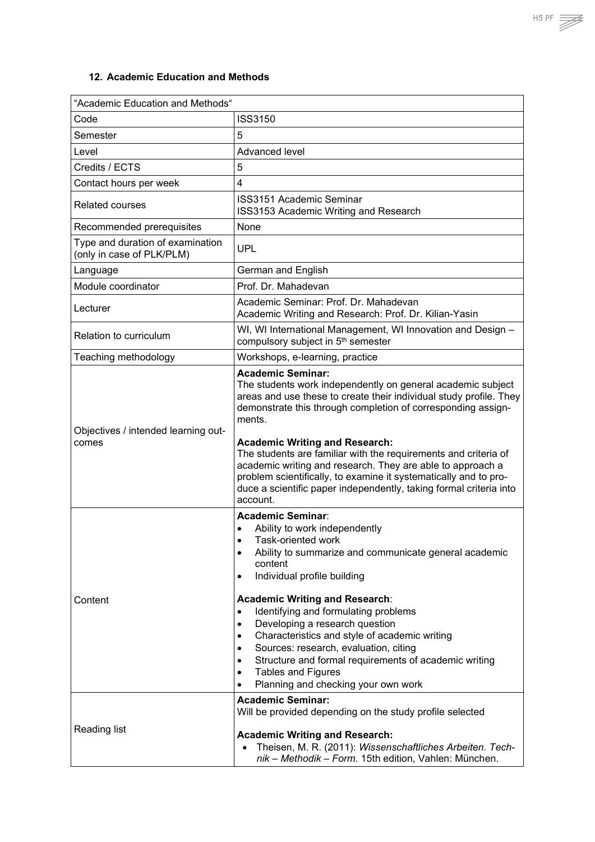<span id="page-45-0"></span>

| "Academic Education and Methods"                              |                                                                                                                                                                                                                                                                                                                                                                                                                                                                                                                                                                                                                                                                             |  |
|---------------------------------------------------------------|-----------------------------------------------------------------------------------------------------------------------------------------------------------------------------------------------------------------------------------------------------------------------------------------------------------------------------------------------------------------------------------------------------------------------------------------------------------------------------------------------------------------------------------------------------------------------------------------------------------------------------------------------------------------------------|--|
| Code                                                          | <b>ISS3150</b>                                                                                                                                                                                                                                                                                                                                                                                                                                                                                                                                                                                                                                                              |  |
| Semester                                                      | 5                                                                                                                                                                                                                                                                                                                                                                                                                                                                                                                                                                                                                                                                           |  |
| Level                                                         | Advanced level                                                                                                                                                                                                                                                                                                                                                                                                                                                                                                                                                                                                                                                              |  |
| Credits / ECTS                                                | 5                                                                                                                                                                                                                                                                                                                                                                                                                                                                                                                                                                                                                                                                           |  |
| Contact hours per week                                        | 4                                                                                                                                                                                                                                                                                                                                                                                                                                                                                                                                                                                                                                                                           |  |
| <b>Related courses</b>                                        | <b>ISS3151 Academic Seminar</b><br>ISS3153 Academic Writing and Research                                                                                                                                                                                                                                                                                                                                                                                                                                                                                                                                                                                                    |  |
| Recommended prerequisites                                     | None                                                                                                                                                                                                                                                                                                                                                                                                                                                                                                                                                                                                                                                                        |  |
| Type and duration of examination<br>(only in case of PLK/PLM) | <b>UPL</b>                                                                                                                                                                                                                                                                                                                                                                                                                                                                                                                                                                                                                                                                  |  |
| Language                                                      | German and English                                                                                                                                                                                                                                                                                                                                                                                                                                                                                                                                                                                                                                                          |  |
| Module coordinator                                            | Prof. Dr. Mahadevan                                                                                                                                                                                                                                                                                                                                                                                                                                                                                                                                                                                                                                                         |  |
| Lecturer                                                      | Academic Seminar: Prof. Dr. Mahadevan<br>Academic Writing and Research: Prof. Dr. Kilian-Yasin                                                                                                                                                                                                                                                                                                                                                                                                                                                                                                                                                                              |  |
| Relation to curriculum                                        | WI, WI International Management, WI Innovation and Design -<br>compulsory subject in 5 <sup>th</sup> semester                                                                                                                                                                                                                                                                                                                                                                                                                                                                                                                                                               |  |
| Teaching methodology                                          | Workshops, e-learning, practice                                                                                                                                                                                                                                                                                                                                                                                                                                                                                                                                                                                                                                             |  |
| Objectives / intended learning out-<br>comes                  | <b>Academic Seminar:</b><br>The students work independently on general academic subject<br>areas and use these to create their individual study profile. They<br>demonstrate this through completion of corresponding assign-<br>ments.<br><b>Academic Writing and Research:</b><br>The students are familiar with the requirements and criteria of<br>academic writing and research. They are able to approach a<br>problem scientifically, to examine it systematically and to pro-<br>duce a scientific paper independently, taking formal criteria into<br>account.                                                                                                     |  |
| Content                                                       | <b>Academic Seminar:</b><br>Ability to work independently<br>$\bullet$<br>Task-oriented work<br>$\bullet$<br>Ability to summarize and communicate general academic<br>$\bullet$<br>content<br>Individual profile building<br>$\bullet$<br><b>Academic Writing and Research:</b><br>Identifying and formulating problems<br>$\bullet$<br>Developing a research question<br>$\bullet$<br>Characteristics and style of academic writing<br>$\bullet$<br>Sources: research, evaluation, citing<br>$\bullet$<br>Structure and formal requirements of academic writing<br>$\bullet$<br><b>Tables and Figures</b><br>$\bullet$<br>Planning and checking your own work<br>$\bullet$ |  |
| Reading list                                                  | <b>Academic Seminar:</b><br>Will be provided depending on the study profile selected<br><b>Academic Writing and Research:</b><br>Theisen, M. R. (2011): Wissenschaftliches Arbeiten. Tech-<br>$\bullet$<br>nik - Methodik - Form. 15th edition, Vahlen: München.                                                                                                                                                                                                                                                                                                                                                                                                            |  |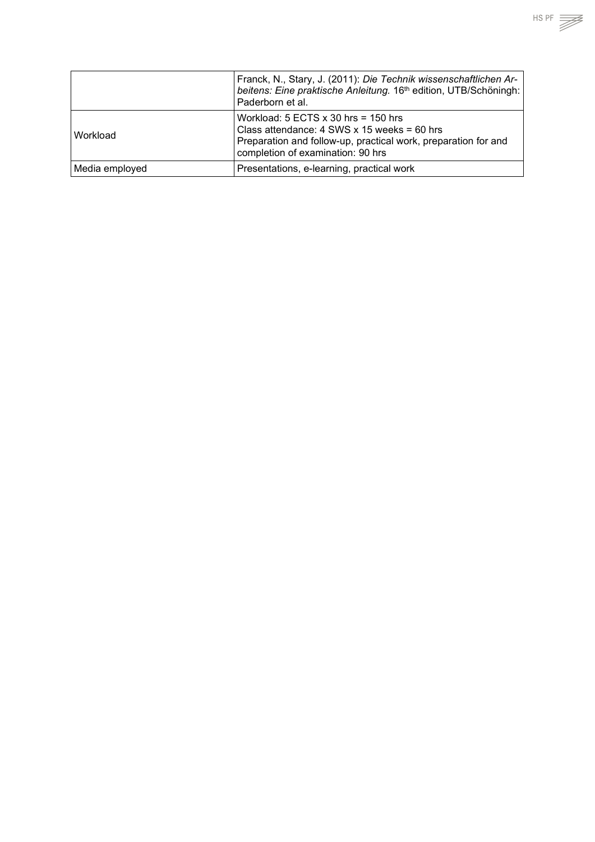|                 | Franck, N., Stary, J. (2011): Die Technik wissenschaftlichen Ar-<br>beitens: Eine praktische Anleitung. 16th edition, UTB/Schöningh:<br>Paderborn et al.                                      |
|-----------------|-----------------------------------------------------------------------------------------------------------------------------------------------------------------------------------------------|
| <b>Workload</b> | Workload: $5$ ECTS $x$ 30 hrs = 150 hrs<br>Class attendance: 4 SWS x 15 weeks = 60 hrs<br>Preparation and follow-up, practical work, preparation for and<br>completion of examination: 90 hrs |
| Media employed  | Presentations, e-learning, practical work                                                                                                                                                     |

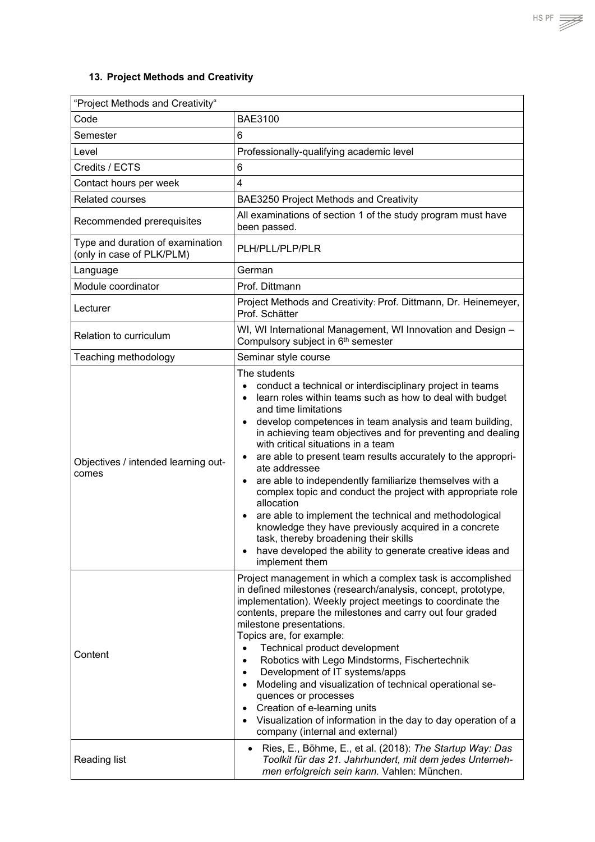# <span id="page-47-0"></span>**13. Project Methods and Creativity**

| "Project Methods and Creativity"                              |                                                                                                                                                                                                                                                                                                                                                                                                                                                                                                                                                                                                                                                                                                                                                                                                                                                                                 |  |
|---------------------------------------------------------------|---------------------------------------------------------------------------------------------------------------------------------------------------------------------------------------------------------------------------------------------------------------------------------------------------------------------------------------------------------------------------------------------------------------------------------------------------------------------------------------------------------------------------------------------------------------------------------------------------------------------------------------------------------------------------------------------------------------------------------------------------------------------------------------------------------------------------------------------------------------------------------|--|
| Code                                                          | <b>BAE3100</b>                                                                                                                                                                                                                                                                                                                                                                                                                                                                                                                                                                                                                                                                                                                                                                                                                                                                  |  |
| Semester                                                      | 6                                                                                                                                                                                                                                                                                                                                                                                                                                                                                                                                                                                                                                                                                                                                                                                                                                                                               |  |
| Level                                                         | Professionally-qualifying academic level                                                                                                                                                                                                                                                                                                                                                                                                                                                                                                                                                                                                                                                                                                                                                                                                                                        |  |
| Credits / ECTS                                                | 6                                                                                                                                                                                                                                                                                                                                                                                                                                                                                                                                                                                                                                                                                                                                                                                                                                                                               |  |
| Contact hours per week                                        | $\overline{4}$                                                                                                                                                                                                                                                                                                                                                                                                                                                                                                                                                                                                                                                                                                                                                                                                                                                                  |  |
| <b>Related courses</b>                                        | BAE3250 Project Methods and Creativity                                                                                                                                                                                                                                                                                                                                                                                                                                                                                                                                                                                                                                                                                                                                                                                                                                          |  |
| Recommended prerequisites                                     | All examinations of section 1 of the study program must have<br>been passed.                                                                                                                                                                                                                                                                                                                                                                                                                                                                                                                                                                                                                                                                                                                                                                                                    |  |
| Type and duration of examination<br>(only in case of PLK/PLM) | PLH/PLL/PLP/PLR                                                                                                                                                                                                                                                                                                                                                                                                                                                                                                                                                                                                                                                                                                                                                                                                                                                                 |  |
| Language                                                      | German                                                                                                                                                                                                                                                                                                                                                                                                                                                                                                                                                                                                                                                                                                                                                                                                                                                                          |  |
| Module coordinator                                            | Prof. Dittmann                                                                                                                                                                                                                                                                                                                                                                                                                                                                                                                                                                                                                                                                                                                                                                                                                                                                  |  |
| Lecturer                                                      | Project Methods and Creativity: Prof. Dittmann, Dr. Heinemeyer,<br>Prof. Schätter                                                                                                                                                                                                                                                                                                                                                                                                                                                                                                                                                                                                                                                                                                                                                                                               |  |
| Relation to curriculum                                        | WI, WI International Management, WI Innovation and Design -<br>Compulsory subject in 6 <sup>th</sup> semester                                                                                                                                                                                                                                                                                                                                                                                                                                                                                                                                                                                                                                                                                                                                                                   |  |
| Teaching methodology                                          | Seminar style course                                                                                                                                                                                                                                                                                                                                                                                                                                                                                                                                                                                                                                                                                                                                                                                                                                                            |  |
| Objectives / intended learning out-<br>comes                  | The students<br>conduct a technical or interdisciplinary project in teams<br>$\bullet$<br>learn roles within teams such as how to deal with budget<br>$\bullet$<br>and time limitations<br>develop competences in team analysis and team building,<br>$\bullet$<br>in achieving team objectives and for preventing and dealing<br>with critical situations in a team<br>are able to present team results accurately to the appropri-<br>$\bullet$<br>ate addressee<br>are able to independently familiarize themselves with a<br>$\bullet$<br>complex topic and conduct the project with appropriate role<br>allocation<br>are able to implement the technical and methodological<br>$\bullet$<br>knowledge they have previously acquired in a concrete<br>task, thereby broadening their skills<br>have developed the ability to generate creative ideas and<br>implement them |  |
| Content                                                       | Project management in which a complex task is accomplished<br>in defined milestones (research/analysis, concept, prototype,<br>implementation). Weekly project meetings to coordinate the<br>contents, prepare the milestones and carry out four graded<br>milestone presentations.<br>Topics are, for example:<br>Technical product development<br>Robotics with Lego Mindstorms, Fischertechnik<br>Development of IT systems/apps<br>$\bullet$<br>Modeling and visualization of technical operational se-<br>$\bullet$<br>quences or processes<br>Creation of e-learning units<br>$\bullet$<br>Visualization of information in the day to day operation of a<br>$\bullet$<br>company (internal and external)                                                                                                                                                                  |  |
| <b>Reading list</b>                                           | Ries, E., Böhme, E., et al. (2018): The Startup Way: Das<br>$\bullet$<br>Toolkit für das 21. Jahrhundert, mit dem jedes Unterneh-<br>men erfolgreich sein kann. Vahlen: München.                                                                                                                                                                                                                                                                                                                                                                                                                                                                                                                                                                                                                                                                                                |  |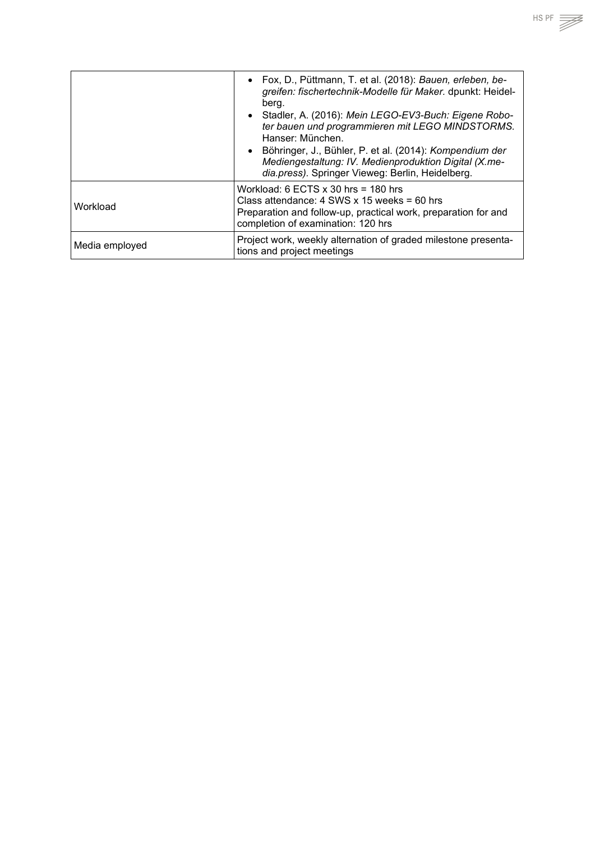|                | • Fox, D., Püttmann, T. et al. (2018): Bauen, erleben, be-<br>greifen: fischertechnik-Modelle für Maker. dpunkt: Heidel-<br>berg.<br>• Stadler, A. (2016): Mein LEGO-EV3-Buch: Eigene Robo-<br>ter bauen und programmieren mit LEGO MINDSTORMS.<br>Hanser: München.<br>• Böhringer, J., Bühler, P. et al. (2014): Kompendium der<br>Mediengestaltung: IV. Medienproduktion Digital (X.me-<br>dia.press). Springer Vieweg: Berlin, Heidelberg. |
|----------------|-----------------------------------------------------------------------------------------------------------------------------------------------------------------------------------------------------------------------------------------------------------------------------------------------------------------------------------------------------------------------------------------------------------------------------------------------|
| Workload       | Workload: 6 ECTS $x$ 30 hrs = 180 hrs<br>Class attendance: $4$ SWS x 15 weeks = 60 hrs<br>Preparation and follow-up, practical work, preparation for and<br>completion of examination: 120 hrs                                                                                                                                                                                                                                                |
| Media employed | Project work, weekly alternation of graded milestone presenta-<br>tions and project meetings                                                                                                                                                                                                                                                                                                                                                  |

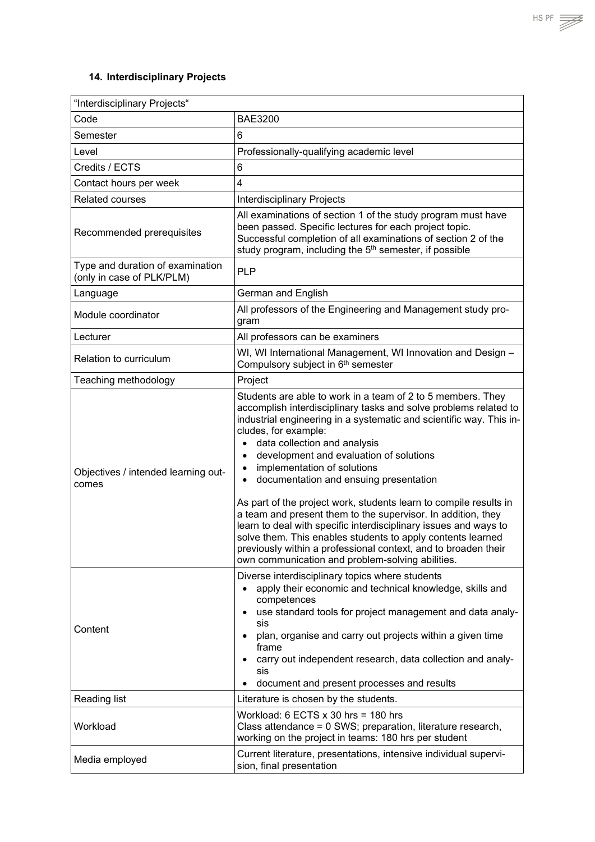## <span id="page-49-0"></span>**14. Interdisciplinary Projects**

| "Interdisciplinary Projects"                                  |                                                                                                                                                                                                                                                                                                                                                                                                                                                                                                                                                                                                                                                                                                                                                                                                                                      |  |
|---------------------------------------------------------------|--------------------------------------------------------------------------------------------------------------------------------------------------------------------------------------------------------------------------------------------------------------------------------------------------------------------------------------------------------------------------------------------------------------------------------------------------------------------------------------------------------------------------------------------------------------------------------------------------------------------------------------------------------------------------------------------------------------------------------------------------------------------------------------------------------------------------------------|--|
| Code                                                          | <b>BAE3200</b>                                                                                                                                                                                                                                                                                                                                                                                                                                                                                                                                                                                                                                                                                                                                                                                                                       |  |
| Semester                                                      | 6                                                                                                                                                                                                                                                                                                                                                                                                                                                                                                                                                                                                                                                                                                                                                                                                                                    |  |
| Level                                                         | Professionally-qualifying academic level                                                                                                                                                                                                                                                                                                                                                                                                                                                                                                                                                                                                                                                                                                                                                                                             |  |
| Credits / ECTS                                                | 6                                                                                                                                                                                                                                                                                                                                                                                                                                                                                                                                                                                                                                                                                                                                                                                                                                    |  |
| Contact hours per week                                        | 4                                                                                                                                                                                                                                                                                                                                                                                                                                                                                                                                                                                                                                                                                                                                                                                                                                    |  |
| <b>Related courses</b>                                        | <b>Interdisciplinary Projects</b>                                                                                                                                                                                                                                                                                                                                                                                                                                                                                                                                                                                                                                                                                                                                                                                                    |  |
| Recommended prerequisites                                     | All examinations of section 1 of the study program must have<br>been passed. Specific lectures for each project topic.<br>Successful completion of all examinations of section 2 of the<br>study program, including the 5 <sup>th</sup> semester, if possible                                                                                                                                                                                                                                                                                                                                                                                                                                                                                                                                                                        |  |
| Type and duration of examination<br>(only in case of PLK/PLM) | <b>PLP</b>                                                                                                                                                                                                                                                                                                                                                                                                                                                                                                                                                                                                                                                                                                                                                                                                                           |  |
| Language                                                      | German and English                                                                                                                                                                                                                                                                                                                                                                                                                                                                                                                                                                                                                                                                                                                                                                                                                   |  |
| Module coordinator                                            | All professors of the Engineering and Management study pro-<br>gram                                                                                                                                                                                                                                                                                                                                                                                                                                                                                                                                                                                                                                                                                                                                                                  |  |
| Lecturer                                                      | All professors can be examiners                                                                                                                                                                                                                                                                                                                                                                                                                                                                                                                                                                                                                                                                                                                                                                                                      |  |
| Relation to curriculum                                        | WI, WI International Management, WI Innovation and Design -<br>Compulsory subject in 6th semester                                                                                                                                                                                                                                                                                                                                                                                                                                                                                                                                                                                                                                                                                                                                    |  |
| Teaching methodology                                          | Project                                                                                                                                                                                                                                                                                                                                                                                                                                                                                                                                                                                                                                                                                                                                                                                                                              |  |
| Objectives / intended learning out-<br>comes                  | Students are able to work in a team of 2 to 5 members. They<br>accomplish interdisciplinary tasks and solve problems related to<br>industrial engineering in a systematic and scientific way. This in-<br>cludes, for example:<br>data collection and analysis<br>$\bullet$<br>development and evaluation of solutions<br>$\bullet$<br>implementation of solutions<br>$\bullet$<br>documentation and ensuing presentation<br>$\bullet$<br>As part of the project work, students learn to compile results in<br>a team and present them to the supervisor. In addition, they<br>learn to deal with specific interdisciplinary issues and ways to<br>solve them. This enables students to apply contents learned<br>previously within a professional context, and to broaden their<br>own communication and problem-solving abilities. |  |
| Content                                                       | Diverse interdisciplinary topics where students<br>apply their economic and technical knowledge, skills and<br>$\bullet$<br>competences<br>use standard tools for project management and data analy-<br>$\bullet$<br>sis<br>plan, organise and carry out projects within a given time<br>$\bullet$<br>frame<br>carry out independent research, data collection and analy-<br>sis<br>document and present processes and results<br>$\bullet$                                                                                                                                                                                                                                                                                                                                                                                          |  |
| Reading list                                                  | Literature is chosen by the students.                                                                                                                                                                                                                                                                                                                                                                                                                                                                                                                                                                                                                                                                                                                                                                                                |  |
| Workload                                                      | Workload: 6 ECTS x 30 hrs = 180 hrs<br>Class attendance = 0 SWS; preparation, literature research,<br>working on the project in teams: 180 hrs per student                                                                                                                                                                                                                                                                                                                                                                                                                                                                                                                                                                                                                                                                           |  |
| Media employed                                                | Current literature, presentations, intensive individual supervi-<br>sion, final presentation                                                                                                                                                                                                                                                                                                                                                                                                                                                                                                                                                                                                                                                                                                                                         |  |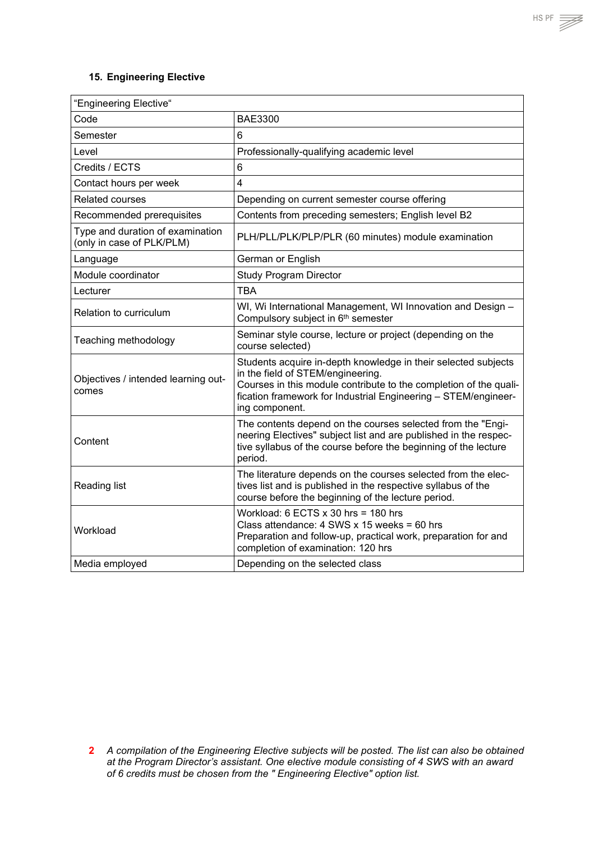#### <span id="page-50-0"></span>**15. Engineering Elective**

| "Engineering Elective"                                        |                                                                                                                                                                                                                                                              |  |
|---------------------------------------------------------------|--------------------------------------------------------------------------------------------------------------------------------------------------------------------------------------------------------------------------------------------------------------|--|
| Code                                                          | <b>BAE3300</b>                                                                                                                                                                                                                                               |  |
| Semester                                                      | 6                                                                                                                                                                                                                                                            |  |
| Level                                                         | Professionally-qualifying academic level                                                                                                                                                                                                                     |  |
| Credits / ECTS                                                | $6\phantom{1}$                                                                                                                                                                                                                                               |  |
| Contact hours per week                                        | $\overline{4}$                                                                                                                                                                                                                                               |  |
| Related courses                                               | Depending on current semester course offering                                                                                                                                                                                                                |  |
| Recommended prerequisites                                     | Contents from preceding semesters; English level B2                                                                                                                                                                                                          |  |
| Type and duration of examination<br>(only in case of PLK/PLM) | PLH/PLL/PLK/PLP/PLR (60 minutes) module examination                                                                                                                                                                                                          |  |
| Language                                                      | German or English                                                                                                                                                                                                                                            |  |
| Module coordinator                                            | <b>Study Program Director</b>                                                                                                                                                                                                                                |  |
| Lecturer                                                      | <b>TBA</b>                                                                                                                                                                                                                                                   |  |
| Relation to curriculum                                        | WI, Wi International Management, WI Innovation and Design -<br>Compulsory subject in 6 <sup>th</sup> semester                                                                                                                                                |  |
| Teaching methodology                                          | Seminar style course, lecture or project (depending on the<br>course selected)                                                                                                                                                                               |  |
| Objectives / intended learning out-<br>comes                  | Students acquire in-depth knowledge in their selected subjects<br>in the field of STEM/engineering.<br>Courses in this module contribute to the completion of the quali-<br>fication framework for Industrial Engineering - STEM/engineer-<br>ing component. |  |
| Content                                                       | The contents depend on the courses selected from the "Engi-<br>neering Electives" subject list and are published in the respec-<br>tive syllabus of the course before the beginning of the lecture<br>period.                                                |  |
| <b>Reading list</b>                                           | The literature depends on the courses selected from the elec-<br>tives list and is published in the respective syllabus of the<br>course before the beginning of the lecture period.                                                                         |  |
| Workload                                                      | Workload: 6 ECTS $x$ 30 hrs = 180 hrs<br>Class attendance: $4$ SWS x 15 weeks = 60 hrs<br>Preparation and follow-up, practical work, preparation for and<br>completion of examination: 120 hrs                                                               |  |
| Media employed                                                | Depending on the selected class                                                                                                                                                                                                                              |  |



**<sup>2</sup>** *A compilation of the Engineering Elective subjects will be posted. The list can also be obtained at the Program Director's assistant. One elective module consisting of 4 SWS with an award of 6 credits must be chosen from the " Engineering Elective" option list.*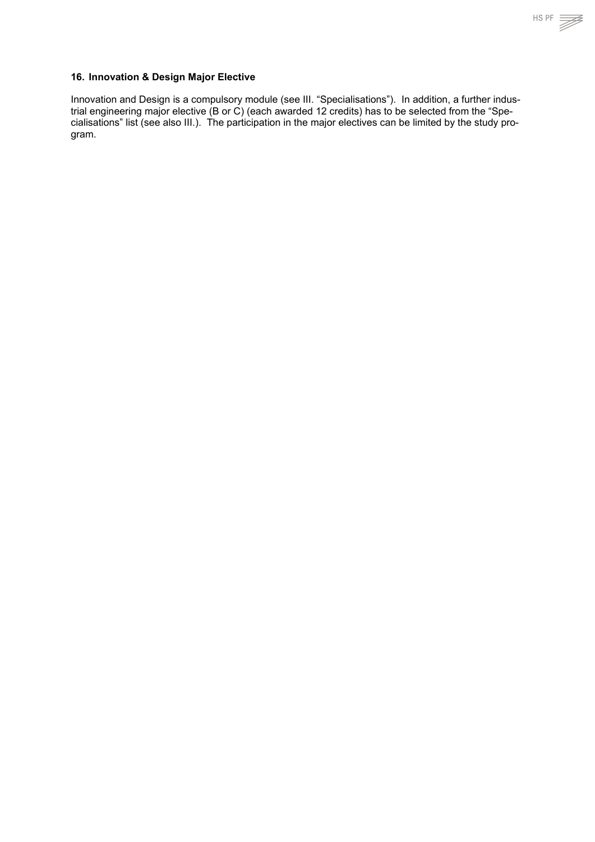#### <span id="page-51-0"></span>**16. Innovation & Design Major Elective**

Innovation and Design is a compulsory module (see III. "Specialisations"). In addition, a further industrial engineering major elective (B or C) (each awarded 12 credits) has to be selected from the "Specialisations" list (see also III.). The participation in the major electives can be limited by the study program.

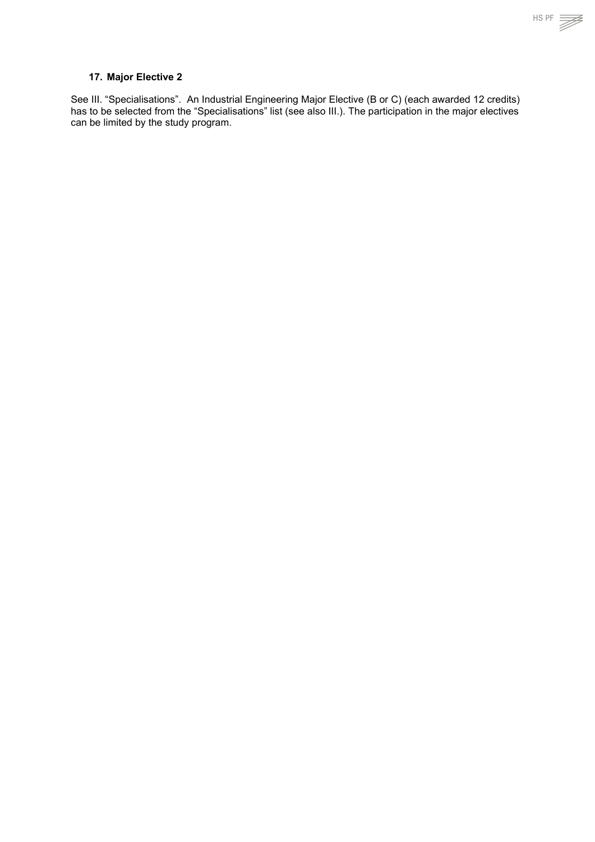<span id="page-52-0"></span>See III. "Specialisations". An Industrial Engineering Major Elective (B or C) (each awarded 12 credits) has to be selected from the "Specialisations" list (see also III.). The participation in the major electives can be limited by the study program.

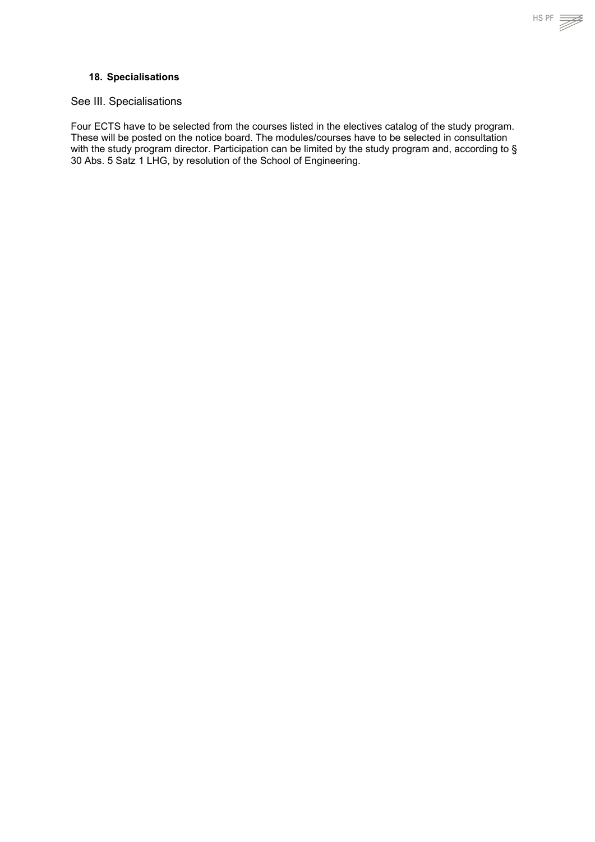

#### <span id="page-53-0"></span>**18. Specialisations**

#### See III. Specialisations

Four ECTS have to be selected from the courses listed in the electives catalog of the study program. These will be posted on the notice board. The modules/courses have to be selected in consultation with the study program director. Participation can be limited by the study program and, according to § 30 Abs. 5 Satz 1 LHG, by resolution of the School of Engineering.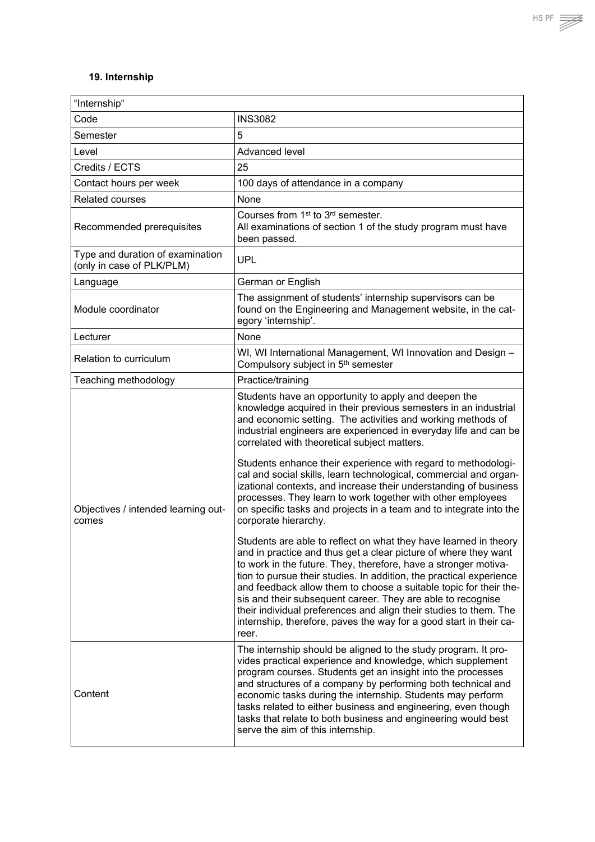## <span id="page-54-0"></span>**19. Internship**

| "Internship"                                                  |                                                                                                                                                                                                                                                                                                                                                                                                                                                                                                                                                                                                                                                                                                                                                                                                                                                                                                                                                                                                                                                                                                                                                                                                                                                   |
|---------------------------------------------------------------|---------------------------------------------------------------------------------------------------------------------------------------------------------------------------------------------------------------------------------------------------------------------------------------------------------------------------------------------------------------------------------------------------------------------------------------------------------------------------------------------------------------------------------------------------------------------------------------------------------------------------------------------------------------------------------------------------------------------------------------------------------------------------------------------------------------------------------------------------------------------------------------------------------------------------------------------------------------------------------------------------------------------------------------------------------------------------------------------------------------------------------------------------------------------------------------------------------------------------------------------------|
| Code                                                          | <b>INS3082</b>                                                                                                                                                                                                                                                                                                                                                                                                                                                                                                                                                                                                                                                                                                                                                                                                                                                                                                                                                                                                                                                                                                                                                                                                                                    |
| Semester                                                      | 5                                                                                                                                                                                                                                                                                                                                                                                                                                                                                                                                                                                                                                                                                                                                                                                                                                                                                                                                                                                                                                                                                                                                                                                                                                                 |
| Level                                                         | Advanced level                                                                                                                                                                                                                                                                                                                                                                                                                                                                                                                                                                                                                                                                                                                                                                                                                                                                                                                                                                                                                                                                                                                                                                                                                                    |
| Credits / ECTS                                                | 25                                                                                                                                                                                                                                                                                                                                                                                                                                                                                                                                                                                                                                                                                                                                                                                                                                                                                                                                                                                                                                                                                                                                                                                                                                                |
| Contact hours per week                                        | 100 days of attendance in a company                                                                                                                                                                                                                                                                                                                                                                                                                                                                                                                                                                                                                                                                                                                                                                                                                                                                                                                                                                                                                                                                                                                                                                                                               |
| <b>Related courses</b>                                        | None                                                                                                                                                                                                                                                                                                                                                                                                                                                                                                                                                                                                                                                                                                                                                                                                                                                                                                                                                                                                                                                                                                                                                                                                                                              |
| Recommended prerequisites                                     | Courses from 1 <sup>st</sup> to 3 <sup>rd</sup> semester.<br>All examinations of section 1 of the study program must have<br>been passed.                                                                                                                                                                                                                                                                                                                                                                                                                                                                                                                                                                                                                                                                                                                                                                                                                                                                                                                                                                                                                                                                                                         |
| Type and duration of examination<br>(only in case of PLK/PLM) | <b>UPL</b>                                                                                                                                                                                                                                                                                                                                                                                                                                                                                                                                                                                                                                                                                                                                                                                                                                                                                                                                                                                                                                                                                                                                                                                                                                        |
| Language                                                      | German or English                                                                                                                                                                                                                                                                                                                                                                                                                                                                                                                                                                                                                                                                                                                                                                                                                                                                                                                                                                                                                                                                                                                                                                                                                                 |
| Module coordinator                                            | The assignment of students' internship supervisors can be<br>found on the Engineering and Management website, in the cat-<br>egory 'internship'.                                                                                                                                                                                                                                                                                                                                                                                                                                                                                                                                                                                                                                                                                                                                                                                                                                                                                                                                                                                                                                                                                                  |
| Lecturer                                                      | None                                                                                                                                                                                                                                                                                                                                                                                                                                                                                                                                                                                                                                                                                                                                                                                                                                                                                                                                                                                                                                                                                                                                                                                                                                              |
| Relation to curriculum                                        | WI, WI International Management, WI Innovation and Design -<br>Compulsory subject in 5 <sup>th</sup> semester                                                                                                                                                                                                                                                                                                                                                                                                                                                                                                                                                                                                                                                                                                                                                                                                                                                                                                                                                                                                                                                                                                                                     |
| Teaching methodology                                          | Practice/training                                                                                                                                                                                                                                                                                                                                                                                                                                                                                                                                                                                                                                                                                                                                                                                                                                                                                                                                                                                                                                                                                                                                                                                                                                 |
| Objectives / intended learning out-<br>comes                  | Students have an opportunity to apply and deepen the<br>knowledge acquired in their previous semesters in an industrial<br>and economic setting. The activities and working methods of<br>industrial engineers are experienced in everyday life and can be<br>correlated with theoretical subject matters.<br>Students enhance their experience with regard to methodologi-<br>cal and social skills, learn technological, commercial and organ-<br>izational contexts, and increase their understanding of business<br>processes. They learn to work together with other employees<br>on specific tasks and projects in a team and to integrate into the<br>corporate hierarchy.<br>Students are able to reflect on what they have learned in theory<br>and in practice and thus get a clear picture of where they want<br>to work in the future. They, therefore, have a stronger motiva-<br>tion to pursue their studies. In addition, the practical experience<br>and feedback allow them to choose a suitable topic for their the-<br>sis and their subsequent career. They are able to recognise<br>their individual preferences and align their studies to them. The<br>internship, therefore, paves the way for a good start in their ca- |
| Content                                                       | reer.<br>The internship should be aligned to the study program. It pro-<br>vides practical experience and knowledge, which supplement<br>program courses. Students get an insight into the processes<br>and structures of a company by performing both technical and<br>economic tasks during the internship. Students may perform<br>tasks related to either business and engineering, even though<br>tasks that relate to both business and engineering would best<br>serve the aim of this internship.                                                                                                                                                                                                                                                                                                                                                                                                                                                                                                                                                                                                                                                                                                                                         |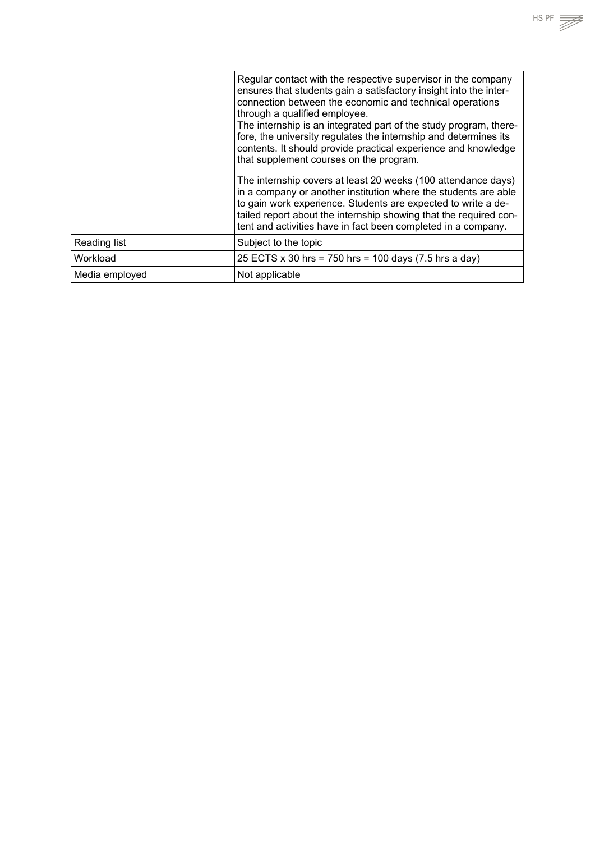|                | Regular contact with the respective supervisor in the company<br>ensures that students gain a satisfactory insight into the inter-<br>connection between the economic and technical operations<br>through a qualified employee.<br>The internship is an integrated part of the study program, there-<br>fore, the university regulates the internship and determines its<br>contents. It should provide practical experience and knowledge<br>that supplement courses on the program.<br>The internship covers at least 20 weeks (100 attendance days)<br>in a company or another institution where the students are able<br>to gain work experience. Students are expected to write a de-<br>tailed report about the internship showing that the required con-<br>tent and activities have in fact been completed in a company. |
|----------------|----------------------------------------------------------------------------------------------------------------------------------------------------------------------------------------------------------------------------------------------------------------------------------------------------------------------------------------------------------------------------------------------------------------------------------------------------------------------------------------------------------------------------------------------------------------------------------------------------------------------------------------------------------------------------------------------------------------------------------------------------------------------------------------------------------------------------------|
| Reading list   | Subject to the topic                                                                                                                                                                                                                                                                                                                                                                                                                                                                                                                                                                                                                                                                                                                                                                                                             |
| Workload       | 25 ECTS x 30 hrs = 750 hrs = 100 days (7.5 hrs a day)                                                                                                                                                                                                                                                                                                                                                                                                                                                                                                                                                                                                                                                                                                                                                                            |
| Media employed | Not applicable                                                                                                                                                                                                                                                                                                                                                                                                                                                                                                                                                                                                                                                                                                                                                                                                                   |

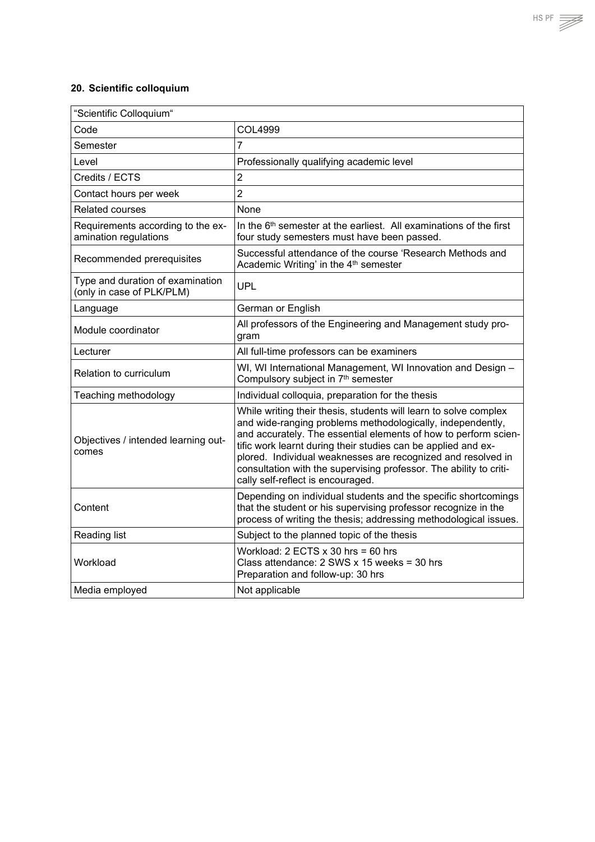## <span id="page-56-0"></span>**20. Scientific colloquium**

| "Scientific Colloquium"                                       |                                                                                                                                                                                                                                                                                                                                                                                                                                               |
|---------------------------------------------------------------|-----------------------------------------------------------------------------------------------------------------------------------------------------------------------------------------------------------------------------------------------------------------------------------------------------------------------------------------------------------------------------------------------------------------------------------------------|
| Code                                                          | COL4999                                                                                                                                                                                                                                                                                                                                                                                                                                       |
| Semester                                                      | $\overline{7}$                                                                                                                                                                                                                                                                                                                                                                                                                                |
| Level                                                         | Professionally qualifying academic level                                                                                                                                                                                                                                                                                                                                                                                                      |
| Credits / ECTS                                                | $\overline{2}$                                                                                                                                                                                                                                                                                                                                                                                                                                |
| Contact hours per week                                        | $\overline{2}$                                                                                                                                                                                                                                                                                                                                                                                                                                |
| <b>Related courses</b>                                        | None                                                                                                                                                                                                                                                                                                                                                                                                                                          |
| Requirements according to the ex-<br>amination regulations    | In the 6 <sup>th</sup> semester at the earliest. All examinations of the first<br>four study semesters must have been passed.                                                                                                                                                                                                                                                                                                                 |
| Recommended prerequisites                                     | Successful attendance of the course 'Research Methods and<br>Academic Writing' in the 4 <sup>th</sup> semester                                                                                                                                                                                                                                                                                                                                |
| Type and duration of examination<br>(only in case of PLK/PLM) | <b>UPL</b>                                                                                                                                                                                                                                                                                                                                                                                                                                    |
| Language                                                      | German or English                                                                                                                                                                                                                                                                                                                                                                                                                             |
| Module coordinator                                            | All professors of the Engineering and Management study pro-<br>gram                                                                                                                                                                                                                                                                                                                                                                           |
| Lecturer                                                      | All full-time professors can be examiners                                                                                                                                                                                                                                                                                                                                                                                                     |
| Relation to curriculum                                        | WI, WI International Management, WI Innovation and Design -<br>Compulsory subject in 7th semester                                                                                                                                                                                                                                                                                                                                             |
| Teaching methodology                                          | Individual colloquia, preparation for the thesis                                                                                                                                                                                                                                                                                                                                                                                              |
| Objectives / intended learning out-<br>comes                  | While writing their thesis, students will learn to solve complex<br>and wide-ranging problems methodologically, independently,<br>and accurately. The essential elements of how to perform scien-<br>tific work learnt during their studies can be applied and ex-<br>plored. Individual weaknesses are recognized and resolved in<br>consultation with the supervising professor. The ability to criti-<br>cally self-reflect is encouraged. |
| Content                                                       | Depending on individual students and the specific shortcomings<br>that the student or his supervising professor recognize in the<br>process of writing the thesis; addressing methodological issues.                                                                                                                                                                                                                                          |
| Reading list                                                  | Subject to the planned topic of the thesis                                                                                                                                                                                                                                                                                                                                                                                                    |
| Workload                                                      | Workload: $2$ ECTS $x$ 30 hrs = 60 hrs<br>Class attendance: 2 SWS x 15 weeks = 30 hrs<br>Preparation and follow-up: 30 hrs                                                                                                                                                                                                                                                                                                                    |
| Media employed                                                | Not applicable                                                                                                                                                                                                                                                                                                                                                                                                                                |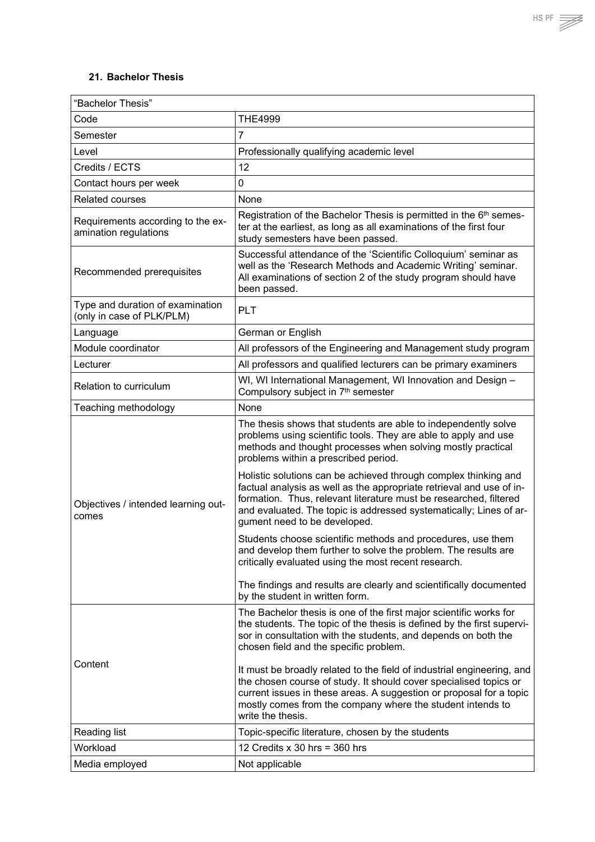#### <span id="page-57-0"></span>**21. Bachelor Thesis**

| "Bachelor Thesis"                                             |                                                                                                                                                                                                                                                                                                                    |
|---------------------------------------------------------------|--------------------------------------------------------------------------------------------------------------------------------------------------------------------------------------------------------------------------------------------------------------------------------------------------------------------|
| Code                                                          | <b>THE4999</b>                                                                                                                                                                                                                                                                                                     |
| Semester                                                      | $\overline{7}$                                                                                                                                                                                                                                                                                                     |
| Level                                                         | Professionally qualifying academic level                                                                                                                                                                                                                                                                           |
| Credits / ECTS                                                | 12                                                                                                                                                                                                                                                                                                                 |
| Contact hours per week                                        | $\mathbf 0$                                                                                                                                                                                                                                                                                                        |
| <b>Related courses</b>                                        | None                                                                                                                                                                                                                                                                                                               |
| Requirements according to the ex-<br>amination regulations    | Registration of the Bachelor Thesis is permitted in the 6 <sup>th</sup> semes-<br>ter at the earliest, as long as all examinations of the first four<br>study semesters have been passed.                                                                                                                          |
| Recommended prerequisites                                     | Successful attendance of the 'Scientific Colloquium' seminar as<br>well as the 'Research Methods and Academic Writing' seminar.<br>All examinations of section 2 of the study program should have<br>been passed.                                                                                                  |
| Type and duration of examination<br>(only in case of PLK/PLM) | <b>PLT</b>                                                                                                                                                                                                                                                                                                         |
| Language                                                      | German or English                                                                                                                                                                                                                                                                                                  |
| Module coordinator                                            | All professors of the Engineering and Management study program                                                                                                                                                                                                                                                     |
| Lecturer                                                      | All professors and qualified lecturers can be primary examiners                                                                                                                                                                                                                                                    |
| Relation to curriculum                                        | WI, WI International Management, WI Innovation and Design -<br>Compulsory subject in 7 <sup>th</sup> semester                                                                                                                                                                                                      |
| Teaching methodology                                          | None                                                                                                                                                                                                                                                                                                               |
| Objectives / intended learning out-<br>comes                  | The thesis shows that students are able to independently solve<br>problems using scientific tools. They are able to apply and use<br>methods and thought processes when solving mostly practical<br>problems within a prescribed period.                                                                           |
|                                                               | Holistic solutions can be achieved through complex thinking and<br>factual analysis as well as the appropriate retrieval and use of in-<br>formation. Thus, relevant literature must be researched, filtered<br>and evaluated. The topic is addressed systematically; Lines of ar-<br>gument need to be developed. |
|                                                               | Students choose scientific methods and procedures, use them<br>and develop them further to solve the problem. The results are<br>critically evaluated using the most recent research.                                                                                                                              |
|                                                               | The findings and results are clearly and scientifically documented<br>by the student in written form.                                                                                                                                                                                                              |
| Content                                                       | The Bachelor thesis is one of the first major scientific works for<br>the students. The topic of the thesis is defined by the first supervi-<br>sor in consultation with the students, and depends on both the<br>chosen field and the specific problem.                                                           |
|                                                               | It must be broadly related to the field of industrial engineering, and<br>the chosen course of study. It should cover specialised topics or<br>current issues in these areas. A suggestion or proposal for a topic<br>mostly comes from the company where the student intends to<br>write the thesis.              |
| Reading list                                                  | Topic-specific literature, chosen by the students                                                                                                                                                                                                                                                                  |
| Workload                                                      | 12 Credits $x$ 30 hrs = 360 hrs                                                                                                                                                                                                                                                                                    |
| Media employed                                                | Not applicable                                                                                                                                                                                                                                                                                                     |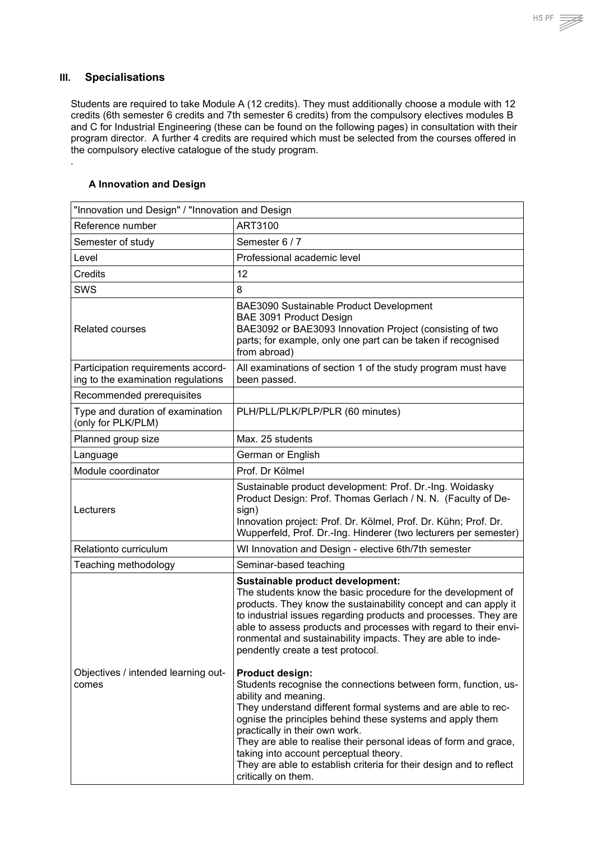*.*

<span id="page-58-0"></span>Students are required to take Module A (12 credits). They must additionally choose a module with 12 credits (6th semester 6 credits and 7th semester 6 credits) from the compulsory electives modules B and C for Industrial Engineering (these can be found on the following pages) in consultation with their program director. A further 4 credits are required which must be selected from the courses offered in the compulsory elective catalogue of the study program.

#### <span id="page-58-1"></span>**A Innovation and Design**

| "Innovation und Design" / "Innovation and Design                         |                                                                                                                                                                                                                                                                                                                                                                                                                                                                                              |
|--------------------------------------------------------------------------|----------------------------------------------------------------------------------------------------------------------------------------------------------------------------------------------------------------------------------------------------------------------------------------------------------------------------------------------------------------------------------------------------------------------------------------------------------------------------------------------|
| Reference number                                                         | ART3100                                                                                                                                                                                                                                                                                                                                                                                                                                                                                      |
| Semester of study                                                        | Semester 6 / 7                                                                                                                                                                                                                                                                                                                                                                                                                                                                               |
| Level                                                                    | Professional academic level                                                                                                                                                                                                                                                                                                                                                                                                                                                                  |
| Credits                                                                  | 12                                                                                                                                                                                                                                                                                                                                                                                                                                                                                           |
| SWS                                                                      | 8                                                                                                                                                                                                                                                                                                                                                                                                                                                                                            |
| <b>Related courses</b>                                                   | BAE3090 Sustainable Product Development<br>BAE 3091 Product Design<br>BAE3092 or BAE3093 Innovation Project (consisting of two<br>parts; for example, only one part can be taken if recognised<br>from abroad)                                                                                                                                                                                                                                                                               |
| Participation requirements accord-<br>ing to the examination regulations | All examinations of section 1 of the study program must have<br>been passed.                                                                                                                                                                                                                                                                                                                                                                                                                 |
| Recommended prerequisites                                                |                                                                                                                                                                                                                                                                                                                                                                                                                                                                                              |
| Type and duration of examination<br>(only for PLK/PLM)                   | PLH/PLL/PLK/PLP/PLR (60 minutes)                                                                                                                                                                                                                                                                                                                                                                                                                                                             |
| Planned group size                                                       | Max. 25 students                                                                                                                                                                                                                                                                                                                                                                                                                                                                             |
| Language                                                                 | German or English                                                                                                                                                                                                                                                                                                                                                                                                                                                                            |
| Module coordinator                                                       | Prof. Dr Kölmel                                                                                                                                                                                                                                                                                                                                                                                                                                                                              |
| Lecturers                                                                | Sustainable product development: Prof. Dr.-Ing. Woidasky<br>Product Design: Prof. Thomas Gerlach / N. N. (Faculty of De-<br>sign)<br>Innovation project: Prof. Dr. Kölmel, Prof. Dr. Kühn; Prof. Dr.<br>Wupperfeld, Prof. Dr.-Ing. Hinderer (two lecturers per semester)                                                                                                                                                                                                                     |
| Relationto curriculum                                                    | WI Innovation and Design - elective 6th/7th semester                                                                                                                                                                                                                                                                                                                                                                                                                                         |
| Teaching methodology                                                     | Seminar-based teaching                                                                                                                                                                                                                                                                                                                                                                                                                                                                       |
|                                                                          | Sustainable product development:<br>The students know the basic procedure for the development of<br>products. They know the sustainability concept and can apply it<br>to industrial issues regarding products and processes. They are<br>able to assess products and processes with regard to their envi-<br>ronmental and sustainability impacts. They are able to inde-<br>pendently create a test protocol.                                                                              |
| Objectives / intended learning out-<br>comes                             | <b>Product design:</b><br>Students recognise the connections between form, function, us-<br>ability and meaning.<br>They understand different formal systems and are able to rec-<br>ognise the principles behind these systems and apply them<br>practically in their own work.<br>They are able to realise their personal ideas of form and grace,<br>taking into account perceptual theory.<br>They are able to establish criteria for their design and to reflect<br>critically on them. |

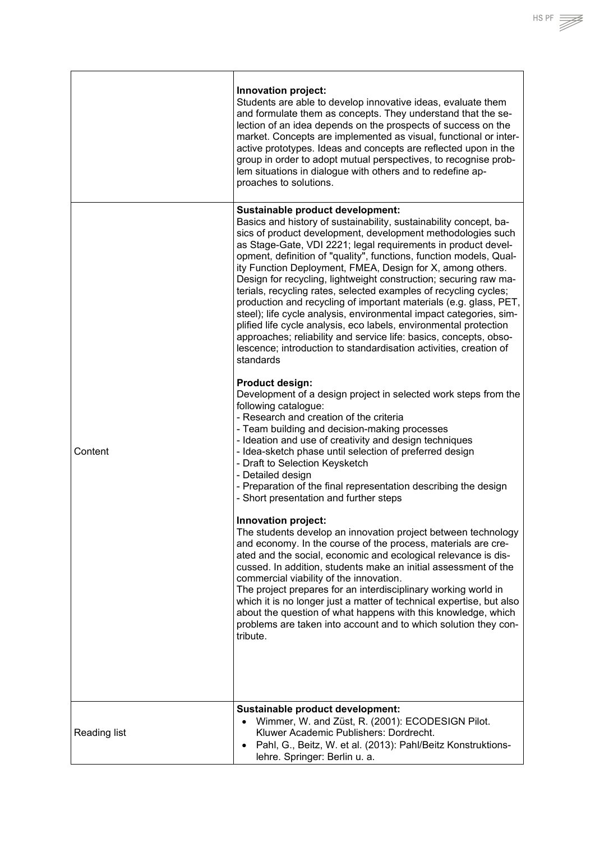|                     | Innovation project:<br>Students are able to develop innovative ideas, evaluate them<br>and formulate them as concepts. They understand that the se-<br>lection of an idea depends on the prospects of success on the<br>market. Concepts are implemented as visual, functional or inter-<br>active prototypes. Ideas and concepts are reflected upon in the<br>group in order to adopt mutual perspectives, to recognise prob-<br>lem situations in dialogue with others and to redefine ap-<br>proaches to solutions.                                                                                                                                                                                                                                                                                                                                                                   |
|---------------------|------------------------------------------------------------------------------------------------------------------------------------------------------------------------------------------------------------------------------------------------------------------------------------------------------------------------------------------------------------------------------------------------------------------------------------------------------------------------------------------------------------------------------------------------------------------------------------------------------------------------------------------------------------------------------------------------------------------------------------------------------------------------------------------------------------------------------------------------------------------------------------------|
| Content             | Sustainable product development:<br>Basics and history of sustainability, sustainability concept, ba-<br>sics of product development, development methodologies such<br>as Stage-Gate, VDI 2221; legal requirements in product devel-<br>opment, definition of "quality", functions, function models, Qual-<br>ity Function Deployment, FMEA, Design for X, among others.<br>Design for recycling, lightweight construction; securing raw ma-<br>terials, recycling rates, selected examples of recycling cycles;<br>production and recycling of important materials (e.g. glass, PET,<br>steel); life cycle analysis, environmental impact categories, sim-<br>plified life cycle analysis, eco labels, environmental protection<br>approaches; reliability and service life: basics, concepts, obso-<br>lescence; introduction to standardisation activities, creation of<br>standards |
|                     | <b>Product design:</b><br>Development of a design project in selected work steps from the<br>following catalogue:<br>- Research and creation of the criteria<br>- Team building and decision-making processes<br>- Ideation and use of creativity and design techniques<br>- Idea-sketch phase until selection of preferred design<br>- Draft to Selection Keysketch<br>- Detailed design<br>- Preparation of the final representation describing the design<br>- Short presentation and further steps                                                                                                                                                                                                                                                                                                                                                                                   |
|                     | Innovation project:<br>The students develop an innovation project between technology<br>and economy. In the course of the process, materials are cre-<br>ated and the social, economic and ecological relevance is dis-<br>cussed. In addition, students make an initial assessment of the<br>commercial viability of the innovation.<br>The project prepares for an interdisciplinary working world in<br>which it is no longer just a matter of technical expertise, but also<br>about the question of what happens with this knowledge, which<br>problems are taken into account and to which solution they con-<br>tribute.                                                                                                                                                                                                                                                          |
| <b>Reading list</b> | Sustainable product development:<br>Wimmer, W. and Züst, R. (2001): ECODESIGN Pilot.<br>Kluwer Academic Publishers: Dordrecht.                                                                                                                                                                                                                                                                                                                                                                                                                                                                                                                                                                                                                                                                                                                                                           |
|                     | Pahl, G., Beitz, W. et al. (2013): Pahl/Beitz Konstruktions-<br>$\bullet$<br>lehre. Springer: Berlin u. a.                                                                                                                                                                                                                                                                                                                                                                                                                                                                                                                                                                                                                                                                                                                                                                               |

 $H.S. PF \implies$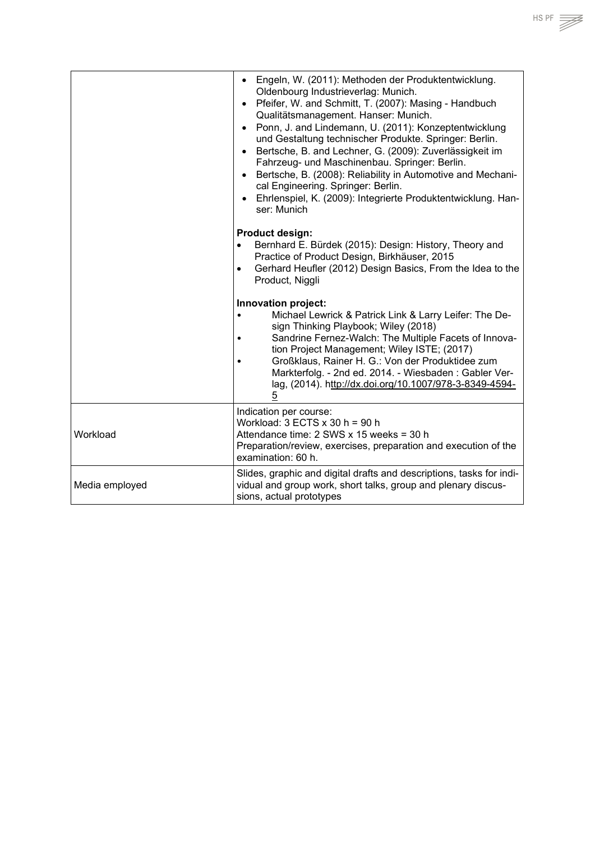|                | Engeln, W. (2011): Methoden der Produktentwicklung.<br>$\bullet$<br>Oldenbourg Industrieverlag: Munich.<br>Pfeifer, W. and Schmitt, T. (2007): Masing - Handbuch<br>$\bullet$<br>Qualitätsmanagement. Hanser: Munich.<br>Ponn, J. and Lindemann, U. (2011): Konzeptentwicklung<br>$\bullet$<br>und Gestaltung technischer Produkte. Springer: Berlin.<br>Bertsche, B. and Lechner, G. (2009): Zuverlässigkeit im<br>$\bullet$<br>Fahrzeug- und Maschinenbau. Springer: Berlin.<br>Bertsche, B. (2008): Reliability in Automotive and Mechani-<br>$\bullet$<br>cal Engineering. Springer: Berlin.<br>Ehrlenspiel, K. (2009): Integrierte Produktentwicklung. Han-<br>$\bullet$<br>ser: Munich<br><b>Product design:</b><br>Bernhard E. Bürdek (2015): Design: History, Theory and<br>$\bullet$<br>Practice of Product Design, Birkhäuser, 2015<br>Gerhard Heufler (2012) Design Basics, From the Idea to the<br>$\bullet$<br>Product, Niggli |
|----------------|---------------------------------------------------------------------------------------------------------------------------------------------------------------------------------------------------------------------------------------------------------------------------------------------------------------------------------------------------------------------------------------------------------------------------------------------------------------------------------------------------------------------------------------------------------------------------------------------------------------------------------------------------------------------------------------------------------------------------------------------------------------------------------------------------------------------------------------------------------------------------------------------------------------------------------------------|
|                | Innovation project:<br>Michael Lewrick & Patrick Link & Larry Leifer: The De-<br>$\bullet$<br>sign Thinking Playbook; Wiley (2018)<br>Sandrine Fernez-Walch: The Multiple Facets of Innova-<br>tion Project Management; Wiley ISTE; (2017)<br>Großklaus, Rainer H. G.: Von der Produktidee zum<br>Markterfolg. - 2nd ed. 2014. - Wiesbaden: Gabler Ver-<br>lag, (2014). http://dx.doi.org/10.1007/978-3-8349-4594-<br>$\overline{5}$                                                                                                                                                                                                                                                                                                                                                                                                                                                                                                        |
| Workload       | Indication per course:<br>Workload: $3$ ECTS $x$ 30 h = 90 h<br>Attendance time: 2 SWS x 15 weeks = 30 h<br>Preparation/review, exercises, preparation and execution of the<br>examination: 60 h.                                                                                                                                                                                                                                                                                                                                                                                                                                                                                                                                                                                                                                                                                                                                           |
| Media employed | Slides, graphic and digital drafts and descriptions, tasks for indi-<br>vidual and group work, short talks, group and plenary discus-<br>sions, actual prototypes                                                                                                                                                                                                                                                                                                                                                                                                                                                                                                                                                                                                                                                                                                                                                                           |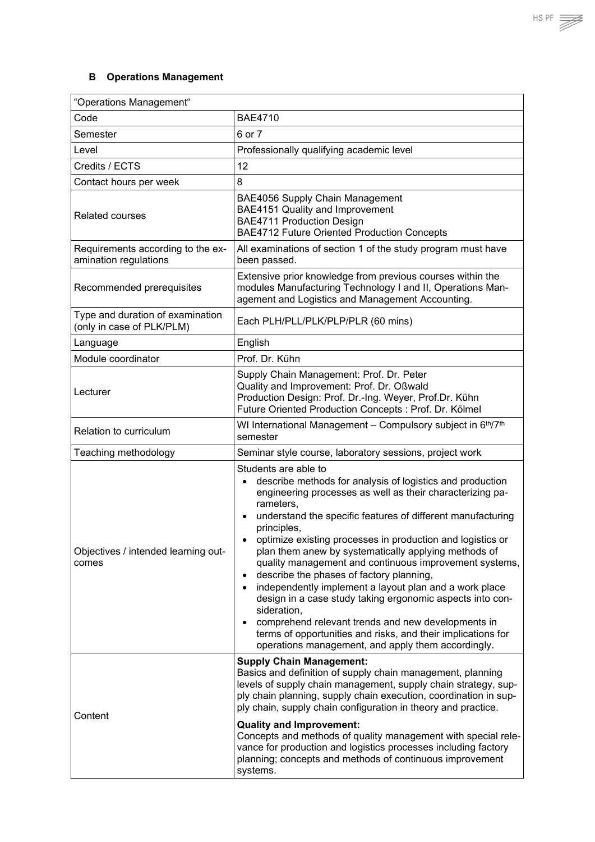## <span id="page-61-0"></span>**B Operations Management**

| "Operations Management"                                       |                                                                                                                                                                                                                                                                                                                                                                                                                                                                                                                                                                                                                                                                                                                                                                                                                                                  |  |
|---------------------------------------------------------------|--------------------------------------------------------------------------------------------------------------------------------------------------------------------------------------------------------------------------------------------------------------------------------------------------------------------------------------------------------------------------------------------------------------------------------------------------------------------------------------------------------------------------------------------------------------------------------------------------------------------------------------------------------------------------------------------------------------------------------------------------------------------------------------------------------------------------------------------------|--|
| Code                                                          | <b>BAE4710</b>                                                                                                                                                                                                                                                                                                                                                                                                                                                                                                                                                                                                                                                                                                                                                                                                                                   |  |
| Semester                                                      | 6 or 7                                                                                                                                                                                                                                                                                                                                                                                                                                                                                                                                                                                                                                                                                                                                                                                                                                           |  |
| Level                                                         | Professionally qualifying academic level                                                                                                                                                                                                                                                                                                                                                                                                                                                                                                                                                                                                                                                                                                                                                                                                         |  |
| Credits / ECTS                                                | 12                                                                                                                                                                                                                                                                                                                                                                                                                                                                                                                                                                                                                                                                                                                                                                                                                                               |  |
| Contact hours per week                                        | 8                                                                                                                                                                                                                                                                                                                                                                                                                                                                                                                                                                                                                                                                                                                                                                                                                                                |  |
| <b>Related courses</b>                                        | BAE4056 Supply Chain Management<br>BAE4151 Quality and Improvement<br><b>BAE4711 Production Design</b><br>BAE4712 Future Oriented Production Concepts                                                                                                                                                                                                                                                                                                                                                                                                                                                                                                                                                                                                                                                                                            |  |
| Requirements according to the ex-<br>amination regulations    | All examinations of section 1 of the study program must have<br>been passed.                                                                                                                                                                                                                                                                                                                                                                                                                                                                                                                                                                                                                                                                                                                                                                     |  |
| Recommended prerequisites                                     | Extensive prior knowledge from previous courses within the<br>modules Manufacturing Technology I and II, Operations Man-<br>agement and Logistics and Management Accounting.                                                                                                                                                                                                                                                                                                                                                                                                                                                                                                                                                                                                                                                                     |  |
| Type and duration of examination<br>(only in case of PLK/PLM) | Each PLH/PLL/PLK/PLP/PLR (60 mins)                                                                                                                                                                                                                                                                                                                                                                                                                                                                                                                                                                                                                                                                                                                                                                                                               |  |
| Language                                                      | English                                                                                                                                                                                                                                                                                                                                                                                                                                                                                                                                                                                                                                                                                                                                                                                                                                          |  |
| Module coordinator                                            | Prof. Dr. Kühn                                                                                                                                                                                                                                                                                                                                                                                                                                                                                                                                                                                                                                                                                                                                                                                                                                   |  |
| Lecturer                                                      | Supply Chain Management: Prof. Dr. Peter<br>Quality and Improvement: Prof. Dr. Oßwald<br>Production Design: Prof. Dr.-Ing. Weyer, Prof.Dr. Kühn<br>Future Oriented Production Concepts : Prof. Dr. Kölmel                                                                                                                                                                                                                                                                                                                                                                                                                                                                                                                                                                                                                                        |  |
| Relation to curriculum                                        | WI International Management - Compulsory subject in 6th/7th<br>semester                                                                                                                                                                                                                                                                                                                                                                                                                                                                                                                                                                                                                                                                                                                                                                          |  |
| Teaching methodology                                          | Seminar style course, laboratory sessions, project work                                                                                                                                                                                                                                                                                                                                                                                                                                                                                                                                                                                                                                                                                                                                                                                          |  |
| Objectives / intended learning out-<br>comes                  | Students are able to<br>describe methods for analysis of logistics and production<br>$\bullet$<br>engineering processes as well as their characterizing pa-<br>rameters,<br>understand the specific features of different manufacturing<br>$\bullet$<br>principles,<br>optimize existing processes in production and logistics or<br>plan them anew by systematically applying methods of<br>quality management and continuous improvement systems,<br>describe the phases of factory planning,<br>$\bullet$<br>independently implement a layout plan and a work place<br>$\bullet$<br>design in a case study taking ergonomic aspects into con-<br>sideration,<br>comprehend relevant trends and new developments in<br>٠<br>terms of opportunities and risks, and their implications for<br>operations management, and apply them accordingly. |  |
| Content                                                       | <b>Supply Chain Management:</b><br>Basics and definition of supply chain management, planning<br>levels of supply chain management, supply chain strategy, sup-<br>ply chain planning, supply chain execution, coordination in sup-<br>ply chain, supply chain configuration in theory and practice.<br><b>Quality and Improvement:</b><br>Concepts and methods of quality management with special rele-<br>vance for production and logistics processes including factory<br>planning; concepts and methods of continuous improvement<br>systems.                                                                                                                                                                                                                                                                                               |  |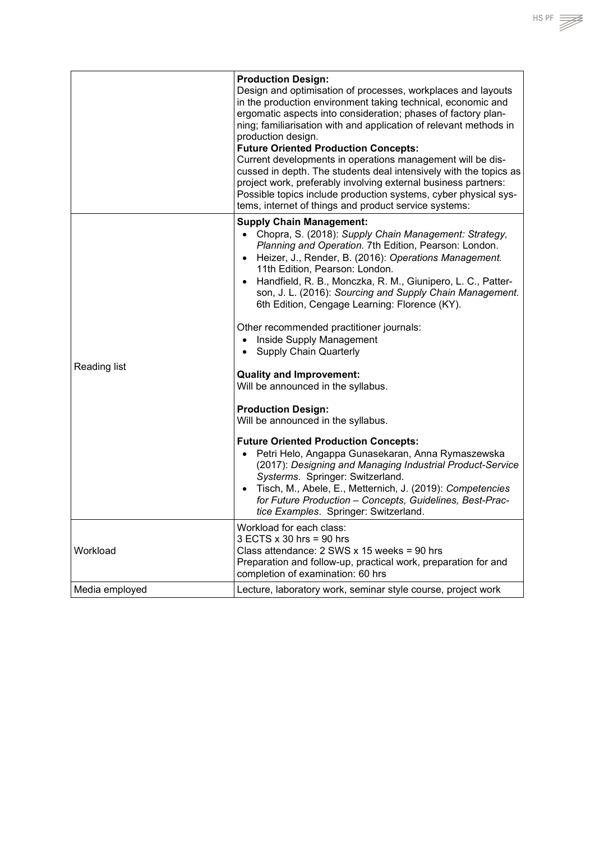|                | <b>Production Design:</b><br>Design and optimisation of processes, workplaces and layouts<br>in the production environment taking technical, economic and<br>ergomatic aspects into consideration; phases of factory plan-<br>ning; familiarisation with and application of relevant methods in<br>production design.<br><b>Future Oriented Production Concepts:</b><br>Current developments in operations management will be dis-<br>cussed in depth. The students deal intensively with the topics as<br>project work, preferably involving external business partners:<br>Possible topics include production systems, cyber physical sys-<br>tems, internet of things and product service systems:                                                                                                                                                                                                                                                                                                                                                                                                    |
|----------------|----------------------------------------------------------------------------------------------------------------------------------------------------------------------------------------------------------------------------------------------------------------------------------------------------------------------------------------------------------------------------------------------------------------------------------------------------------------------------------------------------------------------------------------------------------------------------------------------------------------------------------------------------------------------------------------------------------------------------------------------------------------------------------------------------------------------------------------------------------------------------------------------------------------------------------------------------------------------------------------------------------------------------------------------------------------------------------------------------------|
| Reading list   | <b>Supply Chain Management:</b><br>Chopra, S. (2018): Supply Chain Management: Strategy,<br>$\bullet$<br>Planning and Operation. 7th Edition, Pearson: London.<br>Heizer, J., Render, B. (2016): Operations Management.<br>$\bullet$<br>11th Edition, Pearson: London.<br>Handfield, R. B., Monczka, R. M., Giunipero, L. C., Patter-<br>son, J. L. (2016): Sourcing and Supply Chain Management.<br>6th Edition, Cengage Learning: Florence (KY).<br>Other recommended practitioner journals:<br>Inside Supply Management<br><b>Supply Chain Quarterly</b><br><b>Quality and Improvement:</b><br>Will be announced in the syllabus.<br><b>Production Design:</b><br>Will be announced in the syllabus.<br><b>Future Oriented Production Concepts:</b><br>Petri Helo, Angappa Gunasekaran, Anna Rymaszewska<br>$\bullet$<br>(2017): Designing and Managing Industrial Product-Service<br>Systerms. Springer: Switzerland.<br>Tisch, M., Abele, E., Metternich, J. (2019): Competencies<br>$\bullet$<br>for Future Production - Concepts, Guidelines, Best-Prac-<br>tice Examples. Springer: Switzerland. |
| Workload       | Workload for each class:<br>$3$ ECTS $x$ 30 hrs = 90 hrs<br>Class attendance: $2$ SWS x 15 weeks = 90 hrs<br>Preparation and follow-up, practical work, preparation for and<br>completion of examination: 60 hrs                                                                                                                                                                                                                                                                                                                                                                                                                                                                                                                                                                                                                                                                                                                                                                                                                                                                                         |
| Media employed | Lecture, laboratory work, seminar style course, project work                                                                                                                                                                                                                                                                                                                                                                                                                                                                                                                                                                                                                                                                                                                                                                                                                                                                                                                                                                                                                                             |

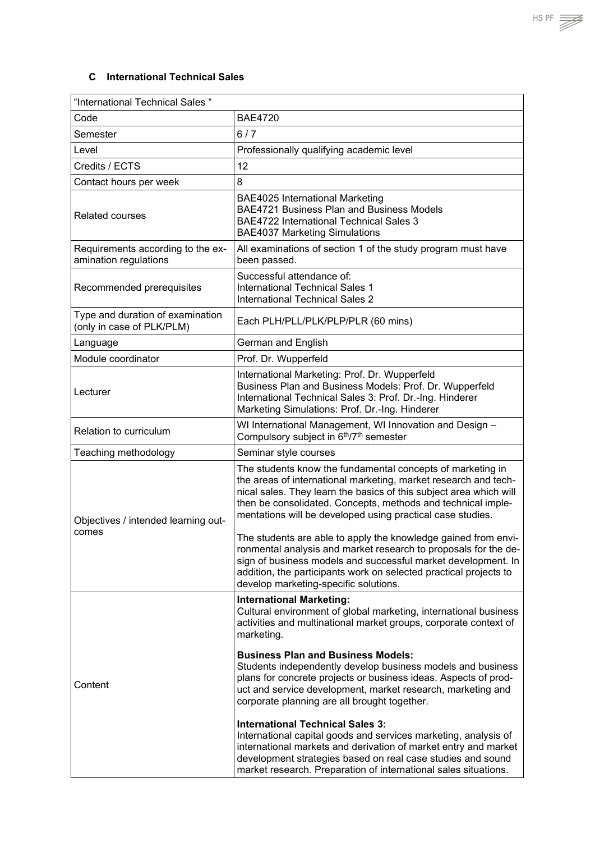<span id="page-63-0"></span>

| "International Technical Sales "                              |                                                                                                                                                                                                                                                                                                                                   |
|---------------------------------------------------------------|-----------------------------------------------------------------------------------------------------------------------------------------------------------------------------------------------------------------------------------------------------------------------------------------------------------------------------------|
| Code                                                          | <b>BAE4720</b>                                                                                                                                                                                                                                                                                                                    |
| Semester                                                      | 6/7                                                                                                                                                                                                                                                                                                                               |
| Level                                                         | Professionally qualifying academic level                                                                                                                                                                                                                                                                                          |
| Credits / ECTS                                                | 12                                                                                                                                                                                                                                                                                                                                |
| Contact hours per week                                        | 8                                                                                                                                                                                                                                                                                                                                 |
| <b>Related courses</b>                                        | <b>BAE4025 International Marketing</b><br>BAE4721 Business Plan and Business Models<br><b>BAE4722 International Technical Sales 3</b><br><b>BAE4037 Marketing Simulations</b>                                                                                                                                                     |
| Requirements according to the ex-<br>amination regulations    | All examinations of section 1 of the study program must have<br>been passed.                                                                                                                                                                                                                                                      |
| Recommended prerequisites                                     | Successful attendance of:<br>International Technical Sales 1<br><b>International Technical Sales 2</b>                                                                                                                                                                                                                            |
| Type and duration of examination<br>(only in case of PLK/PLM) | Each PLH/PLL/PLK/PLP/PLR (60 mins)                                                                                                                                                                                                                                                                                                |
| Language                                                      | German and English                                                                                                                                                                                                                                                                                                                |
| Module coordinator                                            | Prof. Dr. Wupperfeld                                                                                                                                                                                                                                                                                                              |
| Lecturer                                                      | International Marketing: Prof. Dr. Wupperfeld<br>Business Plan and Business Models: Prof. Dr. Wupperfeld<br>International Technical Sales 3: Prof. Dr.-Ing. Hinderer<br>Marketing Simulations: Prof. Dr.-Ing. Hinderer                                                                                                            |
| Relation to curriculum                                        | WI International Management, WI Innovation and Design -<br>Compulsory subject in 6th/7th semester                                                                                                                                                                                                                                 |
| Teaching methodology                                          | Seminar style courses                                                                                                                                                                                                                                                                                                             |
| Objectives / intended learning out-<br>comes                  | The students know the fundamental concepts of marketing in<br>the areas of international marketing, market research and tech-<br>nical sales. They learn the basics of this subject area which will<br>then be consolidated. Concepts, methods and technical imple-<br>mentations will be developed using practical case studies. |
|                                                               | The students are able to apply the knowledge gained from envi-<br>ronmental analysis and market research to proposals for the de-<br>sign of business models and successful market development. In<br>addition, the participants work on selected practical projects to<br>develop marketing-specific solutions.                  |
| Content                                                       | <b>International Marketing:</b><br>Cultural environment of global marketing, international business<br>activities and multinational market groups, corporate context of<br>marketing.                                                                                                                                             |
|                                                               | <b>Business Plan and Business Models:</b><br>Students independently develop business models and business<br>plans for concrete projects or business ideas. Aspects of prod-<br>uct and service development, market research, marketing and<br>corporate planning are all brought together.                                        |
|                                                               | <b>International Technical Sales 3:</b><br>International capital goods and services marketing, analysis of<br>international markets and derivation of market entry and market<br>development strategies based on real case studies and sound<br>market research. Preparation of international sales situations.                   |